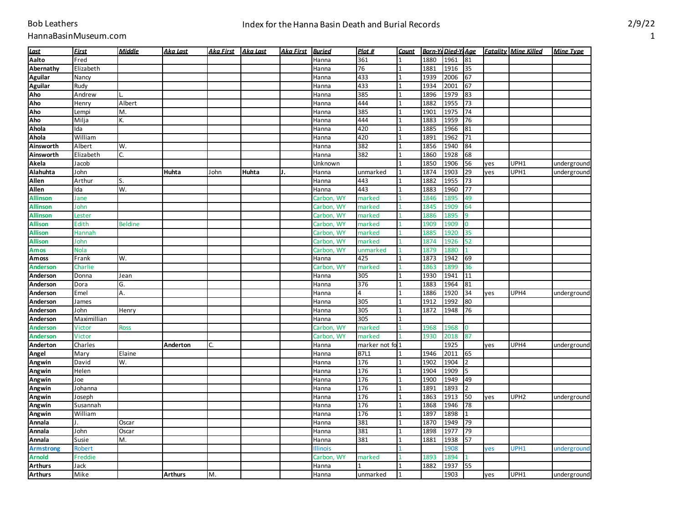| Last             | <b>First</b> | <b>Middle</b>  | Aka Last       | Aka First | Aka Last | Aka First | <b>Buried</b> | Plot #          | Count        |      | <b>Born Ye Died Y Age</b> |    |     | <b>Fatality Mine Killed</b> | <b>Mine Type</b> |
|------------------|--------------|----------------|----------------|-----------|----------|-----------|---------------|-----------------|--------------|------|---------------------------|----|-----|-----------------------------|------------------|
| Aalto            | Fred         |                |                |           |          |           | Hanna         | 361             |              | 1880 | 1961                      | 81 |     |                             |                  |
| Abernathy        | Elizabeth    |                |                |           |          |           | Hanna         | 76              |              | 1881 | 1916                      | 35 |     |                             |                  |
| <b>Aguilar</b>   | Nancy        |                |                |           |          |           | Hanna         | 433             |              | 1939 | 2006                      | 67 |     |                             |                  |
| <b>Aguilar</b>   | Rudy         |                |                |           |          |           | Hanna         | 433             |              | 1934 | 2001                      | 67 |     |                             |                  |
| Aho              | Andrew       |                |                |           |          |           | Hanna         | 385             |              | 1896 | 1979                      | 83 |     |                             |                  |
| Aho              | Henry        | Albert         |                |           |          |           | Hanna         | 444             |              | 1882 | 1955                      | 73 |     |                             |                  |
| Aho              | Lempi        | M.             |                |           |          |           | Hanna         | 385             |              | 1901 | 1975                      | 74 |     |                             |                  |
| Aho              | Milja        | K.             |                |           |          |           | Hanna         | 444             |              | 1883 | 1959                      | 76 |     |                             |                  |
| Ahola            | Ida          |                |                |           |          |           | Hanna         | 420             |              | 1885 | 1966                      | 81 |     |                             |                  |
| Ahola            | William      |                |                |           |          |           | Hanna         | 420             |              | 1891 | 1962                      | 71 |     |                             |                  |
| Ainsworth        | Albert       | W.             |                |           |          |           | Hanna         | 382             |              | 1856 | 1940                      | 84 |     |                             |                  |
| Ainsworth        | Elizabeth    |                |                |           |          |           | Hanna         | 382             |              | 1860 | 1928                      | 68 |     |                             |                  |
| Akela            | Jacob        |                |                |           |          |           | Unknown       |                 |              | 1850 | 1906                      | 56 | yes | UPH1                        | underground      |
| Alahuhta         | John         |                | Huhta          | John      | Huhta    |           | Hanna         | unmarked        |              | 1874 | 1903                      | 29 | ves | UPH1                        | underground      |
| <b>Allen</b>     | Arthur       | S.             |                |           |          |           | Hanna         | 443             |              | 1882 | 1955                      | 73 |     |                             |                  |
| Allen            | Ida          | W.             |                |           |          |           | Hanna         | 443             |              | 1883 | 1960                      | 77 |     |                             |                  |
| <b>Allinson</b>  | Jane         |                |                |           |          |           | Carbon, WY    | marked          |              | 1846 | 1895                      | 49 |     |                             |                  |
| <b>Allinson</b>  | John         |                |                |           |          |           | Carbon, WY    | marked          |              | 1845 | 1909                      | 64 |     |                             |                  |
| <b>Allinson</b>  | Lester       |                |                |           |          |           | Carbon, WY    | marked          |              | 1886 | 1895                      | q  |     |                             |                  |
| <b>Allison</b>   | <b>Edith</b> | <b>Beldine</b> |                |           |          |           | Carbon, WY    | marked          |              | 1909 | 1909                      | 0  |     |                             |                  |
| <b>Allison</b>   | Hannah       |                |                |           |          |           | Carbon, WY    | marked          |              | 1885 | 1920                      | 35 |     |                             |                  |
| <b>Allison</b>   | John         |                |                |           |          |           | Carbon, WY    | marked          |              | 1874 | 1926                      | 52 |     |                             |                  |
| <b>Amos</b>      | Nola         |                |                |           |          |           | Carbon, WY    | unmarked        |              | 1879 | 1880                      |    |     |                             |                  |
| Amoss            | Frank        | W.             |                |           |          |           | Hanna         | 425             |              | 1873 | 1942                      | 69 |     |                             |                  |
| <b>Anderson</b>  | Charlie      |                |                |           |          |           | Carbon, WY    | marked          |              | 1863 | 1899                      | 36 |     |                             |                  |
| Anderson         | Donna        | Jean           |                |           |          |           | Hanna         | 305             |              | 1930 | 1941                      | 11 |     |                             |                  |
| Anderson         | Dora         | G.             |                |           |          |           | Hanna         | 376             | $\mathbf{1}$ | 1883 | 1964                      | 81 |     |                             |                  |
| Anderson         | Emel         | Α.             |                |           |          |           | Hanna         | 4               |              | 1886 | 1920                      | 34 | yes | UPH4                        | underground      |
| Anderson         | James        |                |                |           |          |           | Hanna         | 305             |              | 1912 | 1992                      | 80 |     |                             |                  |
| Anderson         | John         | Henry          |                |           |          |           | Hanna         | 305             |              | 1872 | 1948                      | 76 |     |                             |                  |
| Anderson         | Maximillian  |                |                |           |          |           | Hanna         | 305             |              |      |                           |    |     |                             |                  |
| <b>Anderson</b>  | Victor       | <b>Ross</b>    |                |           |          |           | Carbon, WY    | marked          |              | 1968 | 1968                      |    |     |                             |                  |
| <b>Anderson</b>  | Victor       |                |                |           |          |           | Carbon, WY    | marked          |              | 1930 | 2018                      | 87 |     |                             |                  |
| Anderton         | Charles      |                | Anderton       | C.        |          |           | Hanna         | marker not fo 1 |              |      | 1925                      |    | yes | UPH4                        | underground      |
| Angel            | Mary         | Elaine         |                |           |          |           | Hanna         | <b>B7L1</b>     |              | 1946 | 2011                      | 65 |     |                             |                  |
| Angwin           | David        | W.             |                |           |          |           | Hanna         | 176             |              | 1902 | 1904                      |    |     |                             |                  |
| Angwin           | Helen        |                |                |           |          |           | Hanna         | 176             |              | 1904 | 1909                      | 5  |     |                             |                  |
| Angwin           | Joe          |                |                |           |          |           | Hanna         | 176             |              | 1900 | 1949                      | 49 |     |                             |                  |
| Angwin           | Johanna      |                |                |           |          |           | Hanna         | 176             |              | 1891 | 1893                      |    |     |                             |                  |
| Angwin           | Joseph       |                |                |           |          |           | Hanna         | 176             |              | 1863 | 1913                      | 50 | yes | UPH <sub>2</sub>            | underground      |
| Angwin           | Susannah     |                |                |           |          |           | Hanna         | 176             |              | 1868 | 1946                      | 78 |     |                             |                  |
| Angwin           | William      |                |                |           |          |           | Hanna         | 176             |              | 1897 | 1898                      |    |     |                             |                  |
| Annala           |              | Oscar          |                |           |          |           | Hanna         | 381             |              | 1870 | 1949                      | 79 |     |                             |                  |
| Annala           | John         | Oscar          |                |           |          |           | Hanna         | 381             |              | 1898 | 1977                      | 79 |     |                             |                  |
| Annala           | Susie        | M.             |                |           |          |           | Hanna         | 381             |              | 1881 | 1938                      | 57 |     |                             |                  |
| <b>Armstrong</b> | Robert       |                |                |           |          |           | Illinois      |                 |              |      | 1908                      |    | yes | UPH1                        | underground      |
| <b>Arnold</b>    | Freddie      |                |                |           |          |           | Carbon, WY    | marked          |              | 1893 | 1894                      |    |     |                             |                  |
| <b>Arthurs</b>   | Jack         |                |                |           |          |           | Hanna         |                 |              | 1882 | 1937                      | 55 |     |                             |                  |
| <b>Arthurs</b>   | Mike         |                | <b>Arthurs</b> | M.        |          |           | Hanna         | unmarked        | $\mathbf{1}$ |      | 1903                      |    | yes | UPH1                        | underground      |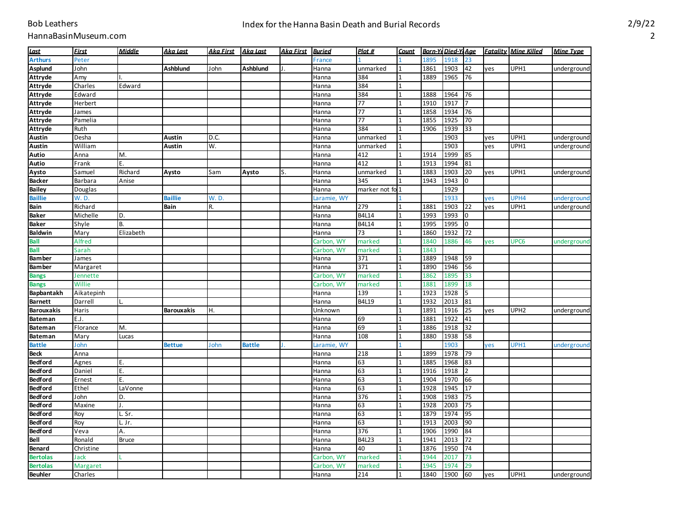| Last              | <b>First</b>    | <u>Middle</u> | <u>Aka Last</u> | Aka First Aka Last |               | Aka First | <b>Buried</b> | Plot #          | <b>Count</b> | <b>Born Ye Died Y Age</b> |      |                |     | <b>Fatality Mine Killed</b> | <b>Mine Type</b> |
|-------------------|-----------------|---------------|-----------------|--------------------|---------------|-----------|---------------|-----------------|--------------|---------------------------|------|----------------|-----|-----------------------------|------------------|
| <b>Arthurs</b>    | Peter           |               |                 |                    |               |           | France        |                 |              | 1895                      | 1918 | 23             |     |                             |                  |
| Asplund           | John            |               | Ashblund        | John               | Ashblund      |           | Hanna         | unmarked        |              | 1861                      | 1903 | 42             | yes | UPH1                        | underground      |
| Attryde           | Amy             |               |                 |                    |               |           | Hanna         | 384             |              | 1889                      | 1965 | 76             |     |                             |                  |
| Attryde           | Charles         | Edward        |                 |                    |               |           | Hanna         | 384             |              |                           |      |                |     |                             |                  |
| Attryde           | Edward          |               |                 |                    |               |           | Hanna         | 384             |              | 1888                      | 1964 | 76             |     |                             |                  |
| Attryde           | Herbert         |               |                 |                    |               |           | Hanna         | 77              |              | 1910                      | 1917 |                |     |                             |                  |
| Attryde           | James           |               |                 |                    |               |           | Hanna         | 77              |              | 1858                      | 1934 | 76             |     |                             |                  |
| Attryde           | Pamelia         |               |                 |                    |               |           | Hanna         | 77              |              | 1855                      | 1925 | 70             |     |                             |                  |
| Attryde           | Ruth            |               |                 |                    |               |           | Hanna         | 384             |              | 1906                      | 1939 | 33             |     |                             |                  |
| Austin            | Desha           |               | Austin          | D.C.               |               |           | Hanna         | unmarked        |              |                           | 1903 |                | yes | UPH1                        | underground      |
| Austin            | William         |               | Austin          | W.                 |               |           | Hanna         | unmarked        |              |                           | 1903 |                | yes | UPH1                        | underground      |
| Autio             | Anna            | M.            |                 |                    |               |           | Hanna         | 412             |              | 1914                      | 1999 | 85             |     |                             |                  |
| Autio             | Frank           | Ē.            |                 |                    |               |           | Hanna         | 412             |              | 1913                      | 1994 | 81             |     |                             |                  |
| Aysto             | Samuel          | Richard       | Aysto           | Sam                | Aysto         | s.        | Hanna         | unmarked        |              | 1883                      | 1903 | 20             | yes | UPH1                        | underground      |
| <b>Backer</b>     | Barbara         | Anise         |                 |                    |               |           | Hanna         | 345             |              | 1943                      | 1943 | 0              |     |                             |                  |
| <b>Bailey</b>     | Douglas         |               |                 |                    |               |           | Hanna         | marker not fo 1 |              |                           | 1929 |                |     |                             |                  |
| <b>Baillie</b>    | W. D.           |               | <b>Baillie</b>  | W. D.              |               |           | Laramie, WY   |                 |              |                           | 1933 |                | yes | UPH4                        | underground      |
| Bain              | Richard         |               | Bain            | R.                 |               |           | Hanna         | 279             |              | 1881                      | 1903 | 22             | yes | UPH1                        | underground      |
| Baker             | Michelle        | D.            |                 |                    |               |           | Hanna         | <b>B4L14</b>    |              | 1993                      | 1993 | 0              |     |                             |                  |
| <b>Baker</b>      | Shyle           | B.            |                 |                    |               |           | Hanna         | <b>B4L14</b>    |              | 1995                      | 1995 | O              |     |                             |                  |
| <b>Baldwin</b>    | Mary            | Elizabeth     |                 |                    |               |           | Hanna         | 73              |              | 1860                      | 1932 | 72             |     |                             |                  |
| <b>Ball</b>       | Alfred          |               |                 |                    |               |           | Carbon, WY    | marked          |              | 1840                      | 1886 | 46             | yes | UPC6                        | underground      |
| Ball              | Sarah           |               |                 |                    |               |           | Carbon, WY    | marked          |              | 1843                      |      |                |     |                             |                  |
| Bamber            | James           |               |                 |                    |               |           | Hanna         | 371             |              | 1889                      | 1948 | 59             |     |                             |                  |
| <b>Bamber</b>     | Margaret        |               |                 |                    |               |           | Hanna         | 371             |              | 1890                      | 1946 | 56             |     |                             |                  |
| <b>Bangs</b>      | Jennette        |               |                 |                    |               |           | Carbon, WY    | marked          |              | 1862                      | 1895 | 33             |     |                             |                  |
| <b>Bangs</b>      | Willie          |               |                 |                    |               |           | Carbon, WY    | marked          |              | 1881                      | 1899 | 18             |     |                             |                  |
| Bapbantakh        | Aikatepinh      |               |                 |                    |               |           | Hanna         | 139             |              | 1923                      | 1928 |                |     |                             |                  |
| Barnett           | Darrell         |               |                 |                    |               |           | Hanna         | B4L19           |              | 1932                      | 2013 | 81             |     |                             |                  |
| <b>Barouxakis</b> | Haris           |               | Barouxakis      | H.                 |               |           | Unknown       |                 |              | 1891                      | 1916 | 25             | yes | UPH <sub>2</sub>            | underground      |
| Bateman           | E.J.            |               |                 |                    |               |           | Hanna         | 69              |              | 1881                      | 1922 | 41             |     |                             |                  |
| Bateman           | Florance        | M.            |                 |                    |               |           | Hanna         | 69              |              | 1886                      | 1918 | 32             |     |                             |                  |
| Bateman           | Mary            | Lucas         |                 |                    |               |           | Hanna         | 108             |              | 1880                      | 1938 | 58             |     |                             |                  |
| <b>Battle</b>     | John            |               | <b>Bettue</b>   | John               | <b>Battle</b> |           | Laramie, WY   |                 |              |                           | 1903 |                | yes | UPH1                        | underground      |
| <b>Beck</b>       | Anna            |               |                 |                    |               |           | Hanna         | 218             |              | 1899                      | 1978 | 79             |     |                             |                  |
| <b>Bedford</b>    | Agnes           | Ε.            |                 |                    |               |           | Hanna         | 63              |              | 1885                      | 1968 | 83             |     |                             |                  |
| <b>Bedford</b>    | Daniel          | E.            |                 |                    |               |           | Hanna         | 63              |              | 1916                      | 1918 | $\overline{2}$ |     |                             |                  |
| <b>Bedford</b>    | Ernest          | E.            |                 |                    |               |           | Hanna         | 63              |              | 1904                      | 1970 | 66             |     |                             |                  |
| <b>Bedford</b>    | Ethel           | LaVonne       |                 |                    |               |           | Hanna         | 63              |              | 1928                      | 1945 | 17             |     |                             |                  |
| <b>Bedford</b>    | John            | D.            |                 |                    |               |           | Hanna         | 376             |              | 1908                      | 1983 | 75             |     |                             |                  |
| <b>Bedford</b>    | Maxine          |               |                 |                    |               |           | Hanna         | 63              |              | 1928                      | 2003 | 75             |     |                             |                  |
| <b>Bedford</b>    | Roy             | Sr.           |                 |                    |               |           | Hanna         | 63              |              | 1879                      | 1974 | 95             |     |                             |                  |
| <b>Bedford</b>    | Roy             | Jr.           |                 |                    |               |           | Hanna         | 63              |              | 1913                      | 2003 | 90             |     |                             |                  |
| <b>Bedford</b>    | Veva            | A.            |                 |                    |               |           | Hanna         | 376             |              | 1906                      | 1990 | 84             |     |                             |                  |
| Bell              | Ronald          | Bruce         |                 |                    |               |           | Hanna         | B4L23           |              | 1941                      | 2013 | 72             |     |                             |                  |
| Benard            | Christine       |               |                 |                    |               |           | Hanna         | 40              |              | 1876                      | 1950 | 74             |     |                             |                  |
| <b>Bertolas</b>   | Jack            |               |                 |                    |               |           | Carbon, WY    | marked          |              | 1944                      | 2017 | 73             |     |                             |                  |
| <b>Bertolas</b>   | <b>Margaret</b> |               |                 |                    |               |           | Carbon, WY    | marked          |              | 1945                      | 1974 | 29             |     |                             |                  |
| <b>Beuhler</b>    | Charles         |               |                 |                    |               |           | Hanna         | 214             |              | 1840                      | 1900 | 60             | yes | UPH1                        | underground      |
|                   |                 |               |                 |                    |               |           |               |                 |              |                           |      |                |     |                             |                  |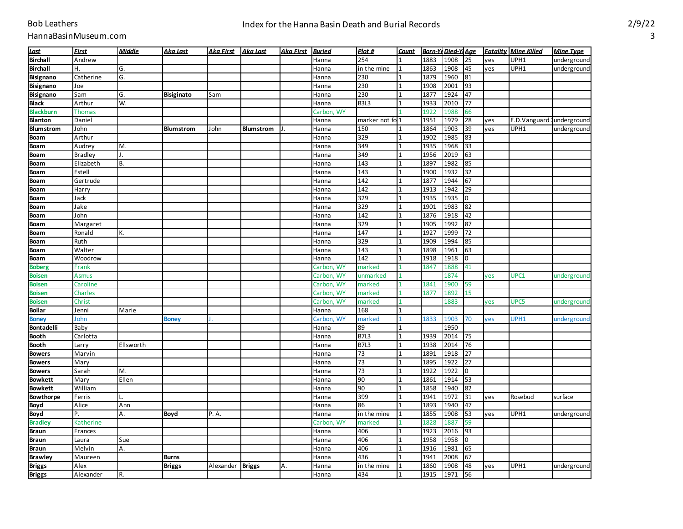| Last             | <b>First</b>     | <b>Middle</b> | Aka Last          | Aka First | Aka Last         | Aka First | <b>Buried</b> | Plot #          | Count        |      | <b>Born-Ye Died-Yi Aae</b> |    |     | <b>Fatality Mine Killed</b> | <b>Mine Type</b> |
|------------------|------------------|---------------|-------------------|-----------|------------------|-----------|---------------|-----------------|--------------|------|----------------------------|----|-----|-----------------------------|------------------|
| <b>Birchall</b>  | Andrew           |               |                   |           |                  |           | Hanna         | 254             |              | 1883 | 1908                       | 25 | yes | UPH1                        | underground      |
| <b>Birchall</b>  | Η.               | G.            |                   |           |                  |           | Hanna         | in the mine     | $\mathbf{1}$ | 1863 | 1908                       | 45 | yes | UPH1                        | underground      |
| Bisignano        | Catherine        | G.            |                   |           |                  |           | Hanna         | 230             |              | 1879 | 1960                       | 81 |     |                             |                  |
| Bisignano        | Joe              |               |                   |           |                  |           | Hanna         | 230             |              | 1908 | 2001                       | 93 |     |                             |                  |
| Bisignano        | Sam              | G.            | <b>Bisiginato</b> | Sam       |                  |           | Hanna         | 230             |              | 1877 | 1924                       | 47 |     |                             |                  |
| <b>Black</b>     | Arthur           | W.            |                   |           |                  |           | Hanna         | B3L3            |              | 1933 | 2010                       | 77 |     |                             |                  |
| Blackburn        | <b>Thomas</b>    |               |                   |           |                  |           | Carbon, WY    |                 |              | 1922 | 1988                       | 66 |     |                             |                  |
| Blanton          | Daniel           |               |                   |           |                  |           | Hanna         | marker not fo 1 |              | 1951 | 1979                       | 28 | yes | E.D.Vanguard 1underground   |                  |
| <b>Blumstrom</b> | John             |               | <b>Blumstrom</b>  | John      | <b>Blumstrom</b> |           | Hanna         | 150             |              | 1864 | 1903                       | 39 | yes | UPH1                        | underground      |
| Boam             | Arthur           |               |                   |           |                  |           | Hanna         | 329             |              | 1902 | 1985                       | 83 |     |                             |                  |
| Boam             | Audrey           | M.            |                   |           |                  |           | Hanna         | 349             |              | 1935 | 1968                       | 33 |     |                             |                  |
| Boam             | Bradley          |               |                   |           |                  |           | Hanna         | 349             |              | 1956 | 2019                       | 63 |     |                             |                  |
| Boam             | Elizabeth        | B.            |                   |           |                  |           | Hanna         | 143             | $\mathbf{1}$ | 1897 | 1982                       | 85 |     |                             |                  |
| Boam             | Estell           |               |                   |           |                  |           | Hanna         | 143             | $\mathbf{1}$ | 1900 | 1932                       | 32 |     |                             |                  |
| Boam             | Gertrude         |               |                   |           |                  |           | Hanna         | 142             |              | 1877 | 1944                       | 67 |     |                             |                  |
| Boam             | Harry            |               |                   |           |                  |           | Hanna         | 142             |              | 1913 | 1942                       | 29 |     |                             |                  |
| Boam             | Jack             |               |                   |           |                  |           | Hanna         | 329             |              | 1935 | 1935                       | 0  |     |                             |                  |
| Boam             | Jake             |               |                   |           |                  |           | Hanna         | 329             |              | 1901 | 1983                       | 82 |     |                             |                  |
| <b>Boam</b>      | John             |               |                   |           |                  |           | Hanna         | 142             |              | 1876 | 1918                       | 42 |     |                             |                  |
| Boam             | Margaret         |               |                   |           |                  |           | Hanna         | 329             |              | 1905 | 1992                       | 87 |     |                             |                  |
| Boam             | Ronald           | K.            |                   |           |                  |           | Hanna         | 147             |              | 1927 | 1999                       | 72 |     |                             |                  |
| Boam             | Ruth             |               |                   |           |                  |           | Hanna         | 329             |              | 1909 | 1994                       | 85 |     |                             |                  |
| Boam             | Walter           |               |                   |           |                  |           | Hanna         | 143             |              | 1898 | 1961                       | 63 |     |                             |                  |
| Boam             | Woodrow          |               |                   |           |                  |           | Hanna         | 142             |              | 1918 | 1918                       | 0  |     |                             |                  |
| Boberg           | Frank            |               |                   |           |                  |           | Carbon, WY    | marked          |              | 1847 | 1888                       | 41 |     |                             |                  |
| Boisen           | <b>Asmus</b>     |               |                   |           |                  |           | Carbon, WY    | unmarked        |              |      | 1874                       |    | yes | UPC1                        | underground      |
| Boisen           | Caroline         |               |                   |           |                  |           | Carbon, WY    | marked          |              | 1841 | 1900                       | 59 |     |                             |                  |
| Boisen           | Charles          |               |                   |           |                  |           | Carbon, WY    | marked          |              | 1877 | 1892                       | 15 |     |                             |                  |
| Boisen           | Christ           |               |                   |           |                  |           | Carbon, WY    | marked          | 1            |      | 1883                       |    | res | UPC5                        | underground      |
| <b>Bollar</b>    | Jenni            | Marie         |                   |           |                  |           | Hanna         | 168             |              |      |                            |    |     |                             |                  |
| <b>Boney</b>     | Iohn             |               | Boney             |           |                  |           | Carbon, WY    | marked          |              | 1833 | 1903                       | 70 | res | UPH1                        | underground      |
| Bontadelli       | Baby             |               |                   |           |                  |           | Hanna         | 89              |              |      | 1950                       |    |     |                             |                  |
| Booth            | Carlotta         |               |                   |           |                  |           | Hanna         | <b>B7L3</b>     | 1            | 1939 | 2014                       | 75 |     |                             |                  |
| Booth            | Larry            | Ellsworth     |                   |           |                  |           | Hanna         | <b>B7L3</b>     | 1            | 1938 | 2014                       | 76 |     |                             |                  |
| <b>Bowers</b>    | Marvin           |               |                   |           |                  |           | Hanna         | 73              | $\mathbf{1}$ | 1891 | 1918                       | 27 |     |                             |                  |
| <b>Bowers</b>    | Mary             |               |                   |           |                  |           | Hanna         | 73              |              | 1895 | 1922                       | 27 |     |                             |                  |
| <b>Bowers</b>    | Sarah            | M.            |                   |           |                  |           | Hanna         | 73              |              | 1922 | 1922                       | 0  |     |                             |                  |
| <b>Bowkett</b>   | Mary             | Ellen         |                   |           |                  |           | Hanna         | 90              |              | 1861 | 1914                       | 53 |     |                             |                  |
| <b>Bowkett</b>   | William          |               |                   |           |                  |           | Hanna         | 90              |              | 1858 | 1940                       | 82 |     |                             |                  |
| Bowthorpe        | Ferris           |               |                   |           |                  |           | Hanna         | 399             |              | 1941 | 1972                       | 31 | yes | Rosebud                     | surface          |
| Boyd             | Alice            | Ann           |                   |           |                  |           | Hanna         | 86              |              | 1893 | 1940                       | 47 |     |                             |                  |
| Boyd             | Þ                | Α.            | Boyd              | P. A.     |                  |           | Hanna         | in the mine     |              | 1855 | 1908                       | 53 | yes | UPH1                        | underground      |
| <b>Bradley</b>   | <b>Katherine</b> |               |                   |           |                  |           | Carbon, WY    | marked          |              | 1828 | 1887                       | 59 |     |                             |                  |
| Braun            | Frances          |               |                   |           |                  |           | Hanna         | 406             |              | 1923 | 2016                       | 93 |     |                             |                  |
| Braun            | Laura            | Sue           |                   |           |                  |           | Hanna         | 406             |              | 1958 | 1958                       | 0  |     |                             |                  |
| <b>Braun</b>     | Melvin           | A.            |                   |           |                  |           | Hanna         | 406             |              | 1916 | 1981                       | 65 |     |                             |                  |
| <b>Brawley</b>   | Maureen          |               | <b>Burns</b>      |           |                  |           | Hanna         | 436             |              | 1941 | 2008                       | 67 |     |                             |                  |
| <b>Briggs</b>    | Alex             |               | <b>Briggs</b>     | Alexander | <b>Briggs</b>    | Α.        | Hanna         | in the mine     |              | 1860 | 1908                       | 48 | yes | UPH1                        | underground      |
| <b>Briggs</b>    | Alexander        | R.            |                   |           |                  |           | Hanna         | 434             | 1            | 1915 | 1971                       | 56 |     |                             |                  |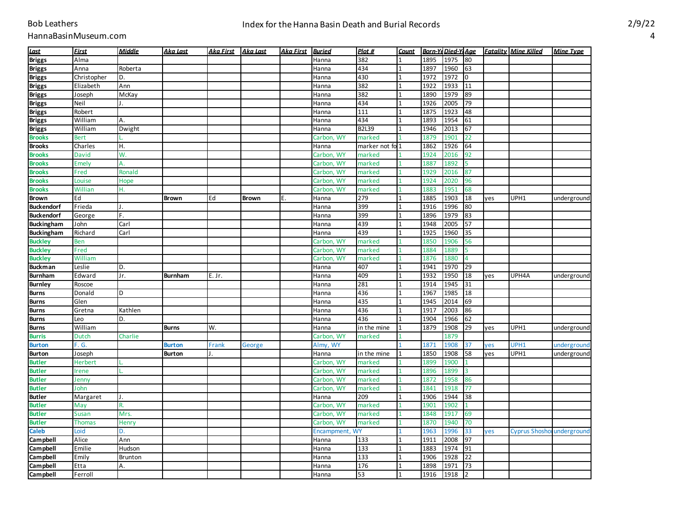| <b>Bob Leathers</b> |
|---------------------|
|---------------------|

| Last              | <b>First</b>   | <b>Middle</b> | <u>Aka Last</u> | Aka First Aka Last |              | Aka First | <b>Buried</b>  | Plot #          | <b>Count</b>   | <b>Born-Ye Died-Y Age</b> |      |                |     | <b>Fatality Mine Killed</b> | <b>Mine Type</b> |
|-------------------|----------------|---------------|-----------------|--------------------|--------------|-----------|----------------|-----------------|----------------|---------------------------|------|----------------|-----|-----------------------------|------------------|
| <b>Briggs</b>     | Alma           |               |                 |                    |              |           | Hanna          | 382             |                | 1895                      | 1975 | 80             |     |                             |                  |
| <b>Briggs</b>     | Anna           | Roberta       |                 |                    |              |           | Hanna          | 434             |                | 1897                      | 1960 | 63             |     |                             |                  |
| <b>Briggs</b>     | Christopher    | D.            |                 |                    |              |           | Hanna          | 430             |                | 1972                      | 1972 | 0              |     |                             |                  |
| <b>Briggs</b>     | Elizabeth      | Ann           |                 |                    |              |           | Hanna          | 382             |                | 1922                      | 1933 | 11             |     |                             |                  |
| <b>Briggs</b>     | Joseph         | МсКау         |                 |                    |              |           | Hanna          | 382             |                | 1890                      | 1979 | 89             |     |                             |                  |
| <b>Briggs</b>     | Neil           |               |                 |                    |              |           | Hanna          | 434             |                | 1926                      | 2005 | 79             |     |                             |                  |
| <b>Briggs</b>     | Robert         |               |                 |                    |              |           | Hanna          | 111             |                | 1875                      | 1923 | 48             |     |                             |                  |
| <b>Briggs</b>     | William        | A.            |                 |                    |              |           | Hanna          | 434             |                | 1893                      | 1954 | 61             |     |                             |                  |
| <b>Briggs</b>     | William        | Dwight        |                 |                    |              |           | Hanna          | <b>B2L39</b>    |                | 1946                      | 2013 | 67             |     |                             |                  |
| Brooks            | <b>Bert</b>    |               |                 |                    |              |           | Carbon, WY     | marked          |                | 1879                      | 1901 | 22             |     |                             |                  |
| <b>Brooks</b>     | Charles        | H.            |                 |                    |              |           | Hanna          | marker not fo 1 |                | 1862                      | 1926 | 64             |     |                             |                  |
| Brooks            | <b>David</b>   | W.            |                 |                    |              |           | Carbon, WY     | marked          |                | 1924                      | 2016 | 92             |     |                             |                  |
| Brooks            | Emely          |               |                 |                    |              |           | Carbon, WY     | marked          |                | 1887                      | 1892 |                |     |                             |                  |
| Brooks            | Fred           | Ronald        |                 |                    |              |           | Carbon, WY     | marked          |                | 1929                      | 2016 | 87             |     |                             |                  |
| <b>Brooks</b>     | Louise         | Hope          |                 |                    |              |           | Carbon, WY     | marked          |                | 1924                      | 2020 | 96             |     |                             |                  |
| Brooks            | Willian        | H.            |                 |                    |              |           | Carbon, WY     | marked          |                | 1883                      | 1951 | 68             |     |                             |                  |
| <b>Brown</b>      | Ed             |               | <b>Brown</b>    | Ed                 | <b>Brown</b> | Ε.        | Hanna          | 279             |                | 1885                      | 1903 | 18             | ves | UPH1                        | underground      |
| <b>Buckendorf</b> | Frieda         |               |                 |                    |              |           | Hanna          | 399             |                | 1916                      | 1996 | 80             |     |                             |                  |
| Buckendorf        | George         | F.            |                 |                    |              |           | Hanna          | 399             |                | 1896                      | 1979 | 83             |     |                             |                  |
| <b>Buckingham</b> | John           | Carl          |                 |                    |              |           | Hanna          | 439             |                | 1948                      | 2005 | 57             |     |                             |                  |
| <b>Buckingham</b> | Richard        | Carl          |                 |                    |              |           | Hanna          | 439             |                | 1925                      | 1960 | 35             |     |                             |                  |
| <b>Buckley</b>    | Ben            |               |                 |                    |              |           | Carbon, WY     | marked          |                | 1850                      | 1906 | 56             |     |                             |                  |
| <b>Buckley</b>    | Fred           |               |                 |                    |              |           | Carbon, WY     | marked          |                | 1884                      | 1889 |                |     |                             |                  |
| <b>Buckley</b>    | William        |               |                 |                    |              |           | Carbon, WY     | marked          |                | 1876                      | 1880 |                |     |                             |                  |
| <b>Buckman</b>    | Leslie         | D.            |                 |                    |              |           | Hanna          | 407             |                | 1941                      | 1970 | 29             |     |                             |                  |
| Burnham           | Edward         | Jr.           | <b>Burnham</b>  | E. Jr.             |              |           | Hanna          | 409             |                | 1932                      | 1950 | 18             | yes | UPH4A                       | underground      |
| Burnley           | Roscoe         |               |                 |                    |              |           | Hanna          | 281             |                | 1914                      | 1945 | 31             |     |                             |                  |
| <b>Burns</b>      | Donald         | D             |                 |                    |              |           | Hanna          | 436             |                | 1967                      | 1985 | 18             |     |                             |                  |
| Burns             | Glen           |               |                 |                    |              |           | Hanna          | 435             |                | 1945                      | 2014 | 69             |     |                             |                  |
| <b>Burns</b>      | Gretna         | Kathlen       |                 |                    |              |           | Hanna          | 436             |                | 1917                      | 2003 | 86             |     |                             |                  |
| <b>Burns</b>      | Leo            | D.            |                 |                    |              |           | Hanna          | 436             |                | 1904                      | 1966 | 62             |     |                             |                  |
| <b>Burns</b>      | William        |               | <b>Burns</b>    | W.                 |              |           | Hanna          | in the mine     |                | 1879                      | 1908 | 29             | yes | UPH1                        | underground      |
| Burris            | <b>Dutch</b>   | Charlie       |                 |                    |              |           | Carbon, WY     | marked          |                |                           | 1879 |                |     |                             |                  |
| Burton            | F.G.           |               | <b>Burton</b>   | Frank              | George       |           | Almy, WY       |                 |                | 1871                      | 1908 | 37             | ves | UPH1                        | underground      |
| <b>Burton</b>     | Joseph         |               | <b>Burton</b>   |                    |              |           | Hanna          | in the mine     | $\overline{1}$ | 1850                      | 1908 | 58             | yes | UPH1                        | underground      |
| Butler            | <b>Herbert</b> |               |                 |                    |              |           | Carbon, WY     | marked          |                | 1899                      | 1900 |                |     |                             |                  |
| Butler            | Irene          |               |                 |                    |              |           | Carbon, WY     | marked          |                | 1896                      | 1899 | R              |     |                             |                  |
| <b>Butler</b>     | Jenny          |               |                 |                    |              |           | Carbon, WY     | marked          |                | 1872                      | 1958 | 86             |     |                             |                  |
| Butler            | John           |               |                 |                    |              |           | Carbon, WY     | marked          |                | 1841                      | 1918 | 77             |     |                             |                  |
| <b>Butler</b>     | Margaret       |               |                 |                    |              |           | Hanna          | 209             |                | 1906                      | 1944 | 38             |     |                             |                  |
| Butler            | May            | Ŕ.            |                 |                    |              |           | Carbon, WY     | marked          |                | 1901                      | 1902 |                |     |                             |                  |
| Butler            | <b>Susan</b>   | Mrs.          |                 |                    |              |           | Carbon, WY     | marked          |                | 1848                      | 1917 | 69             |     |                             |                  |
| <b>Butler</b>     | <b>Thomas</b>  | Henry         |                 |                    |              |           | Carbon, WY     | marked          |                | 1870                      | 1940 | 70             |     |                             |                  |
| <b>Caleb</b>      | Loid           | Ď.            |                 |                    |              |           | Encampment, WY |                 |                | 1963                      | 1996 | 33             | yes | Cyprus Shoshorunderground   |                  |
| Campbell          | Alice          | Ann           |                 |                    |              |           | Hanna          | 133             |                | 1911                      | 2008 | 97             |     |                             |                  |
| Campbell          | Emilie         | Hudson        |                 |                    |              |           | Hanna          | 133             |                | 1883                      | 1974 | 91             |     |                             |                  |
| Campbell          | Emily          | Brunton       |                 |                    |              |           | Hanna          | 133             |                | 1906                      | 1928 | 22             |     |                             |                  |
| Campbell          | Etta           | Α.            |                 |                    |              |           | Hanna          | 176             |                | 1898                      | 1971 | 73             |     |                             |                  |
| Campbell          | Ferroll        |               |                 |                    |              |           | Hanna          | 53              |                | 1916                      | 1918 | $\overline{2}$ |     |                             |                  |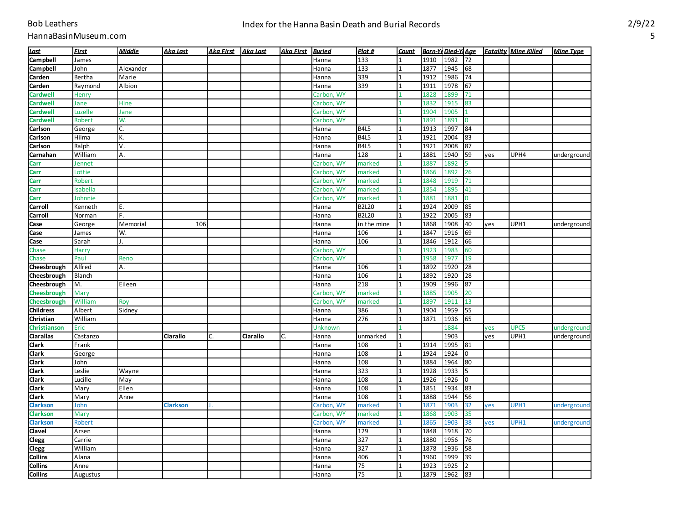| Last             | <b>First</b>    | <b>Middle</b> | <u>Aka Last</u> | Aka First | Aka Last        | Aka First | <b>Buried</b>  | Plot #          | <b>Count</b>   |      | <b>Born Ye Died Y Age</b> |                |     | <b>Fatality Mine Killed</b> | <b>Mine Type</b> |
|------------------|-----------------|---------------|-----------------|-----------|-----------------|-----------|----------------|-----------------|----------------|------|---------------------------|----------------|-----|-----------------------------|------------------|
| Campbell         | James           |               |                 |           |                 |           | Hanna          | 133             |                | 1910 | 1982                      | 72             |     |                             |                  |
| Campbell         | John            | Alexander     |                 |           |                 |           | Hanna          | 133             | 1              | 1877 | 1945                      | 68             |     |                             |                  |
| Carden           | Bertha          | Marie         |                 |           |                 |           | Hanna          | 339             |                | 1912 | 1986                      | 74             |     |                             |                  |
| Carden           | Raymond         | Albion        |                 |           |                 |           | Hanna          | 339             |                | 1911 | 1978                      | 67             |     |                             |                  |
| <b>Cardwell</b>  | Henry           |               |                 |           |                 |           | Carbon, WY     |                 |                | 1828 | 1899                      | 71             |     |                             |                  |
| <b>Cardwell</b>  | Jane            | Hine          |                 |           |                 |           | Carbon, WY     |                 |                | 1832 | 1915                      | 83             |     |                             |                  |
| <b>Cardwell</b>  | Luzelle         | lane          |                 |           |                 |           | Carbon, WY     |                 |                | 1904 | 1905                      |                |     |                             |                  |
| <b>Cardwell</b>  | Robert          | W.            |                 |           |                 |           | Carbon, WY     |                 |                | 1891 | 1891                      | n              |     |                             |                  |
| Carlson          | George          | C.            |                 |           |                 |           | Hanna          | <b>B4L5</b>     |                | 1913 | 1997                      | 84             |     |                             |                  |
| Carlson          | Hilma           | K.            |                 |           |                 |           | Hanna          | <b>B4L5</b>     |                | 1921 | 2004                      | 83             |     |                             |                  |
| Carlson          | Ralph           | V.            |                 |           |                 |           | Hanna          | <b>B4L5</b>     |                | 1921 | 2008                      | 87             |     |                             |                  |
| Carnahan         | William         | Α.            |                 |           |                 |           | Hanna          | 128             |                | 1881 | 1940                      | 59             | yes | UPH4                        | underground      |
| Carr             | Jennet          |               |                 |           |                 |           | Carbon, WY     | marked          |                | 1887 | 1892                      |                |     |                             |                  |
| Carr             | Lottie          |               |                 |           |                 |           | Carbon, WY     | marked          |                | 1866 | 1892                      | 26             |     |                             |                  |
| Carr             | Robert          |               |                 |           |                 |           | Carbon, WY     | marked          |                | 1848 | 1919                      | 71             |     |                             |                  |
| Carr             | <b>Isabella</b> |               |                 |           |                 |           | Carbon, WY     | marked          |                | 1854 | 1895                      | 41             |     |                             |                  |
| Carr             | Johnnie         |               |                 |           |                 |           | Carbon, WY     | marked          |                | 1881 | 1881                      | 0              |     |                             |                  |
| Carroll          | Kenneth         | Ε.            |                 |           |                 |           | Hanna          | <b>B2L20</b>    |                | 1924 | 2009                      | 85             |     |                             |                  |
| Carroll          | Norman          | F.            |                 |           |                 |           | Hanna          | <b>B2L20</b>    |                | 1922 | 2005                      | 83             |     |                             |                  |
| Case             | George          | Memorial      | 106             |           |                 |           | Hanna          | in the mine     |                | 1868 | 1908                      | 40             | ves | UPH1                        | underground      |
| Case             | James           | W.            |                 |           |                 |           | Hanna          | 106             |                | 1847 | 1916                      | 69             |     |                             |                  |
| Case             | Sarah           |               |                 |           |                 |           | Hanna          | 106             |                | 1846 | 1912                      | 66             |     |                             |                  |
| Chase            | Harry           |               |                 |           |                 |           | Carbon, WY     |                 |                | 1923 | 1983                      | 60             |     |                             |                  |
| Chase            | Paul            | Reno          |                 |           |                 |           | Carbon, WY     |                 |                | 1958 | 1977                      | 19             |     |                             |                  |
| Cheesbrough      | Alfred          | Α.            |                 |           |                 |           | Hanna          | 106             |                | 1892 | 1920                      | 28             |     |                             |                  |
| Cheesbrough      | Blanch          |               |                 |           |                 |           | Hanna          | 106             |                | 1892 | 1920                      | 28             |     |                             |                  |
| Cheesbrough      | M.              | Eileen        |                 |           |                 |           | Hanna          | 218             |                | 1909 | 1996                      | 87             |     |                             |                  |
| Cheesbrough      | Mary            |               |                 |           |                 |           | Carbon, WY     | marked          |                | 1885 | 1905                      | 20             |     |                             |                  |
| Cheesbrough      | William         | Roy           |                 |           |                 |           | Carbon, WY     | marked          |                | 1897 | 1911                      | 13             |     |                             |                  |
| <b>Childress</b> | Albert          | Sidney        |                 |           |                 |           | Hanna          | 386             | 11             | 1904 | 1959                      | 55             |     |                             |                  |
| Christian        | William         |               |                 |           |                 |           | Hanna          | 276             | 1              | 1871 | 1936                      | 65             |     |                             |                  |
| Christianson     | Eric            |               |                 |           |                 |           | <b>Unknown</b> |                 |                |      | 1884                      |                | yes | UPC5                        | underground      |
| <b>Ciarallas</b> | Castanzo        |               | Ciarallo        |           | <b>Ciarallo</b> |           | Hanna          | unmarked        | 11             |      | 1903                      |                | ves | UPH1                        | underground      |
| Clark            | Frank           |               |                 |           |                 |           | Hanna          | 108             | 11             | 1914 | 1995                      | 81             |     |                             |                  |
| Clark            | George          |               |                 |           |                 |           | Hanna          | 108             | $\overline{1}$ | 1924 | 1924                      | $\overline{0}$ |     |                             |                  |
| Clark            | John            |               |                 |           |                 |           | Hanna          | 108             |                | 1884 | 1964                      | 80             |     |                             |                  |
| Clark            | Leslie          | Wayne         |                 |           |                 |           | Hanna          | 323             | $\overline{1}$ | 1928 | 1933                      | 5              |     |                             |                  |
| Clark            | Lucille         | May           |                 |           |                 |           | Hanna          | 108             |                | 1926 | 1926                      | 0              |     |                             |                  |
| Clark            | Mary            | Ellen         |                 |           |                 |           | Hanna          | 108             |                | 1851 | 1934                      | 83             |     |                             |                  |
| Clark            | Mary            | Anne          |                 |           |                 |           | Hanna          | 108             |                | 1888 | 1944                      | 56             |     |                             |                  |
| <b>Clarkson</b>  | John            |               | <b>Clarkson</b> |           |                 |           | Carbon, WY     | marked          |                | 1871 | 1903                      | 32             | yes | UPH1                        | underground      |
| <b>Clarkson</b>  | Mary            |               |                 |           |                 |           | Carbon, WY     | marked          |                | 1868 | 1903                      | 35             |     |                             |                  |
| <b>Clarkson</b>  | Robert          |               |                 |           |                 |           | Carbon, WY     | marked          |                | 1865 | 1903                      | 38             | yes | UPH1                        | underground      |
| Clavel           | Arsen           |               |                 |           |                 |           | Hanna          | 129             |                | 1848 | 1918                      | 70             |     |                             |                  |
| Clegg            | Carrie          |               |                 |           |                 |           | Hanna          | 327             |                | 1880 | 1956                      | 76             |     |                             |                  |
| <b>Clegg</b>     | William         |               |                 |           |                 |           | Hanna          | 327             |                | 1878 | 1936                      | 58             |     |                             |                  |
| Collins          | Alana           |               |                 |           |                 |           | Hanna          | 406             |                | 1960 | 1999                      | 39             |     |                             |                  |
| Collins          | Anne            |               |                 |           |                 |           | Hanna          | 75              |                | 1923 | 1925                      | $\mathfrak{p}$ |     |                             |                  |
| Collins          | Augustus        |               |                 |           |                 |           | Hanna          | $\overline{75}$ |                | 1879 | 1962                      | 83             |     |                             |                  |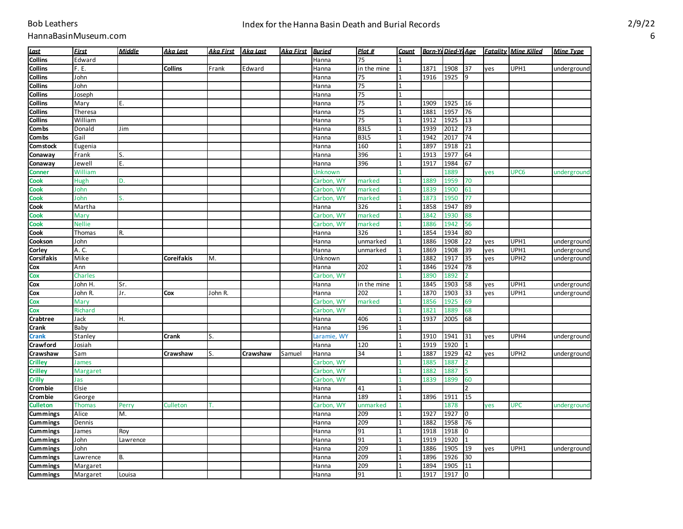| <b>Last</b>       | <b>First</b>  | <b>Middle</b> | <u>Aka Last</u>   | Aka First | Aka Last | Aka First | <b>Buried</b>  | Plot #      | Count | <b>Born-Ye Died-Y Age</b> |      |                |     | <b>Fatality Mine Killed</b> | <b>Mine Type</b> |
|-------------------|---------------|---------------|-------------------|-----------|----------|-----------|----------------|-------------|-------|---------------------------|------|----------------|-----|-----------------------------|------------------|
| Collins           | Edward        |               |                   |           |          |           | Hanna          | 75          |       |                           |      |                |     |                             |                  |
| Collins           | F.E.          |               | Collins           | Frank     | Edward   |           | Hanna          | in the mine |       | 1871                      | 1908 | 37             | yes | UPH1                        | underground      |
| Collins           | John          |               |                   |           |          |           | Hanna          | 75          |       | 1916                      | 1925 | 9              |     |                             |                  |
| Collins           | John          |               |                   |           |          |           | Hanna          | 75          |       |                           |      |                |     |                             |                  |
| Collins           | Joseph        |               |                   |           |          |           | Hanna          | 75          |       |                           |      |                |     |                             |                  |
| Collins           | Mary          | E.            |                   |           |          |           | Hanna          | 75          |       | 1909                      | 1925 | 16             |     |                             |                  |
| Collins           | Theresa       |               |                   |           |          |           | Hanna          | 75          |       | 1881                      | 1957 | 76             |     |                             |                  |
| Collins           | William       |               |                   |           |          |           | Hanna          | 75          |       | 1912                      | 1925 | 13             |     |                             |                  |
| <b>Combs</b>      | Donald        | Jim           |                   |           |          |           | Hanna          | <b>B3L5</b> |       | 1939                      | 2012 | 73             |     |                             |                  |
| <b>Combs</b>      | Gail          |               |                   |           |          |           | Hanna          | <b>B3L5</b> |       | 1942                      | 2017 | 74             |     |                             |                  |
| Comstock          | Eugenia       |               |                   |           |          |           | Hanna          | 160         |       | 1897                      | 1918 | 21             |     |                             |                  |
| Conaway           | Frank         | S.            |                   |           |          |           | Hanna          | 396         |       | 1913                      | 1977 | 64             |     |                             |                  |
| Conaway           | Jewell        | E.            |                   |           |          |           | Hanna          | 396         |       | 1917                      | 1984 | 67             |     |                             |                  |
| Conner            | William       |               |                   |           |          |           | <b>Unknown</b> |             |       |                           | 1889 |                | ves | UPC6                        | underground      |
| <b>Cook</b>       | Hugh          | D.            |                   |           |          |           | Carbon, WY     | marked      |       | 1889                      | 1959 | 70             |     |                             |                  |
| Cook              | John          |               |                   |           |          |           | Carbon, WY     | marked      |       | 1839                      | 1900 | 61             |     |                             |                  |
| Cook              | John          |               |                   |           |          |           | Carbon, WY     | marked      |       | 1873                      | 1950 | 77             |     |                             |                  |
| Cook              | Martha        |               |                   |           |          |           | Hanna          | 326         |       | 1858                      | 1947 | 89             |     |                             |                  |
| <b>Cook</b>       | Mary          |               |                   |           |          |           | Carbon, WY     | marked      |       | 1842                      | 1930 | 88             |     |                             |                  |
| Cook              | <b>Nellie</b> |               |                   |           |          |           | Carbon, WY     | marked      |       | 1886                      | 1942 | 56             |     |                             |                  |
| Cook              | Thomas        | R.            |                   |           |          |           | Hanna          | 326         |       | 1854                      | 1934 | 80             |     |                             |                  |
| Cookson           | John          |               |                   |           |          |           | Hanna          | unmarked    |       | 1886                      | 1908 | 22             | yes | UPH1                        | underground      |
| Corley            | A. C.         |               |                   |           |          |           | Hanna          | unmarked    |       | 1869                      | 1908 | 39             | yes | UPH1                        | underground      |
| <b>Corsifakis</b> | Mike          |               | <b>Coreifakis</b> | M.        |          |           | Unknown        |             |       | 1882                      | 1917 | 35             | yes | UPH <sub>2</sub>            | underground      |
| Cox               | Ann           |               |                   |           |          |           | Hanna          | 202         |       | 1846                      | 1924 | 78             |     |                             |                  |
| Cox               | Charles       |               |                   |           |          |           | Carbon, WY     |             |       | 1890                      | 1892 |                |     |                             |                  |
| Cox               | John H.       | Sr.           |                   |           |          |           | Hanna          | in the mine |       | 1845                      | 1903 | 58             | yes | UPH1                        | underground      |
| Cox               | John R.       | Jr.           | Cox               | John R.   |          |           | Hanna          | 202         |       | 1870                      | 1903 | 33             | yes | UPH1                        | underground      |
| Cox               | Mary          |               |                   |           |          |           | Carbon, WY     | marked      |       | 1856                      | 1925 | 69             |     |                             |                  |
| Cox               | Richard       |               |                   |           |          |           | Carbon, WY     |             |       | 1821                      | 1889 | 68             |     |                             |                  |
| Crabtree          | Jack          | Η.            |                   |           |          |           | Hanna          | 406         |       | 1937                      | 2005 | 68             |     |                             |                  |
| Crank             | Baby          |               |                   |           |          |           | Hanna          | 196         |       |                           |      |                |     |                             |                  |
| <b>Crank</b>      | Stanley       |               | Crank             | lS.       |          |           | Laramie, WY    |             |       | 1910                      | 1941 | 31             | ves | UPH4                        | underground      |
| Crawford          | Josiah        |               |                   |           |          |           | Hanna          | 120         |       | 1919                      | 1920 |                |     |                             |                  |
| Crawshaw          | Sam           |               | Crawshaw          | S.        | Crawshaw | Samuel    | Hanna          | 34          |       | 1887                      | 1929 | 42             | yes | UPH <sub>2</sub>            | underground      |
| <b>Crilley</b>    | James         |               |                   |           |          |           | Carbon, WY     |             |       | 1885                      | 1887 |                |     |                             |                  |
| <b>Crilley</b>    | Margaret      |               |                   |           |          |           | Carbon, WY     |             |       | 1882                      | 1887 | 5              |     |                             |                  |
| <b>Crilly</b>     | Jas           |               |                   |           |          |           | Carbon, WY     |             |       | 1839                      | 1899 | 60             |     |                             |                  |
| <b>Crombie</b>    | Elsie         |               |                   |           |          |           | Hanna          | 41          |       |                           |      |                |     |                             |                  |
| <b>Crombie</b>    | George        |               |                   |           |          |           | Hanna          | 189         |       | 1896                      | 1911 | 15             |     |                             |                  |
| <b>Culleton</b>   | Thomas        | Perry         | Culleton          | Т.        |          |           | Carbon, WY     | unmarked    |       |                           | 1878 |                | ves | <b>UPC</b>                  | underground      |
| Cummings          | Alice         | M.            |                   |           |          |           | Hanna          | 209         |       | 1927                      | 1927 | 0              |     |                             |                  |
| Cummings          | Dennis        |               |                   |           |          |           | Hanna          | 209         |       | 1882                      | 1958 | 76             |     |                             |                  |
| Cummings          | James         | Roy           |                   |           |          |           | Hanna          | 91          |       | 1918                      | 1918 |                |     |                             |                  |
| Cummings          | John          | Lawrence      |                   |           |          |           | Hanna          | 91          |       | 1919                      | 1920 |                |     |                             |                  |
| Cummings          | John          |               |                   |           |          |           | Hanna          | 209         |       | 1886                      | 1905 | 19             | yes | UPH1                        | underground      |
| Cummings          | Lawrence      | B.            |                   |           |          |           | Hanna          | 209         |       | 1896                      | 1926 | 30             |     |                             |                  |
| Cummings          | Margaret      |               |                   |           |          |           | Hanna          | 209         |       | 1894                      | 1905 | 11             |     |                             |                  |
| <b>Cummings</b>   | Margaret      | Louisa        |                   |           |          |           | Hanna          | 91          |       | 1917                      | 1917 | $\overline{0}$ |     |                             |                  |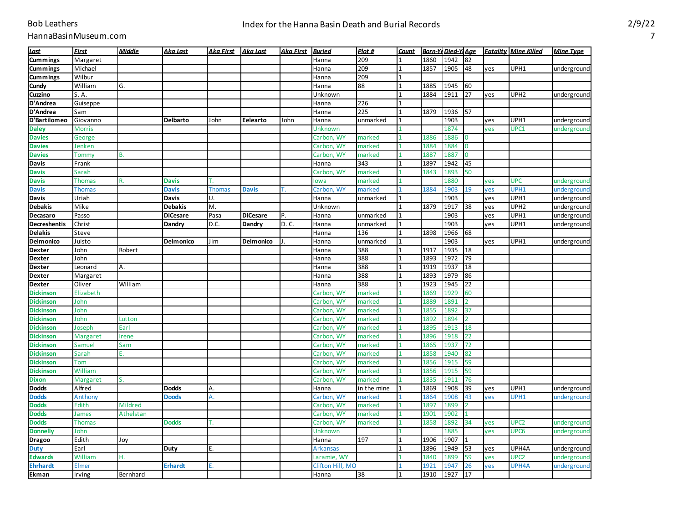| <b>Bob Leathers</b> |
|---------------------|
|                     |

| Last             | <b>First</b>    | <b>Middle</b>  | <u>Aka Last</u> | Aka First Aka Last |                 | Aka First | <b>Buried</b>    | Plot #      | <b>Count</b> | <b>Born Ye Died Y Age</b> |      |                 |     | <b>Fatality Mine Killed</b> | <b>Mine Type</b> |
|------------------|-----------------|----------------|-----------------|--------------------|-----------------|-----------|------------------|-------------|--------------|---------------------------|------|-----------------|-----|-----------------------------|------------------|
| Cummings         | Margaret        |                |                 |                    |                 |           | Hanna            | 209         |              | 1860                      | 1942 | 82              |     |                             |                  |
| Cummings         | Michael         |                |                 |                    |                 |           | Hanna            | 209         |              | 1857                      | 1905 | 48              | yes | UPH1                        | underground      |
| Cummings         | Wilbur          |                |                 |                    |                 |           | Hanna            | 209         |              |                           |      |                 |     |                             |                  |
| Cundy            | William         | G.             |                 |                    |                 |           | Hanna            | 88          |              | 1885                      | 1945 | 60              |     |                             |                  |
| Cuzzino          | S. A.           |                |                 |                    |                 |           | Unknown          |             |              | 1884                      | 1911 | 27              | yes | UPH2                        | underground      |
| D'Andrea         | Guiseppe        |                |                 |                    |                 |           | Hanna            | 226         |              |                           |      |                 |     |                             |                  |
| D'Andrea         | Sam             |                |                 |                    |                 |           | Hanna            | 225         |              | 1879                      | 1936 | 57              |     |                             |                  |
| D'Bartilomeo     | Giovanno        |                | Delbarto        | John               | Eelearto        | John      | Hanna            | unmarked    |              |                           | 1903 |                 | yes | UPH1                        | underground      |
| Daley            | <b>Morris</b>   |                |                 |                    |                 |           | <b>Unknown</b>   |             |              |                           | 1874 |                 | yes | UPC1                        | underground      |
| <b>Davies</b>    | George          |                |                 |                    |                 |           | Carbon, WY       | marked      |              | 1886                      | 1886 |                 |     |                             |                  |
| Davies           | Jenken          |                |                 |                    |                 |           | Carbon, WY       | marked      |              | 1884                      | 1884 |                 |     |                             |                  |
| Davies           | Tommy           | В.             |                 |                    |                 |           | Carbon, WY       | marked      |              | 1887                      | 1887 |                 |     |                             |                  |
| Davis            | Frank           |                |                 |                    |                 |           | Hanna            | 343         |              | 1897                      | 1942 | 45              |     |                             |                  |
| <b>Davis</b>     | Sarah           |                |                 |                    |                 |           | Carbon, WY       | marked      |              | 1843                      | 1893 | 50              |     |                             |                  |
| Davis            | <b>Thomas</b>   | R.             | <b>Davis</b>    | Т.                 |                 |           | lowa             | marked      |              |                           | 1880 |                 | yes | <b>UPC</b>                  | underground      |
| <b>Davis</b>     | <b>Thomas</b>   |                | <b>Davis</b>    | <b>Thomas</b>      | <b>Davis</b>    |           | Carbon, WY       | marked      |              | 1884                      | 1903 | 19              | yes | UPH1                        | underground      |
| Davis            | Uriah           |                | Davis           | U.                 |                 |           | Hanna            | unmarked    |              |                           | 1903 |                 | yes | UPH1                        | underground      |
| <b>Debakis</b>   | Mike            |                | <b>Debakis</b>  | M.                 |                 |           | Unknown          |             |              | 1879                      | 1917 | 38              | yes | UPH <sub>2</sub>            | underground      |
| Decasaro         | Passo           |                | <b>DiCesare</b> | Pasa               | <b>DiCesare</b> | P.        | Hanna            | unmarked    |              |                           | 1903 |                 | yes | UPH1                        | underground      |
| Decreshentis     | Christ          |                | Dandry          | D.C.               | Dandry          | D. C.     | Hanna            | unmarked    |              |                           | 1903 |                 | yes | UPH1                        | underground      |
| <b>Delakis</b>   | Steve           |                |                 |                    |                 |           | Hanna            | 136         |              | 1898                      | 1966 | 68              |     |                             |                  |
| Delmonico        | Juisto          |                | Delmonico       | Jim                | Delmonico       |           | Hanna            | unmarked    |              |                           | 1903 |                 | yes | UPH1                        | underground      |
| Dexter           | John            | Robert         |                 |                    |                 |           | Hanna            | 388         |              | 1917                      | 1935 | 18              |     |                             |                  |
| Dexter           | John            |                |                 |                    |                 |           | Hanna            | 388         |              | 1893                      | 1972 | 79              |     |                             |                  |
| Dexter           | Leonard         | Α.             |                 |                    |                 |           | Hanna            | 388         |              | 1919                      | 1937 | 18              |     |                             |                  |
| Dexter           | Margaret        |                |                 |                    |                 |           | Hanna            | 388         |              | 1893                      | 1979 | 86              |     |                             |                  |
| Dexter           | Oliver          | William        |                 |                    |                 |           | Hanna            | 388         |              | 1923                      | 1945 | $\overline{22}$ |     |                             |                  |
| <b>Dickinson</b> | Elizabeth       |                |                 |                    |                 |           | Carbon, WY       | marked      |              | 1869                      | 1929 | 60              |     |                             |                  |
| <b>Dickinson</b> | John            |                |                 |                    |                 |           | Carbon, WY       | marked      |              | 1889                      | 1891 |                 |     |                             |                  |
| <b>Dickinson</b> | John            |                |                 |                    |                 |           | Carbon, WY       | marked      |              | 1855                      | 1892 | 37              |     |                             |                  |
| <b>Dickinson</b> | John            | Lutton         |                 |                    |                 |           | Carbon, WY       | marked      |              | 1892                      | 1894 |                 |     |                             |                  |
| <b>Dickinson</b> | Joseph          | Earl           |                 |                    |                 |           | Carbon, WY       | marked      |              | 1895                      | 1913 | 18              |     |                             |                  |
| <b>Dickinson</b> | Margaret        | Irene          |                 |                    |                 |           | Carbon, WY       | marked      |              | 1896                      | 1918 | $\overline{22}$ |     |                             |                  |
| <b>Dickinson</b> | Samuel          | Sam            |                 |                    |                 |           | Carbon, WY       | marked      |              | 1865                      | 1937 | 72              |     |                             |                  |
| <b>Dickinson</b> | Sarah           |                |                 |                    |                 |           | Carbon, WY       | marked      |              | 1858                      | 1940 | 82              |     |                             |                  |
| <b>Dickinson</b> | Tom             |                |                 |                    |                 |           | Carbon, WY       | marked      |              | 1856                      | 1915 | 59              |     |                             |                  |
| <b>Dickinson</b> | William         |                |                 |                    |                 |           | Carbon, WY       | marked      |              | 1856                      | 1915 | 59              |     |                             |                  |
| <b>Dixon</b>     | <b>Margaret</b> | S.             |                 |                    |                 |           | Carbon, WY       | marked      |              | 1835                      | 1911 | 76              |     |                             |                  |
| <b>Dodds</b>     | Alfred          |                | <b>Dodds</b>    | Α.                 |                 |           | Hanna            | in the mine |              | 1869                      | 1908 | 39              | yes | UPH1                        | underground      |
| <b>Dodds</b>     | Anthony         |                | <b>Doods</b>    |                    |                 |           | Carbon, WY       | marked      |              | 1864                      | 1908 | 43              | yes | UPH1                        | underground      |
| Dodds            | Edith           | <b>Mildred</b> |                 |                    |                 |           | Carbon, WY       | marked      |              | 1897                      | 1899 |                 |     |                             |                  |
| <b>Dodds</b>     | James           | Athelstan      |                 |                    |                 |           | Carbon, WY       | marked      |              | 1901                      | 1902 |                 |     |                             |                  |
| Dodds            | <b>Thomas</b>   |                | <b>Dodds</b>    |                    |                 |           | Carbon, WY       | marked      |              | 1858                      | 1892 | 34              | yes | UPC <sub>2</sub>            | underground      |
| <b>Donnelly</b>  | John            |                |                 |                    |                 |           | <b>Unknown</b>   |             |              |                           | 1885 |                 | ves | UPC6                        | underground      |
| Dragoo           | Edith           | Joy            |                 |                    |                 |           | Hanna            | 197         |              | 1906                      | 1907 | $\mathbf 1$     |     |                             |                  |
| <b>Duty</b>      | Earl            |                | Duty            | E.                 |                 |           | <b>Arkansas</b>  |             |              | 1896                      | 1949 | 53              | yes | UPH <sub>4</sub> A          | underground      |
| Edwards          | William         | н.             |                 |                    |                 |           | Laramie, WY      |             |              | 1840                      | 1899 | 59              | yes | UPC <sub>2</sub>            | underground      |
| <b>Ehrhardt</b>  | Elmer           |                | <b>Erhardt</b>  | Ē.                 |                 |           | Clifton Hill, MO |             |              | 1921                      | 1947 | 26              | yes | UPH <sub>4</sub> A          | underground      |
| Ekman            | Irving          | Bernhard       |                 |                    |                 |           | Hanna            | 38          |              | 1910                      | 1927 | 17              |     |                             |                  |
|                  |                 |                |                 |                    |                 |           |                  |             |              |                           |      |                 |     |                             |                  |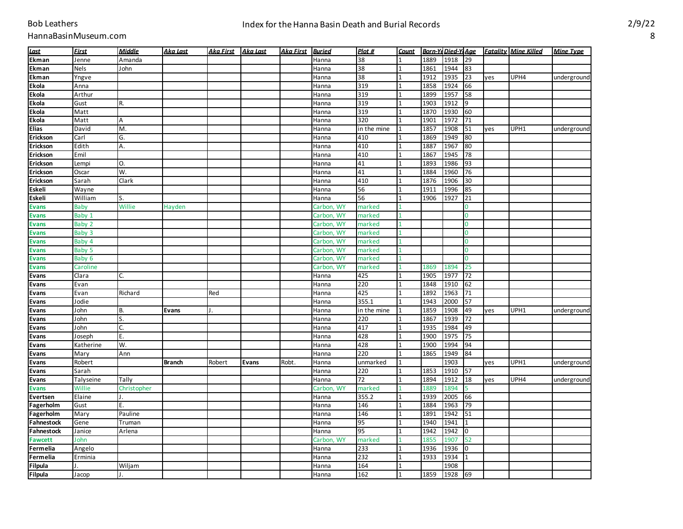| Last           | <b>First</b> | <b>Middle</b> | <u>Aka Last</u> | <u>Aka First</u> | Aka Last     | Aka First | <b>Buried</b> | Plot #      | Count |      | <b>Born-YeDied-YeAae</b> |                 |     | <b>Fatality Mine Killed</b> | <b>Mine Type</b> |
|----------------|--------------|---------------|-----------------|------------------|--------------|-----------|---------------|-------------|-------|------|--------------------------|-----------------|-----|-----------------------------|------------------|
| <b>Ekman</b>   | Jenne        | Amanda        |                 |                  |              |           | Hanna         | 38          |       | 1889 | 1918                     | 29              |     |                             |                  |
| Ekman          | Nels         | John          |                 |                  |              |           | Hanna         | 38          |       | 1861 | 1944                     | 83              |     |                             |                  |
| Ekman          | Yngve        |               |                 |                  |              |           | Hanna         | 38          |       | 1912 | 1935                     | 23              | yes | UPH4                        | underground      |
| Ekola          | Anna         |               |                 |                  |              |           | Hanna         | 319         |       | 1858 | 1924                     | 66              |     |                             |                  |
| Ekola          | Arthur       |               |                 |                  |              |           | Hanna         | 319         |       | 1899 | 1957                     | 58              |     |                             |                  |
| Ekola          | Gust         | R.            |                 |                  |              |           | Hanna         | 319         |       | 1903 | 1912                     | 9               |     |                             |                  |
| Ekola          | Matt         |               |                 |                  |              |           | Hanna         | 319         |       | 1870 | 1930                     | 60              |     |                             |                  |
| Ekola          | Matt         | A             |                 |                  |              |           | Hanna         | 320         |       | 1901 | 1972                     | 71              |     |                             |                  |
| <b>Elias</b>   | David        | M.            |                 |                  |              |           | Hanna         | in the mine |       | 1857 | 1908                     | $\overline{51}$ | yes | UPH1                        | underground      |
| Erickson       | Carl         | G.            |                 |                  |              |           | Hanna         | 410         |       | 1869 | 1949                     | 80              |     |                             |                  |
| Erickson       | Edith        | Α.            |                 |                  |              |           | Hanna         | 410         |       | 1887 | 1967                     | 80              |     |                             |                  |
| Erickson       | Emil         |               |                 |                  |              |           | Hanna         | 410         |       | 1867 | 1945                     | 78              |     |                             |                  |
| Erickson       | Lempi        | O.            |                 |                  |              |           | Hanna         | 41          |       | 1893 | 1986                     | 93              |     |                             |                  |
| Erickson       | Oscar        | W.            |                 |                  |              |           | Hanna         | 41          |       | 1884 | 1960                     | 76              |     |                             |                  |
| Erickson       | Sarah        | Clark         |                 |                  |              |           | Hanna         | 410         |       | 1876 | 1906                     | 30              |     |                             |                  |
| Eskeli         | Wayne        |               |                 |                  |              |           | Hanna         | 56          |       | 1911 | 1996                     | 85              |     |                             |                  |
| <b>Eskeli</b>  | William      | S.            |                 |                  |              |           | Hanna         | 56          |       | 1906 | 1927                     | 21              |     |                             |                  |
| <b>Evans</b>   | <b>Baby</b>  | Willie        | Hayden          |                  |              |           | Carbon, WY    | marked      |       |      |                          | O               |     |                             |                  |
| <b>Evans</b>   | Baby 1       |               |                 |                  |              |           | Carbon, WY    | marked      |       |      |                          | 0               |     |                             |                  |
| <b>Evans</b>   | Baby 2       |               |                 |                  |              |           | Carbon, WY    | marked      |       |      |                          | Ő               |     |                             |                  |
| <b>Evans</b>   | Baby 3       |               |                 |                  |              |           | Carbon, WY    | marked      |       |      |                          | $\Omega$        |     |                             |                  |
| <b>Evans</b>   | Baby 4       |               |                 |                  |              |           | Carbon, WY    | marked      |       |      |                          | $\Omega$        |     |                             |                  |
| <b>Evans</b>   | Baby 5       |               |                 |                  |              |           | Carbon, WY    | marked      |       |      |                          | 0               |     |                             |                  |
| <b>Evans</b>   | Baby 6       |               |                 |                  |              |           | Carbon, WY    | marked      |       |      |                          | 0               |     |                             |                  |
| <b>Evans</b>   | Caroline     |               |                 |                  |              |           | Carbon, WY    | marked      |       | 1869 | 1894                     | 25              |     |                             |                  |
| <b>Evans</b>   | Clara        | C.            |                 |                  |              |           | Hanna         | 425         |       | 1905 | 1977                     | 72              |     |                             |                  |
| <b>Evans</b>   | Evan         |               |                 |                  |              |           | Hanna         | 220         |       | 1848 | 1910                     | 62              |     |                             |                  |
| Evans          | Evan         | Richard       |                 | Red              |              |           | Hanna         | 425         |       | 1892 | 1963                     | 71              |     |                             |                  |
| <b>Evans</b>   | Jodie        |               |                 |                  |              |           | Hanna         | 355.1       |       | 1943 | 2000                     | 57              |     |                             |                  |
| Evans          | John         | B.            | <b>Evans</b>    |                  |              |           | Hanna         | in the mine |       | 1859 | 1908                     | 49              | yes | UPH1                        | underground      |
| Evans          | Iohn         | S.            |                 |                  |              |           | Hanna         | 220         |       | 1867 | 1939                     | 72              |     |                             |                  |
| Evans          | Iohn         | C.            |                 |                  |              |           | Hanna         | 417         |       | 1935 | 1984                     | 49              |     |                             |                  |
| <b>Evans</b>   | Joseph       | E.            |                 |                  |              |           | Hanna         | 428         |       | 1900 | 1975                     | 75              |     |                             |                  |
| <b>Evans</b>   | Katherine    | W.            |                 |                  |              |           | Hanna         | 428         |       | 1900 | 1994                     | 94              |     |                             |                  |
| <b>Evans</b>   | Mary         | Ann           |                 |                  |              |           | Hanna         | 220         |       | 1865 | 1949                     | 84              |     |                             |                  |
| Evans          | Robert       |               | <b>Branch</b>   | Robert           | <b>Evans</b> | Robt.     | Hanna         | unmarked    |       |      | 1903                     |                 | ves | UPH1                        | underground      |
| Evans          | Sarah        |               |                 |                  |              |           | Hanna         | 220         |       | 1853 | 1910                     | 57              |     |                             |                  |
| Evans          | Talyseine    | Tally         |                 |                  |              |           | Hanna         | 72          |       | 1894 | 1912                     | 18              | ves | UPH4                        | underground      |
| <b>Evans</b>   | Willie       | Christopher   |                 |                  |              |           | Carbon, WY    | marked      |       | 1889 | 1894                     | 5               |     |                             |                  |
| Evertsen       | Elaine       |               |                 |                  |              |           | Hanna         | 355.2       |       | 1939 | 2005                     | 66              |     |                             |                  |
| Fagerholm      | Gust         | E.            |                 |                  |              |           | Hanna         | 146         |       | 1884 | 1963                     | 79              |     |                             |                  |
| Fagerholm      | Mary         | Pauline       |                 |                  |              |           | Hanna         | 146         |       | 1891 | 1942                     | 51              |     |                             |                  |
| Fahnestock     | Gene         | Truman        |                 |                  |              |           | Hanna         | 95          |       | 1940 | 1941                     | $\mathbf{1}$    |     |                             |                  |
| Fahnestock     | Janice       | Arlena        |                 |                  |              |           | Hanna         | 95          |       | 1942 | 1942                     | l0              |     |                             |                  |
| <b>Fawcett</b> | Iohn         |               |                 |                  |              |           | Carbon, WY    | marked      |       | 1855 | 1907                     | 52              |     |                             |                  |
| Fermelia       | Angelo       |               |                 |                  |              |           | Hanna         | 233         |       | 1936 | 1936                     | 0               |     |                             |                  |
| Fermelia       | Erminia      |               |                 |                  |              |           | Hanna         | 232         |       | 1933 | 1934                     |                 |     |                             |                  |
| Filpula        |              | Wiljam        |                 |                  |              |           | Hanna         | 164         |       |      | 1908                     |                 |     |                             |                  |
| Filpula        | Jacop        |               |                 |                  |              |           | Hanna         | 162         |       | 1859 | 1928                     | 69              |     |                             |                  |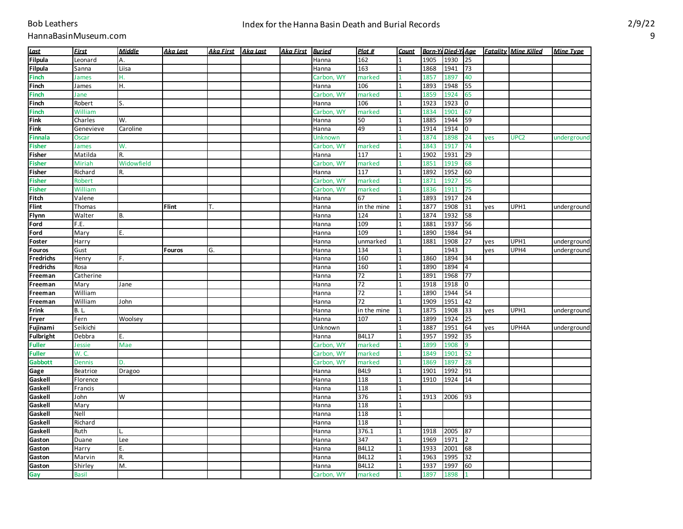| Last             | <b>First</b>  | <b>Middle</b> | <u>Aka Last</u> | Aka First Aka Last | Aka First | <b>Buried</b> | Plot #       | Count | <b>Born Ye Died Y Age</b> |      |                |     | <b>Fatality Mine Killed</b> | <b>Mine Type</b> |
|------------------|---------------|---------------|-----------------|--------------------|-----------|---------------|--------------|-------|---------------------------|------|----------------|-----|-----------------------------|------------------|
| Filpula          | Leonard       | Α.            |                 |                    |           | Hanna         | 162          |       | 1905                      | 1930 | 25             |     |                             |                  |
| <b>Filpula</b>   | Sanna         | Liisa         |                 |                    |           | Hanna         | 163          |       | 1868                      | 1941 | 73             |     |                             |                  |
| Finch            | James         | н.            |                 |                    |           | Carbon, WY    | marked       |       | 1857                      | 1897 | 40             |     |                             |                  |
| Finch            | James         | Η.            |                 |                    |           | Hanna         | 106          |       | 1893                      | 1948 | 55             |     |                             |                  |
| Finch            | Jane          |               |                 |                    |           | Carbon, WY    | marked       |       | 1859                      | 1924 | 65             |     |                             |                  |
| Finch            | Robert        | S.            |                 |                    |           | Hanna         | 106          |       | 1923                      | 1923 | 0              |     |                             |                  |
| Finch            | William       |               |                 |                    |           | Carbon, WY    | marked       |       | 1834                      | 1901 | 67             |     |                             |                  |
| Fink             | Charles       | W.            |                 |                    |           | Hanna         | 50           |       | 1885                      | 1944 | 59             |     |                             |                  |
| Fink             | Genevieve     | Caroline      |                 |                    |           | Hanna         | 49           |       | 1914                      | 1914 | 0              |     |                             |                  |
| Finnala          | Oscar         |               |                 |                    |           | Unknown       |              |       | 1874                      | 1898 | 24             | yes | UPC <sub>2</sub>            | underground      |
| Fisher           | James         | W.            |                 |                    |           | Carbon, WY    | marked       |       | 1843                      | 1917 | 74             |     |                             |                  |
| Fisher           | Matilda       | R.            |                 |                    |           | Hanna         | 117          |       | 1902                      | 1931 | 29             |     |                             |                  |
| Fisher           | <b>Miriah</b> | Widowfield    |                 |                    |           | Carbon, WY    | marked       |       | 1851                      | 1919 | 68             |     |                             |                  |
| Fisher           | Richard       | R.            |                 |                    |           | Hanna         | 117          |       | 1892                      | 1952 | 60             |     |                             |                  |
| Fisher           | Robert        |               |                 |                    |           | Carbon, WY    | marked       |       | 1871                      | 1927 | 56             |     |                             |                  |
| Fisher           | William       |               |                 |                    |           | Carbon, WY    | marked       |       | 1836                      | 1911 | 75             |     |                             |                  |
| Fitch            | Valene        |               |                 |                    |           | Hanna         | 67           |       | 1893                      | 1917 | 24             |     |                             |                  |
| <b>Flint</b>     | Thomas        |               | <b>Flint</b>    | T.                 |           | Hanna         | in the mine  |       | 1877                      | 1908 | 31             | yes | UPH1                        | underground      |
| Flynn            | Walter        | B.            |                 |                    |           | Hanna         | 124          |       | 1874                      | 1932 | 58             |     |                             |                  |
| Ford             | F.E.          |               |                 |                    |           | Hanna         | 109          |       | 1881                      | 1937 | 56             |     |                             |                  |
| Ford             | Mary          | E.            |                 |                    |           | Hanna         | 109          |       | 1890                      | 1984 | 94             |     |                             |                  |
| Foster           | Harry         |               |                 |                    |           | Hanna         | unmarked     |       | 1881                      | 1908 | 27             | yes | UPH1                        | underground      |
| Fouros           | Gust          |               | <b>Fouros</b>   | G.                 |           | Hanna         | 134          |       |                           | 1943 |                | ves | UPH4                        | underground      |
| <b>Fredrichs</b> | Henry         | F.            |                 |                    |           | Hanna         | 160          |       | 1860                      | 1894 | 34             |     |                             |                  |
| <b>Fredrichs</b> | Rosa          |               |                 |                    |           | Hanna         | 160          |       | 1890                      | 1894 | $\overline{4}$ |     |                             |                  |
| Freeman          | Catherine     |               |                 |                    |           | Hanna         | 72           |       | 1891                      | 1968 | 77             |     |                             |                  |
| Freeman          | Mary          | Jane          |                 |                    |           | Hanna         | 72           |       | 1918                      | 1918 | $\Omega$       |     |                             |                  |
| Freeman          | William       |               |                 |                    |           | Hanna         | 72           |       | 1890                      | 1944 | 54             |     |                             |                  |
| Freeman          | William       | John          |                 |                    |           | Hanna         | 72           |       | 1909                      | 1951 | 42             |     |                             |                  |
| Frink            | <b>B.L.</b>   |               |                 |                    |           | Hanna         | in the mine  |       | 1875                      | 1908 | 33             | yes | UPH1                        | underground      |
| Fryer            | Fern          | Woolsey       |                 |                    |           | Hanna         | 107          |       | 1899                      | 1924 | 25             |     |                             |                  |
| Fujinami         | Seikichi      |               |                 |                    |           | Unknown       |              |       | 1887                      | 1951 | 64             | ves | UPH4A                       | underground      |
| <b>Fulbright</b> | Debbra        | E.            |                 |                    |           | Hanna         | B4L17        |       | 1957                      | 1992 | 35             |     |                             |                  |
| <b>Fuller</b>    | Jessie        | Mae           |                 |                    |           | Carbon, WY    | marked       |       | 1899                      | 1908 | 9              |     |                             |                  |
| <b>Fuller</b>    | W. C.         |               |                 |                    |           | Carbon, WY    | marked       |       | 1849                      | 1901 | 52             |     |                             |                  |
| Gabbott          | <b>Dennis</b> | D.            |                 |                    |           | Carbon, WY    | marked       |       | 1869                      | 1897 | 28             |     |                             |                  |
| Gage             | Beatrice      | Dragoo        |                 |                    |           | Hanna         | <b>B4L9</b>  |       | 1901                      | 1992 | 91             |     |                             |                  |
| Gaskell          | Florence      |               |                 |                    |           | Hanna         | 118          |       | 1910                      | 1924 | 14             |     |                             |                  |
| Gaskell          | Francis       |               |                 |                    |           | Hanna         | 118          |       |                           |      |                |     |                             |                  |
| Gaskell          | John          | W             |                 |                    |           | Hanna         | 376          |       | 1913                      | 2006 | 93             |     |                             |                  |
| Gaskell          | Mary          |               |                 |                    |           | Hanna         | 118          |       |                           |      |                |     |                             |                  |
| Gaskell          | Nell          |               |                 |                    |           | Hanna         | 118          |       |                           |      |                |     |                             |                  |
| Gaskell          | Richard       |               |                 |                    |           | Hanna         | 118          |       |                           |      |                |     |                             |                  |
| Gaskell          | Ruth          |               |                 |                    |           | Hanna         | 376.1        |       | 1918                      | 2005 | 87             |     |                             |                  |
| Gaston           | Duane         | Lee           |                 |                    |           | Hanna         | 347          |       | 1969                      | 1971 | $\overline{2}$ |     |                             |                  |
| Gaston           | Harry         | E.            |                 |                    |           | Hanna         | B4L12        |       | 1933                      | 2001 | 68             |     |                             |                  |
| Gaston           | Marvin        | R.            |                 |                    |           | Hanna         | <b>B4L12</b> |       | 1963                      | 1995 | 32             |     |                             |                  |
| Gaston           | Shirley       | M.            |                 |                    |           | Hanna         | B4L12        |       | 1937                      | 1997 | 60             |     |                             |                  |
| Gay              | <b>Basil</b>  |               |                 |                    |           | Carbon, WY    | marked       |       | 1897                      | 1898 |                |     |                             |                  |
|                  |               |               |                 |                    |           |               |              |       |                           |      |                |     |                             |                  |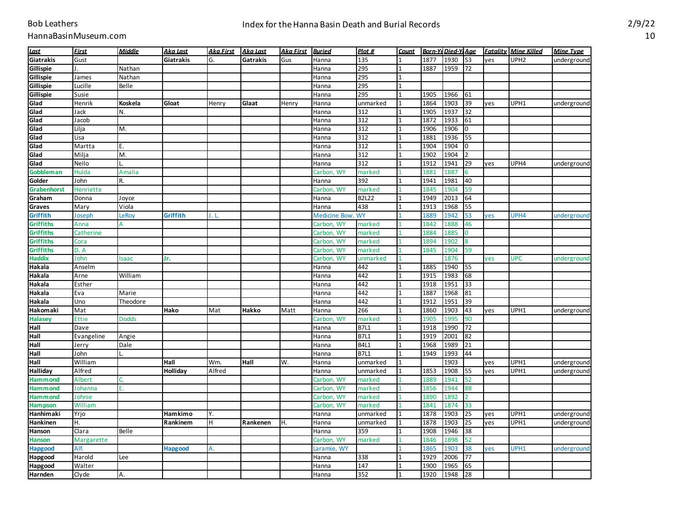| Last               | <b>First</b>     | <b>Middle</b> | <u>Aka Last</u> | Aka First | Aka Last        | Aka First | <b>Buried</b>        | Plot #       | Count        |      | <b>Born-Ye Died-Y Age</b> |    | <b>Fatality</b> | <b>Mine Killed</b> | <b>Mine Type</b> |
|--------------------|------------------|---------------|-----------------|-----------|-----------------|-----------|----------------------|--------------|--------------|------|---------------------------|----|-----------------|--------------------|------------------|
| Giatrakis          | Gust             |               | Giatrakis       | G.        | <b>Gatrakis</b> | Gus       | Hanna                | 135          |              | 1877 | 1930                      | 53 | ves             | UPH <sub>2</sub>   | underground      |
| Gillispie          |                  | Nathan        |                 |           |                 |           | Hanna                | 295          |              | 1887 | 1959                      | 72 |                 |                    |                  |
| Gillispie          | James            | Nathan        |                 |           |                 |           | Hanna                | 295          |              |      |                           |    |                 |                    |                  |
| Gillispie          | Lucille          | Belle         |                 |           |                 |           | Hanna                | 295          |              |      |                           |    |                 |                    |                  |
| Gillispie          | Susie            |               |                 |           |                 |           | Hanna                | 295          |              | 1905 | 1966                      | 61 |                 |                    |                  |
| Glad               | Henrik           | Koskela       | Gloat           | Henry     | Glaat           | Henry     | Hanna                | unmarked     | $\mathbf{1}$ | 1864 | 1903                      | 39 | yes             | UPH1               | underground      |
| Glad               | Jack             | N.            |                 |           |                 |           | Hanna                | 312          |              | 1905 | 1937                      | 32 |                 |                    |                  |
| Glad               | Jacob            |               |                 |           |                 |           | Hanna                | 312          |              | 1872 | 1933                      | 61 |                 |                    |                  |
| Glad               | Lilja            | M.            |                 |           |                 |           | Hanna                | 312          |              | 1906 | 1906                      | 0  |                 |                    |                  |
| Glad               | Lisa             |               |                 |           |                 |           | Hanna                | 312          |              | 1881 | 1936                      | 55 |                 |                    |                  |
| Glad               | Martta           | E.            |                 |           |                 |           | Hanna                | 312          |              | 1904 | 1904                      | U  |                 |                    |                  |
| Glad               | Milja            | M.            |                 |           |                 |           | Hanna                | 312          |              | 1902 | 1904                      |    |                 |                    |                  |
| Glad               | Neilo            |               |                 |           |                 |           | Hanna                | 312          |              | 1912 | 1941                      | 29 | yes             | UPH4               | underground      |
| <b>Gobbleman</b>   | Hulda            | Amalia        |                 |           |                 |           | Carbon, WY           | marked       |              | 1881 | 1887                      | 6  |                 |                    |                  |
| Golder             | John             | R.            |                 |           |                 |           | Hanna                | 392          |              | 1941 | 1981                      | 40 |                 |                    |                  |
| <b>Grabenhorst</b> | <b>Henriette</b> |               |                 |           |                 |           | Carbon, WY           | marked       |              | 1845 | 1904                      | 59 |                 |                    |                  |
| Graham             | Donna            | Joyce         |                 |           |                 |           | Hanna                | <b>B2L22</b> |              | 1949 | 2013                      | 64 |                 |                    |                  |
| Graves             | Mary             | Viola         |                 |           |                 |           | Hanna                | 438          |              | 1913 | 1968                      | 55 |                 |                    |                  |
| Griffith           | Joseph           | LeRoy         | Griffith        | J. L.     |                 |           | <b>Medicine Bow,</b> | <b>WY</b>    |              | 1889 | 1942                      | 53 | yes             | UPH4               | undergrounc      |
| <b>Griffiths</b>   | Anna             |               |                 |           |                 |           | Carbon, WY           | marked       |              | 1842 | 1888                      | 46 |                 |                    |                  |
| <b>Griffiths</b>   | Catherine        |               |                 |           |                 |           | Carbon, WY           | marked       |              | 1884 | 1885                      | n  |                 |                    |                  |
| <b>Griffiths</b>   | Cora             |               |                 |           |                 |           | Carbon, WY           | marked       |              | 1894 | 1902                      | Ŕ. |                 |                    |                  |
| <b>Griffiths</b>   | D.A              |               |                 |           |                 |           | Carbon, WY           | marked       |              | 1845 | 1904                      | 59 |                 |                    |                  |
| <b>Haddix</b>      | John             | Isaac         | Jr.             |           |                 |           | Carbon, WY           | unmarked     |              |      | 1876                      |    | ves             | <b>UPC</b>         | undergrounc      |
| Hakala             | Anselm           |               |                 |           |                 |           | Hanna                | 442          |              | 1885 | 1940                      | 55 |                 |                    |                  |
| Hakala             | Arne             | William       |                 |           |                 |           | Hanna                | 442          | 1            | 1915 | 1983                      | 68 |                 |                    |                  |
| Hakala             | Esther           |               |                 |           |                 |           | Hanna                | 442          |              | 1918 | 1951                      | 33 |                 |                    |                  |
| Hakala             | Eva              | Marie         |                 |           |                 |           | Hanna                | 442          |              | 1887 | 1968                      | 81 |                 |                    |                  |
| Hakala             | Uno              | Theodore      |                 |           |                 |           | Hanna                | 442          |              | 1912 | 1951                      | 39 |                 |                    |                  |
| Hakomaki           | Mat              |               | Hako            | Mat       | <b>Hakko</b>    | Matt      | Hanna                | 266          |              | 1860 | 1903                      | 43 | ves             | UPH1               | underground      |
| <b>Halasey</b>     | <b>Ettie</b>     | <b>Dodds</b>  |                 |           |                 |           | Carbon, WY           | marked       |              | 1905 | 1995                      | 90 |                 |                    |                  |
| Hall               | Dave             |               |                 |           |                 |           | Hanna                | <b>B7L1</b>  |              | 1918 | 1990                      | 72 |                 |                    |                  |
| Hall               | Evangeline       | Angie         |                 |           |                 |           | Hanna                | <b>B7L1</b>  |              | 1919 | 2001                      | 82 |                 |                    |                  |
| <b>Hall</b>        | Jerry            | Dale          |                 |           |                 |           | Hanna                | <b>B4L1</b>  |              | 1968 | 1989                      | 21 |                 |                    |                  |
| Hall               | John             |               |                 |           |                 |           | Hanna                | <b>B7L1</b>  |              | 1949 | 1993                      | 44 |                 |                    |                  |
| Hall               | William          |               | Hall            | Wm.       | Hall            | W.        | Hanna                | unmarked     |              |      | 1903                      |    | yes             | UPH1               | underground      |
| Halliday           | Alfred           |               | Holliday        | Alfred    |                 |           | Hanna                | unmarked     |              | 1853 | 1908                      | 55 | yes             | UPH1               | underground      |
| <b>Hammond</b>     | Albert           |               |                 |           |                 |           | Carbon, WY           | marked       |              | 1889 | 1941                      | 52 |                 |                    |                  |
| <b>Hammond</b>     | Iohanna          |               |                 |           |                 |           | Carbon, WY           | marked       |              | 1856 | 1944                      | 88 |                 |                    |                  |
| <b>Hammond</b>     | Johnie           |               |                 |           |                 |           | Carbon, WY           | marked       |              | 1890 | 1892                      |    |                 |                    |                  |
| <b>Hampson</b>     | William          |               |                 |           |                 |           | Carbon, WY           | marked       |              | 1841 | 1874                      | 33 |                 |                    |                  |
| Hanhimaki          | Yrio             |               | Hamkimo         | Υ.        |                 |           | Hanna                | unmarked     |              | 1878 | 1903                      | 25 | yes             | UPH1               | underground      |
| Hankinen           | Η.               |               | Rankinem        | H         | Rankenen        | Η.        | Hanna                | unmarked     |              | 1878 | 1903                      | 25 | ves             | UPH1               | underground      |
| Hanson             | Clara            | Belle         |                 |           |                 |           | Hanna                | 359          |              | 1908 | 1946                      | 38 |                 |                    |                  |
| <b>Hanson</b>      | Margarette       |               |                 |           |                 |           | Carbon, WY           | marked       |              | 1846 | 1898                      | 52 |                 |                    |                  |
| <b>Hapgood</b>     | Alf.             |               | <b>Hapgood</b>  | А.        |                 |           | Laramie, WY          |              |              | 1865 | 1903                      | 38 | yes             | UPH1               | underground      |
| Hapgood            | Harold           | Lee           |                 |           |                 |           | Hanna                | 338          |              | 1929 | 2006                      | 77 |                 |                    |                  |
| Hapgood            | Walter           |               |                 |           |                 |           | Hanna                | 147          |              | 1900 | 1965                      | 65 |                 |                    |                  |
| Harnden            | Clyde            | Α.            |                 |           |                 |           | Hanna                | 352          |              | 1920 | 1948                      | 28 |                 |                    |                  |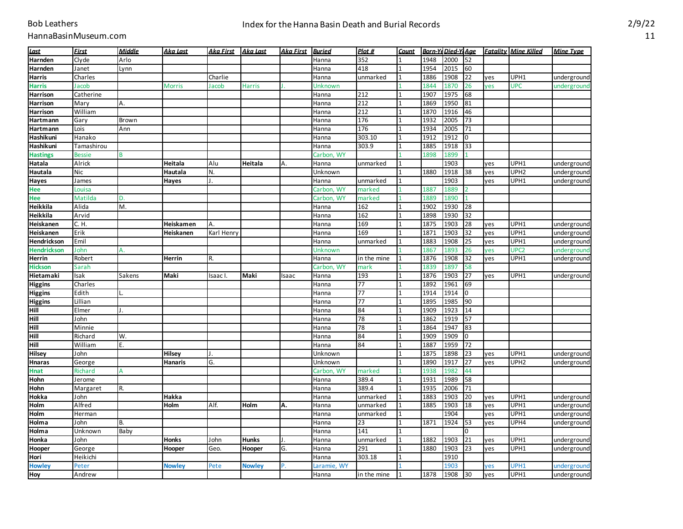#### Bob Leathers

### HannaBasinMuseum.com

| Last               | <b>First</b>   | <b>Middle</b> | <u>Aka Last</u> | Aka First  | <u>Aka Last</u> | Aka First | <b>Buried</b> | Plot #           | <b>Count</b> | <b>Born-Ye Died-Yi Age</b> |      |    |     | <b>Fatality Mine Killed</b> | <b>Mine Type</b> |
|--------------------|----------------|---------------|-----------------|------------|-----------------|-----------|---------------|------------------|--------------|----------------------------|------|----|-----|-----------------------------|------------------|
| Harnden            | Clyde          | Arlo          |                 |            |                 |           | Hanna         | 352              |              | 1948                       | 2000 | 52 |     |                             |                  |
| Harnden            | Janet          | Lynn          |                 |            |                 |           | Hanna         | 418              |              | 1954                       | 2015 | 60 |     |                             |                  |
| Harris             | Charles        |               |                 | Charlie    |                 |           | Hanna         | unmarked         |              | 1886                       | 1908 | 22 | yes | UPH1                        | underground      |
| Harris             | Jacob          |               | <b>Morris</b>   | Jacob      | <b>Harris</b>   |           | Unknown       |                  |              | 1844                       | 1870 | 26 | yes | <b>UPC</b>                  | underground      |
| Harrison           | Catherine      |               |                 |            |                 |           | Hanna         | 212              |              | 1907                       | 1975 | 68 |     |                             |                  |
| Harrison           | Mary           | Α.            |                 |            |                 |           | Hanna         | $\overline{212}$ |              | 1869                       | 1950 | 81 |     |                             |                  |
| Harrison           | William        |               |                 |            |                 |           | Hanna         | 212              |              | 1870                       | 1916 | 46 |     |                             |                  |
| Hartmann           | Gary           | Brown         |                 |            |                 |           | Hanna         | 176              |              | 1932                       | 2005 | 73 |     |                             |                  |
| Hartmann           | Lois           | Ann           |                 |            |                 |           | Hanna         | 176              |              | 1934                       | 2005 | 71 |     |                             |                  |
| Hashikuni          | Hanako         |               |                 |            |                 |           | Hanna         | 303.10           |              | 1912                       | 1912 |    |     |                             |                  |
| Hashikuni          | Tamashirou     |               |                 |            |                 |           | Hanna         | 303.9            |              | 1885                       | 1918 | 33 |     |                             |                  |
| <b>Hastings</b>    | <b>Bessie</b>  | B             |                 |            |                 |           | Carbon, WY    |                  |              | 1898                       | 1899 |    |     |                             |                  |
| Hatala             | Alrick         |               | Heitala         | Alu        | Heitala         | Α.        | Hanna         | unmarked         |              |                            | 1903 |    | yes | UPH1                        | underground      |
| Hautala            | Nic            |               | Hautala         | N.         |                 |           | Unknown       |                  |              | 1880                       | 1918 | 38 | yes | UPH <sub>2</sub>            | underground      |
| Hayes              | James          |               | <b>Hayes</b>    |            |                 |           | Hanna         | unmarked         |              |                            | 1903 |    | ves | UPH1                        | underground      |
| Hee                | Louisa         |               |                 |            |                 |           | Carbon, WY    | marked           |              | 1887                       | 1889 |    |     |                             |                  |
| Hee                | Matilda        | D.            |                 |            |                 |           | Carbon, WY    | marked           |              | 1889                       | 1890 |    |     |                             |                  |
| Heikkila           | Alida          | M.            |                 |            |                 |           | Hanna         | 162              |              | 1902                       | 1930 | 28 |     |                             |                  |
| Heikkila           | Arvid          |               |                 |            |                 |           | Hanna         | 162              |              | 1898                       | 1930 | 32 |     |                             |                  |
| Heiskanen          | C. H.          |               | Heiskamen       | Α.         |                 |           | Hanna         | 169              |              | 1875                       | 1903 | 28 | yes | UPH1                        | underground      |
| Heiskanen          | Erik           |               | Heiskanen       | Karl Henry |                 |           | Hanna         | 169              |              | 1871                       | 1903 | 32 | yes | UPH1                        | underground      |
| Hendrickson        | Emil           |               |                 |            |                 |           | Hanna         | unmarked         |              | 1883                       | 1908 | 25 | yes | UPH1                        | underground      |
| <b>Hendrickson</b> | John           |               |                 |            |                 |           | Unknown       |                  |              | 1867                       | 1893 | 26 | yes | UPC <sub>2</sub>            | underground      |
| Herrin             | Robert         |               | Herrin          | R.         |                 |           | Hanna         | in the mine      |              | 1876                       | 1908 | 32 | yes | UPH1                        | underground      |
| Hickson            | Sarah          |               |                 |            |                 |           | Carbon, WY    | mark             |              | 1839                       | 1897 | 58 |     |                             |                  |
| Hietamaki          | Isak           | Sakens        | Maki            | Isaac I.   | Maki            | Isaac     | Hanna         | 193              |              | 1876                       | 1903 | 27 | yes | UPH1                        | underground      |
| Higgins            | Charles        |               |                 |            |                 |           | Hanna         | 77               |              | 1892                       | 1961 | 69 |     |                             |                  |
| <b>Higgins</b>     | Edith          |               |                 |            |                 |           | Hanna         | 77               |              | 1914                       | 1914 | O  |     |                             |                  |
| <b>Higgins</b>     | Lillian        |               |                 |            |                 |           | Hanna         | 77               |              | 1895                       | 1985 | 90 |     |                             |                  |
| Hill               | Elmer          |               |                 |            |                 |           | Hanna         | 84               |              | 1909                       | 1923 | 14 |     |                             |                  |
| Hill               | John           |               |                 |            |                 |           | Hanna         | 78               |              | 1862                       | 1919 | 57 |     |                             |                  |
| Hill               | Minnie         |               |                 |            |                 |           | Hanna         | 78               |              | 1864                       | 1947 | 83 |     |                             |                  |
| Hill               | Richard        | W.            |                 |            |                 |           | Hanna         | 84               |              | 1909                       | 1909 | 0  |     |                             |                  |
| Hill               | William        | Ε.            |                 |            |                 |           | Hanna         | 84               |              | 1887                       | 1959 | 72 |     |                             |                  |
| Hilsey             | John           |               | Hilsey          |            |                 |           | Unknown       |                  |              | 1875                       | 1898 | 23 | yes | UPH1                        | underground      |
| Hnaras             | George         |               | <b>Hanaris</b>  | G.         |                 |           | Unknown       |                  |              | 1890                       | 1917 | 27 | yes | UPH <sub>2</sub>            | underground      |
| Hnat               | <b>Richard</b> |               |                 |            |                 |           | Carbon, WY    | marked           |              | 1938                       | 1982 | 44 |     |                             |                  |
| Hohn               | Jerome         |               |                 |            |                 |           | Hanna         | 389.4            |              | 1931                       | 1989 | 58 |     |                             |                  |
| Hohn               | Margaret       | R.            |                 |            |                 |           | Hanna         | 389.4            |              | 1935                       | 2006 | 71 |     |                             |                  |
| Hokka              | John           |               | Hakka           |            |                 |           | Hanna         | unmarked         |              | 1883                       | 1903 | 20 | yes | UPH1                        | underground      |
| Holm               | Alfred         |               | Holm            | Alf.       | Holm            | Λ.        | Hanna         | unmarked         |              | 1885                       | 1903 | 18 | yes | UPH1                        | underground      |
| Holm               | Herman         |               |                 |            |                 |           | Hanna         | unmarked         |              |                            | 1904 |    | yes | UPH1                        | underground      |
| Holma              | John           | B.            |                 |            |                 |           | Hanna         | 23               |              | 1871                       | 1924 | 53 | yes | UPH4                        | underground      |
| Holma              | Unknown        | Baby          |                 |            |                 |           | Hanna         | 141              |              |                            |      |    |     |                             |                  |
| Honka              | John           |               | Honks           | John       | <b>Hunks</b>    |           | Hanna         | unmarked         |              | 1882                       | 1903 | 21 | yes | UPH1                        | underground      |
| Hooper             | George         |               | Hooper          | Geo.       | Hooper          | G.        | Hanna         | 291              |              | 1880                       | 1903 | 23 | yes | UPH1                        | underground      |
| Hori               | Heikichi       |               |                 |            |                 |           | Hanna         | 303.18           |              |                            | 1910 |    |     |                             |                  |
| <b>Howley</b>      | Peter          |               | <b>Nowley</b>   | Pete       | <b>Nowley</b>   |           | Laramie, WY   |                  |              |                            | 1903 |    | res | UPH1                        | inderground      |
|                    | Andrew         |               |                 |            |                 |           | Hanna         | in the mine      |              | 1878                       | 1908 | 30 |     | UPH1                        |                  |
| Hoy                |                |               |                 |            |                 |           |               |                  |              |                            |      |    | yes |                             | underground      |

 $\blacksquare$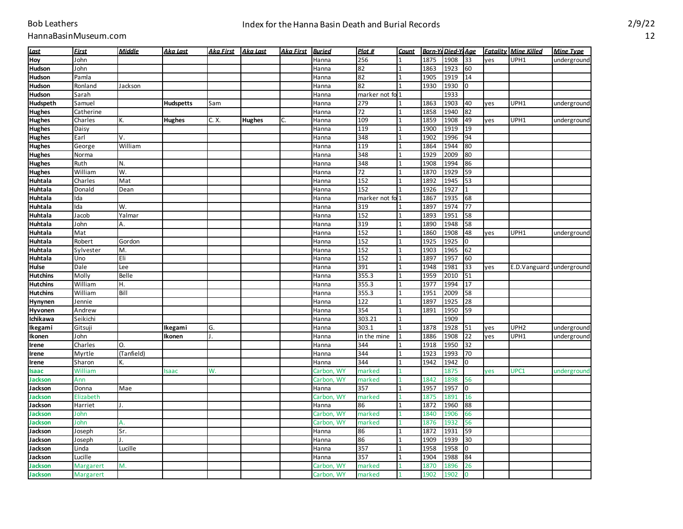| Last            | <u>First</u>     | <b>Middle</b> | Aka Last         | Aka First    | Aka Last      | Aka First | <b>Buried</b> | Plot #          | Count |      | <b>Born-Ye Died-Y Age</b> |                 | <b>Fatality</b> | <b>Mine Killed</b>        | <b>Mine Type</b> |
|-----------------|------------------|---------------|------------------|--------------|---------------|-----------|---------------|-----------------|-------|------|---------------------------|-----------------|-----------------|---------------------------|------------------|
| Hoy             | John             |               |                  |              |               |           | Hanna         | 256             |       | 1875 | 1908                      | 33              | yes             | UPH1                      | underground      |
| Hudson          | Iohn             |               |                  |              |               |           | Hanna         | 82              |       | 1863 | 1923                      | 60              |                 |                           |                  |
| Hudson          | Pamla            |               |                  |              |               |           | Hanna         | 82              |       | 1905 | 1919                      | 14              |                 |                           |                  |
| Hudson          | Ronland          | Jackson       |                  |              |               |           | Hanna         | 82              |       | 1930 | 1930                      | 0               |                 |                           |                  |
| Hudson          | Sarah            |               |                  |              |               |           | Hanna         | marker not fo 1 |       |      | 1933                      |                 |                 |                           |                  |
| Hudspeth        | Samuel           |               | <b>Hudspetts</b> | Sam          |               |           | Hanna         | 279             |       | 1863 | 1903                      | 40              | ves             | UPH1                      | underground      |
| <b>Hughes</b>   | Catherine        |               |                  |              |               |           | Hanna         | 72              |       | 1858 | 1940                      | 82              |                 |                           |                  |
| <b>Hughes</b>   | Charles          | K.            | <b>Hughes</b>    | C. X.        | <b>Hughes</b> | Ċ.        | Hanna         | 109             |       | 1859 | 1908                      | 49              | ves             | UPH1                      | underground      |
| <b>Hughes</b>   | Daisy            |               |                  |              |               |           | Hanna         | 119             |       | 1900 | 1919                      | 19              |                 |                           |                  |
| Hughes          | Earl             | ٧.            |                  |              |               |           | Hanna         | 348             |       | 1902 | 1996                      | 94              |                 |                           |                  |
| <b>Hughes</b>   | George           | William       |                  |              |               |           | Hanna         | 119             |       | 1864 | 1944                      | 80              |                 |                           |                  |
| Hughes          | Norma            |               |                  |              |               |           | Hanna         | 348             |       | 1929 | 2009                      | 80              |                 |                           |                  |
| Hughes          | Ruth             | N.            |                  |              |               |           | Hanna         | 348             |       | 1908 | 1994                      | 86              |                 |                           |                  |
| Hughes          | William          | W.            |                  |              |               |           | Hanna         | 72              |       | 1870 | 1929                      | 59              |                 |                           |                  |
| Huhtala         | Charles          | Mat           |                  |              |               |           | Hanna         | 152             |       | 1892 | 1945                      | $\overline{53}$ |                 |                           |                  |
| Huhtala         | Donald           | Dean          |                  |              |               |           | Hanna         | 152             |       | 1926 | 1927                      | 1               |                 |                           |                  |
| Huhtala         | Ida              |               |                  |              |               |           | Hanna         | marker not fo 1 |       | 1867 | 1935                      | 68              |                 |                           |                  |
| Huhtala         | Ida              | W.            |                  |              |               |           | Hanna         | 319             |       | 1897 | 1974                      | 77              |                 |                           |                  |
| Huhtala         | Jacob            | Yalmar        |                  |              |               |           | Hanna         | 152             |       | 1893 | 1951                      | 58              |                 |                           |                  |
| Huhtala         | John             | A.            |                  |              |               |           | Hanna         | 319             |       | 1890 | 1948                      | 58              |                 |                           |                  |
| Huhtala         | Mat              |               |                  |              |               |           | Hanna         | 152             |       | 1860 | 1908                      | 48              | yes             | UPH1                      | underground      |
| Huhtala         | Robert           | Gordon        |                  |              |               |           | Hanna         | 152             | 1     | 1925 | 1925                      | 0               |                 |                           |                  |
| Huhtala         | Sylvester        | M.            |                  |              |               |           | Hanna         | 152             |       | 1903 | 1965                      | 62              |                 |                           |                  |
| Huhtala         | Uno              | Eli           |                  |              |               |           | Hanna         | 152             |       | 1897 | 1957                      | 60              |                 |                           |                  |
| Hulse           | Dale             | Lee           |                  |              |               |           | Hanna         | 391             |       | 1948 | 1981                      | 33              | yes             | E.D.Vanguard 1underground |                  |
| <b>Hutchins</b> | Molly            | Belle         |                  |              |               |           | Hanna         | 355.3           |       | 1959 | 2010                      | 51              |                 |                           |                  |
| <b>Hutchins</b> | William          | H.            |                  |              |               |           | Hanna         | 355.3           |       | 1977 | 1994                      | 17              |                 |                           |                  |
| <b>Hutchins</b> | William          | Bill          |                  |              |               |           | Hanna         | 355.3           |       | 1951 | 2009                      | 58              |                 |                           |                  |
| Hynynen         | Jennie           |               |                  |              |               |           | Hanna         | 122             |       | 1897 | 1925                      | 28              |                 |                           |                  |
| Hyvonen         | Andrew           |               |                  |              |               |           | Hanna         | 354             |       | 1891 | 1950                      | 59              |                 |                           |                  |
| Ichikawa        | Seikichi         |               |                  |              |               |           | Hanna         | 303.21          |       |      | 1909                      |                 |                 |                           |                  |
| Ikegami         | Gitsuji          |               | Ikegami          | G.           |               |           | Hanna         | 303.1           |       | 1878 | 1928                      | 51              | yes             | UPH <sub>2</sub>          | underground      |
| Ikonen          | John             |               | Ikonen           | $\mathbf{I}$ |               |           | Hanna         | in the mine     |       | 1886 | 1908                      | 22              | yes             | UPH1                      | underground      |
| Irene           | Charles          | O.            |                  |              |               |           | Hanna         | 344             |       | 1918 | 1950                      | 32              |                 |                           |                  |
| Irene           | Myrtle           | (Tanfield)    |                  |              |               |           | Hanna         | 344             |       | 1923 | 1993                      | 70              |                 |                           |                  |
| Irene           | Sharon           | К.            |                  |              |               |           | Hanna         | 344             |       | 1942 | 1942                      | 0               |                 |                           |                  |
| Isaac           | William          |               | saac             | W.           |               |           | Carbon, WY    | marked          | 1     |      | 1875                      |                 | res             | UPC1                      | underground      |
| Jackson         | Ann              |               |                  |              |               |           | Carbon, WY    | marked          |       | 1842 | 1898                      | 56              |                 |                           |                  |
| Jackson         | Donna            | Mae           |                  |              |               |           | Hanna         | 357             |       | 1957 | 1957                      | 0               |                 |                           |                  |
| Jackson         | Elizabeth        |               |                  |              |               |           | Carbon, WY    | marked          |       | 1875 | 1891                      | 16              |                 |                           |                  |
| Jackson         | Harriet          |               |                  |              |               |           | Hanna         | 86              |       | 1872 | 1960                      | 88              |                 |                           |                  |
| Jackson         | John             |               |                  |              |               |           | Carbon, WY    | marked          |       | 1840 | 1906                      | 66              |                 |                           |                  |
| Jackson         | Iohn             | A.            |                  |              |               |           | Carbon, WY    | marked          |       | 1876 | 1932                      | 56              |                 |                           |                  |
| Jackson         | Joseph           | Sr.           |                  |              |               |           | Hanna         | 86              |       | 1872 | 1931                      | 59              |                 |                           |                  |
| Jackson         | Joseph           |               |                  |              |               |           | Hanna         | 86              |       | 1909 | 1939                      | 30              |                 |                           |                  |
| Jackson         | Linda            | Lucille       |                  |              |               |           | Hanna         | 357             |       | 1958 | 1958                      | 0               |                 |                           |                  |
| Jackson         | Lucille          |               |                  |              |               |           | Hanna         | 357             |       | 1904 | 1988                      | 84              |                 |                           |                  |
| Jackson         | <b>Margarert</b> | M.            |                  |              |               |           | Carbon, WY    | marked          |       | 1870 | 1896                      | 26              |                 |                           |                  |
| <b>Jackson</b>  | <b>Margarert</b> |               |                  |              |               |           | Carbon, WY    | marked          |       | 1902 | 1902                      | 0               |                 |                           |                  |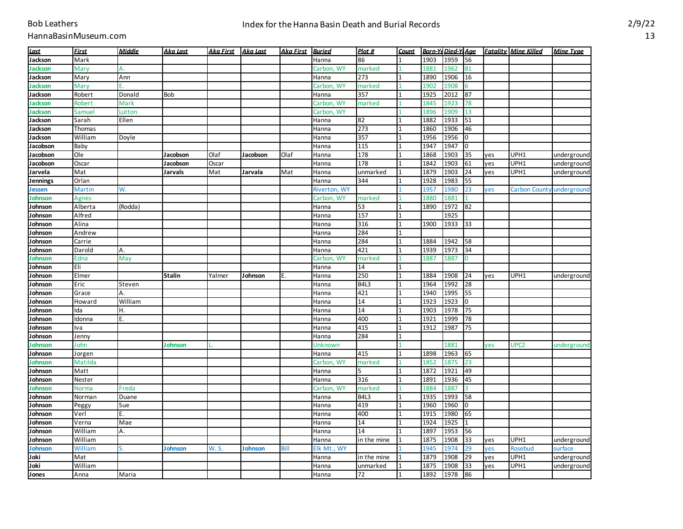| Last           | <b>First</b>  | <u>Middle</u> | <u>Aka Last</u> | Aka First Aka Last |          | Aka First | <b>Buried</b>       | Plot #      | Count | <b>Born Ye Died Y Age</b> |      |          |     | <b>Fatality Mine Killed</b> | <b>Mine Type</b> |
|----------------|---------------|---------------|-----------------|--------------------|----------|-----------|---------------------|-------------|-------|---------------------------|------|----------|-----|-----------------------------|------------------|
| Jackson        | Mark          |               |                 |                    |          |           | Hanna               | 86          |       | 1903                      | 1959 | 56       |     |                             |                  |
| Jackson        | Mary          |               |                 |                    |          |           | Carbon, WY          | marked      |       | 1881                      | 1962 | 81       |     |                             |                  |
| Jackson        | Mary          | Ann           |                 |                    |          |           | Hanna               | 273         |       | 1890                      | 1906 | 16       |     |                             |                  |
| Jackson        | Mary          |               |                 |                    |          |           | Carbon, WY          | marked      |       | 1902                      | 1908 |          |     |                             |                  |
| Jackson        | Robert        | Donald        | Bob             |                    |          |           | Hanna               | 357         |       | 1925                      | 2012 | 87       |     |                             |                  |
| Jackson        | Robert        | Mark          |                 |                    |          |           | Carbon, WY          | marked      |       | 1845                      | 1923 | 78       |     |                             |                  |
| Jackson        | Samuel        | Lutton        |                 |                    |          |           | Carbon, WY          |             |       | 1896                      | 1909 | 13       |     |                             |                  |
| Jackson        | Sarah         | Ellen         |                 |                    |          |           | Hanna               | 82          |       | 1882                      | 1933 | 51       |     |                             |                  |
| Jackson        | Thomas        |               |                 |                    |          |           | Hanna               | 273         |       | 1860                      | 1906 | 46       |     |                             |                  |
| Jackson        | William       | Doyle         |                 |                    |          |           | Hanna               | 357         |       | 1956                      | 1956 |          |     |                             |                  |
| Jacobson       | Baby          |               |                 |                    |          |           | Hanna               | 115         |       | 1947                      | 1947 | $\Omega$ |     |                             |                  |
| Jacobson       | Ole           |               | Jacobson        | Olaf               | Jacobson | Olaf      | Hanna               | 178         |       | 1868                      | 1903 | 35       | yes | UPH1                        | underground      |
| Jacobson       | Oscar         |               | Jacobson        | Oscar              |          |           | Hanna               | 178         |       | 1842                      | 1903 | 61       | yes | UPH1                        | underground      |
| Jarvela        | Mat           |               | Jarvals         | Mat                | Jarvala  | Mat       | Hanna               | unmarked    |       | 1879                      | 1903 | 24       | yes | UPH1                        | underground      |
| Jennings       | Orlan         |               |                 |                    |          |           | Hanna               | 344         |       | 1928                      | 1983 | 55       |     |                             |                  |
| Jessen         | <b>Martin</b> | W.            |                 |                    |          |           | <b>Riverton, WY</b> |             |       | 1957                      | 1980 | 23       | res | Carbon County               | underground      |
| Johnson        | Agnes         |               |                 |                    |          |           | Carbon, WY          | marked      |       | 1880                      | 1881 |          |     |                             |                  |
| Johnson        | Alberta       | (Rodda)       |                 |                    |          |           | Hanna               | 53          |       | 1890                      | 1972 | 82       |     |                             |                  |
| Johnson        | Alfred        |               |                 |                    |          |           | Hanna               | 157         |       |                           | 1925 |          |     |                             |                  |
| Johnson        | Alina         |               |                 |                    |          |           | Hanna               | 316         |       | 1900                      | 1933 | 33       |     |                             |                  |
| Johnson        | Andrew        |               |                 |                    |          |           | Hanna               | 284         |       |                           |      |          |     |                             |                  |
| Johnson        | Carrie        |               |                 |                    |          |           | Hanna               | 284         |       | 1884                      | 1942 | 58       |     |                             |                  |
| Johnson        | Darold        | Α.            |                 |                    |          |           | Hanna               | 421         |       | 1939                      | 1973 | 34       |     |                             |                  |
| Johnson        | Edna          | May           |                 |                    |          |           | Carbon, WY          | marked      |       | 1887                      | 1887 |          |     |                             |                  |
| Johnson        | Eli           |               |                 |                    |          |           | Hanna               | 14          |       |                           |      |          |     |                             |                  |
| Johnson        | Elmer         |               | <b>Stalin</b>   | Yalmer             | Johnson  | Ε.        | Hanna               | 250         |       | 1884                      | 1908 | 24       | yes | UPH1                        | underground      |
| Johnson        | Eric          | Steven        |                 |                    |          |           | Hanna               | <b>B4L3</b> |       | 1964                      | 1992 | 28       |     |                             |                  |
| Johnson        | Grace         | A             |                 |                    |          |           | Hanna               | 421         |       | 1940                      | 1995 | 55       |     |                             |                  |
| Johnson        | Howard        | William       |                 |                    |          |           | Hanna               | 14          |       | 1923                      | 1923 | l0       |     |                             |                  |
| Johnson        | Ida           | Η.            |                 |                    |          |           | Hanna               | 14          |       | 1903                      | 1978 | 75       |     |                             |                  |
| Johnson        | Idonna        | Ε.            |                 |                    |          |           | Hanna               | 400         |       | 1921                      | 1999 | 78       |     |                             |                  |
| Johnson        | Iva           |               |                 |                    |          |           | Hanna               | 415         |       | 1912                      | 1987 | 75       |     |                             |                  |
| Johnson        | Jenny         |               |                 |                    |          |           | Hanna               | 284         |       |                           |      |          |     |                             |                  |
| Johnson        | John          |               | Johnson         |                    |          |           | <b>Unknown</b>      |             |       |                           | 1881 |          | res | UPC <sub>2</sub>            | underground      |
| Johnson        | <b>Jorgen</b> |               |                 |                    |          |           | Hanna               | 415         |       | 1898                      | 1963 | 65       |     |                             |                  |
| <b>Johnson</b> | Matilda       |               |                 |                    |          |           | Carbon, WY          | marked      |       | 1852                      | 1875 | 23       |     |                             |                  |
| Johnson        | Matt          |               |                 |                    |          |           | Hanna               |             |       | 1872                      | 1921 | 49       |     |                             |                  |
| Johnson        | Nester        |               |                 |                    |          |           | Hanna               | 316         |       | 1891                      | 1936 | 45       |     |                             |                  |
| Johnson        | Norma         | Freda         |                 |                    |          |           | Carbon, WY          | marked      |       | 1884                      | 1887 | 3        |     |                             |                  |
| Johnson        | Norman        | Duane         |                 |                    |          |           | Hanna               | <b>B4L3</b> |       | 1935                      | 1993 | 58       |     |                             |                  |
| Johnson        | Peggy         | Sue           |                 |                    |          |           | Hanna               | 419         |       | 1960                      | 1960 | $\Omega$ |     |                             |                  |
| Johnson        | Verl          | E.            |                 |                    |          |           | Hanna               | 400         |       | 1915                      | 1980 | 65       |     |                             |                  |
| Johnson        | Verna         | Mae           |                 |                    |          |           | Hanna               | 14          |       | 1924                      | 1925 | 1        |     |                             |                  |
| Johnson        | William       | Α.            |                 |                    |          |           | Hanna               | 14          |       | 1897                      | 1953 | 56       |     |                             |                  |
| Johnson        | William       |               |                 |                    |          |           | Hanna               | in the mine |       | 1875                      | 1908 | 33       | yes | UPH1                        | underground      |
| Johnson        | William       |               | Johnson         | W. S.              | Johnson  | Bill      | Elk Mt., WY         |             |       | 1945                      | 1974 | 29       | yes | <b>Rosebud</b>              | surface          |
| Joki           | Mat           |               |                 |                    |          |           | Hanna               | in the mine |       | 1879                      | 1908 | 29       | yes | UPH1                        | underground      |
| Joki           | William       |               |                 |                    |          |           | Hanna               | unmarked    |       | 1875                      | 1908 | 33       | yes | UPH1                        | underground      |
| Jones          | Anna          | Maria         |                 |                    |          |           | Hanna               | 72          | 1     | 1892                      | 1978 | 86       |     |                             |                  |
|                |               |               |                 |                    |          |           |                     |             |       |                           |      |          |     |                             |                  |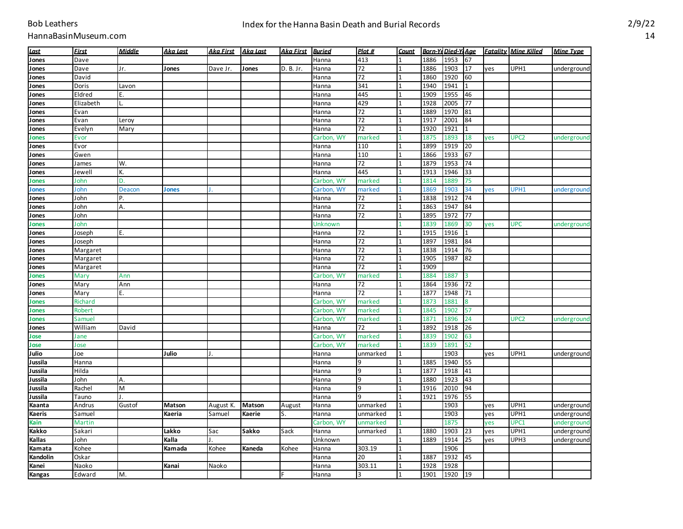| Last          | <b>First</b>  | <b>Middle</b> | Aka Last | Aka First Aka Last |               | Aka First | <b>Buried</b> | Plot #          | Count | <b>Born Ye Died Y Age</b> |      |    |     | <b>Fatality Mine Killed</b> | <b>Mine Type</b> |
|---------------|---------------|---------------|----------|--------------------|---------------|-----------|---------------|-----------------|-------|---------------------------|------|----|-----|-----------------------------|------------------|
| Jones         | Dave          |               |          |                    |               |           | Hanna         | 413             |       | 1886                      | 1953 | 67 |     |                             |                  |
| Jones         | Dave          | Jr.           | Jones    | Dave Jr.           | Jones         | D. B. Jr. | Hanna         | 72              |       | 1886                      | 1903 | 17 | yes | UPH1                        | underground      |
| Jones         | David         |               |          |                    |               |           | Hanna         | $\overline{72}$ |       | 1860                      | 1920 | 60 |     |                             |                  |
| Jones         | Doris         | Lavon         |          |                    |               |           | Hanna         | 341             |       | 1940                      | 1941 |    |     |                             |                  |
| Jones         | Eldred        | Ε.            |          |                    |               |           | Hanna         | 445             |       | 1909                      | 1955 | 46 |     |                             |                  |
| Jones         | Elizabeth     |               |          |                    |               |           | Hanna         | 429             |       | 1928                      | 2005 | 77 |     |                             |                  |
| Jones         | Evan          |               |          |                    |               |           | Hanna         | 72              |       | 1889                      | 1970 | 81 |     |                             |                  |
| Jones         | Evan          | Leroy         |          |                    |               |           | Hanna         | 72              |       | 1917                      | 2001 | 84 |     |                             |                  |
| Jones         | Evelyn        | Mary          |          |                    |               |           | Hanna         | 72              |       | 1920                      | 1921 |    |     |                             |                  |
| Jones         | Evor          |               |          |                    |               |           | Carbon, WY    | marked          |       | 1875                      | 1893 | 18 | yes | UPC <sub>2</sub>            | underground      |
| Jones         | Evor          |               |          |                    |               |           | Hanna         | 110             |       | 1899                      | 1919 | 20 |     |                             |                  |
| Jones         | Gwen          |               |          |                    |               |           | Hanna         | 110             |       | 1866                      | 1933 | 67 |     |                             |                  |
| Jones         | James         | W.            |          |                    |               |           | Hanna         | 72              |       | 1879                      | 1953 | 74 |     |                             |                  |
| Jones         | Iewell        | K.            |          |                    |               |           | Hanna         | 445             |       | 1913                      | 1946 | 33 |     |                             |                  |
| Jones         | <b>John</b>   | D.            |          |                    |               |           | Carbon, WY    | marked          |       | 1814                      | 1889 | 75 |     |                             |                  |
| Jones         | <b>John</b>   | Deacon        | Jones    |                    |               |           | Carbon, WY    | marked          |       | 1869                      | 1903 | 34 | yes | UPH1                        | underground      |
| Jones         | John          | P.            |          |                    |               |           | Hanna         | 72              |       | 1838                      | 1912 | 74 |     |                             |                  |
| Jones         | John          | Α.            |          |                    |               |           | Hanna         | 72              |       | 1863                      | 1947 | 84 |     |                             |                  |
| Jones         | John          |               |          |                    |               |           | Hanna         | 72              |       | 1895                      | 1972 | 77 |     |                             |                  |
| Jones         | John          |               |          |                    |               |           | Unknown       |                 |       | 1839                      | 1869 | 30 | yes | <b>UPC</b>                  | underground      |
| Jones         | loseph        | E.            |          |                    |               |           | Hanna         | 72              |       | 1915                      | 1916 |    |     |                             |                  |
| Jones         | Joseph        |               |          |                    |               |           | Hanna         | 72              |       | 1897                      | 1981 | 84 |     |                             |                  |
| Jones         | Margaret      |               |          |                    |               |           | Hanna         | $\overline{72}$ |       | 1838                      | 1914 | 76 |     |                             |                  |
| Jones         | Margaret      |               |          |                    |               |           | Hanna         | $\overline{72}$ |       | 1905                      | 1987 | 82 |     |                             |                  |
| Jones         | Margaret      |               |          |                    |               |           | Hanna         | 72              |       | 1909                      |      |    |     |                             |                  |
| Jones         | Mary          | Ann           |          |                    |               |           | Carbon, WY    | marked          |       | 1884                      | 1887 |    |     |                             |                  |
| Jones         | Mary          | Ann           |          |                    |               |           | Hanna         | 72              |       | 1864                      | 1936 | 72 |     |                             |                  |
| Jones         | Mary          | E.            |          |                    |               |           | Hanna         | 72              |       | 1877                      | 1948 | 71 |     |                             |                  |
| Jones         | Richard       |               |          |                    |               |           | Carbon, WY    | marked          |       | 1873                      | 1881 |    |     |                             |                  |
| Jones         | <b>Robert</b> |               |          |                    |               |           | Carbon, WY    | marked          |       | 1845                      | 1902 | 57 |     |                             |                  |
| Jones         | Samuel        |               |          |                    |               |           | Carbon, WY    | marked          |       | 1871                      | 1896 | 24 |     | UPC <sub>2</sub>            | underground      |
| Jones         | William       | David         |          |                    |               |           | Hanna         | 72              |       | 1892                      | 1918 | 26 |     |                             |                  |
| Jose          | Jane          |               |          |                    |               |           | Carbon, WY    | marked          |       | 1839                      | 1902 | 63 |     |                             |                  |
| Jose          | lose          |               |          |                    |               |           | Carbon, WY    | marked          |       | 1839                      | 1891 | 52 |     |                             |                  |
| Julio         | loe           |               | Julio    |                    |               |           | Hanna         | unmarked        |       |                           | 1903 |    | yes | UPH1                        | underground      |
| Jussila       | Hanna         |               |          |                    |               |           | Hanna         | q               |       | 1885                      | 1940 | 55 |     |                             |                  |
| Jussila       | Hilda         |               |          |                    |               |           | Hanna         | 9               |       | 1877                      | 1918 | 41 |     |                             |                  |
| Jussila       | John          | Α.            |          |                    |               |           | Hanna         | 9               |       | 1880                      | 1923 | 43 |     |                             |                  |
| Jussila       | Rachel        | M             |          |                    |               |           | Hanna         | 9               |       | 1916                      | 2010 | 94 |     |                             |                  |
| Jussila       | Tauno         |               |          |                    |               |           | Hanna         | 9               |       | 1921                      | 1976 | 55 |     |                             |                  |
| Kaanta        | Andrus        | Gustof        | Matson   | August K.          | <b>Matson</b> | August    | Hanna         | unmarked        |       |                           | 1903 |    | yes | UPH1                        | underground      |
| <b>Kaeris</b> | Samuel        |               | Kaeria   | Samuel             | Kaerie        |           | Hanna         | unmarked        |       |                           | 1903 |    | yes | UPH1                        | underground      |
| Kain          | <b>Martin</b> |               |          |                    |               |           | Carbon, WY    | unmarked        |       |                           | 1875 |    | ves | UPC1                        | underground      |
| Kakko         | Sakari        |               | Lakko    | Sac                | Sakko         | Sack      | Hanna         | unmarked        |       | 1880                      | 1903 | 23 | yes | UPH1                        | underground      |
| Kallas        | John          |               | Kalla    |                    |               |           | Unknown       |                 |       | 1889                      | 1914 | 25 | yes | UPH3                        | underground      |
| Kamata        | Kohee         |               | Kamada   | Kohee              | Kaneda        | Kohee     | Hanna         | 303.19          |       |                           | 1906 |    |     |                             |                  |
| Kandolin      | Oskar         |               |          |                    |               |           | Hanna         | 20              |       | 1887                      | 1932 | 45 |     |                             |                  |
| Kanei         | Naoko         |               | Kanai    | Naoko              |               |           | Hanna         | 303.11          |       | 1928                      | 1928 |    |     |                             |                  |
| Kangas        | Edward        | M.            |          |                    |               |           | Hanna         | 3               |       | 1901                      | 1920 | 19 |     |                             |                  |
|               |               |               |          |                    |               |           |               |                 |       |                           |      |    |     |                             |                  |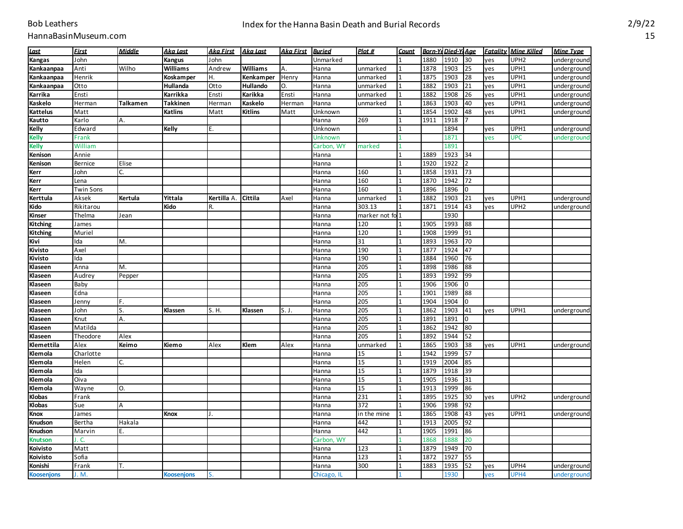| Last              | <b>First</b>     | <b>Middle</b> | <u>Aka Last</u>   | Aka First   | Aka Last         | Aka First | <b>Buried</b> | Plot #          | <b>Count</b> | <b>Born-Ye Died-Yi Age</b> |      |                 |     | <b>Fatality Mine Killed</b> | <b>Mine Type</b> |
|-------------------|------------------|---------------|-------------------|-------------|------------------|-----------|---------------|-----------------|--------------|----------------------------|------|-----------------|-----|-----------------------------|------------------|
| Kangas            | John             |               | Kangus            | John        |                  |           | Unmarked      |                 |              | 1880                       | 1910 | 30              | yes | UPH <sub>2</sub>            | underground      |
| Kankaanpaa        | Anti             | Wilho         | Williams          | Andrew      | <b>Williams</b>  | Α.        | Hanna         | unmarked        |              | 1878                       | 1903 | 25              | yes | UPH1                        | underground      |
| Kankaanpaa        | Henrik           |               | Koskam per        | H.          | <b>Kenkamper</b> | Henry     | Hanna         | unmarked        |              | 1875                       | 1903 | 28              | yes | UPH1                        | underground      |
| Kankaanpaa        | Otto             |               | Hullanda          | Otto        | Hullando         | О.        | Hanna         | unmarked        |              | 1882                       | 1903 | 21              | yes | UPH1                        | underground      |
| Karrika           | Ensti            |               | Karrikka          | Ensti       | Karikka          | Ensti     | Hanna         | unmarked        |              | 1882                       | 1908 | 26              | yes | UPH1                        | underground      |
| Kaskelo           | Herman           | Talkamen      | Takkinen          | Herman      | Kaskelo          | Herman    | Hanna         | unmarked        |              | 1863                       | 1903 | 40              | yes | UPH1                        | underground      |
| <b>Kattelus</b>   | Matt             |               | <b>Katlins</b>    | Matt        | Kitlins          | Matt      | Unknown       |                 |              | 1854                       | 1902 | 48              | yes | UPH1                        | underground      |
| Kautto            | Karlo            | Α.            |                   |             |                  |           | Hanna         | 269             |              | 1911                       | 1918 |                 |     |                             |                  |
| Kelly             | Edward           |               | Kelly             | E.          |                  |           | Unknown       |                 |              |                            | 1894 |                 | yes | UPH1                        | underground      |
| Kelly             | Frank            |               |                   |             |                  |           | Unknown       |                 |              |                            | 1871 |                 | yes | <b>UPC</b>                  | underground      |
| Kelly             | William          |               |                   |             |                  |           | Carbon, WY    | marked          |              |                            | 1891 |                 |     |                             |                  |
| Kenison           | Annie            |               |                   |             |                  |           | Hanna         |                 |              | 1889                       | 1923 | 34              |     |                             |                  |
| Kenison           | Bernice          | Elise         |                   |             |                  |           | Hanna         |                 |              | 1920                       | 1922 | $\overline{2}$  |     |                             |                  |
| <b>Kerr</b>       | John             |               |                   |             |                  |           | Hanna         | 160             |              | 1858                       | 1931 | 73              |     |                             |                  |
| Kerr              | Lena             |               |                   |             |                  |           | Hanna         | 160             |              | 1870                       | 1942 | $\overline{72}$ |     |                             |                  |
| Kerr              | <b>Twin Sons</b> |               |                   |             |                  |           | Hanna         | 160             |              | 1896                       | 1896 |                 |     |                             |                  |
| Kerttula          | Aksek            | Kertula       | Yittala           | Kertilla A. | Cittila          | Axel      | Hanna         | unmarked        |              | 1882                       | 1903 | 21              | yes | UPH1                        | underground      |
| Kido              | Rikitarou        |               | Kido              | R.          |                  |           | Hanna         | 303.13          |              | 1871                       | 1914 | 43              | yes | UPH <sub>2</sub>            | underground      |
| Kinser            | Thelma           | Jean          |                   |             |                  |           | Hanna         | marker not fo 1 |              |                            | 1930 |                 |     |                             |                  |
| Kitching          | James            |               |                   |             |                  |           | Hanna         | 120             |              | 1905                       | 1993 | 88              |     |                             |                  |
| Kitching          | Muriel           |               |                   |             |                  |           | Hanna         | 120             |              | 1908                       | 1999 | 91              |     |                             |                  |
| Kivi              | Ida              | M.            |                   |             |                  |           | Hanna         | 31              |              | 1893                       | 1963 | 70              |     |                             |                  |
| Kivisto           | Axel             |               |                   |             |                  |           | Hanna         | 190             |              | 1877                       | 1924 | 47              |     |                             |                  |
| Kivisto           | Ida              |               |                   |             |                  |           | Hanna         | 190             |              | 1884                       | 1960 | $\overline{76}$ |     |                             |                  |
| Klaseen           | Anna             | M.            |                   |             |                  |           | Hanna         | 205             |              | 1898                       | 1986 | 88              |     |                             |                  |
| Klaseen           | Audrey           | Pepper        |                   |             |                  |           | Hanna         | 205             |              | 1893                       | 1992 | 99              |     |                             |                  |
| Klaseen           | Baby             |               |                   |             |                  |           | Hanna         | 205             |              | 1906                       | 1906 | O               |     |                             |                  |
| Klaseen           | Edna             |               |                   |             |                  |           | Hanna         | 205             |              | 1901                       | 1989 | 88              |     |                             |                  |
| Klaseen           | Jenny            | F.            |                   |             |                  |           | Hanna         | 205             |              | 1904                       | 1904 | 0               |     |                             |                  |
| Klaseen           | John             | S.            | Klassen           | S. H.       | Klassen          | S. J.     | Hanna         | 205             |              | 1862                       | 1903 | 41              | yes | UPH1                        | underground      |
| Klaseen           | Knut             | Α.            |                   |             |                  |           | Hanna         | 205             |              | 1891                       | 1891 | 0               |     |                             |                  |
| Klaseen           | Matilda          |               |                   |             |                  |           | Hanna         | 205             |              | 1862                       | 1942 | 80              |     |                             |                  |
| Klaseen           | Theodore         | Alex          |                   |             |                  |           | Hanna         | 205             |              | 1892                       | 1944 | $\overline{52}$ |     |                             |                  |
| Klemettila        | Alex             | Keimo         | Kiemo             | Alex        | Klem             | Alex      | Hanna         | unmarked        |              | 1865                       | 1903 | 38              | yes | UPH1                        | underground      |
| Klemola           | Charlotte        |               |                   |             |                  |           | Hanna         | 15              |              | 1942                       | 1999 | 57              |     |                             |                  |
| Klemola           | Helen            | C.            |                   |             |                  |           | Hanna         | 15              |              | 1919                       | 2004 | 85              |     |                             |                  |
| Klemola           | Ida              |               |                   |             |                  |           | Hanna         | 15              |              | 1879                       | 1918 | 39              |     |                             |                  |
| Klemola           | Oiva             |               |                   |             |                  |           | Hanna         | 15              |              | 1905                       | 1936 | 31              |     |                             |                  |
| Klemola           | Wayne            | О.            |                   |             |                  |           | Hanna         | 15              |              | 1913                       | 1999 | 86              |     |                             |                  |
| Klobas            | Frank            |               |                   |             |                  |           | Hanna         | 231             |              | 1895                       | 1925 | 30              | yes | UPH <sub>2</sub>            | underground      |
| Klobas            | Sue              | A             |                   |             |                  |           | Hanna         | 372             |              | 1906                       | 1998 | 92              |     |                             |                  |
| Knox              | James            |               | <b>Knox</b>       |             |                  |           | Hanna         | in the mine     |              | 1865                       | 1908 | 43              | yes | UPH1                        | underground      |
| Knudson           | Bertha           | Hakala        |                   |             |                  |           | Hanna         | 442             |              | 1913                       | 2005 | 92              |     |                             |                  |
| Knudson           | Marvin           | E.            |                   |             |                  |           | Hanna         | 442             |              | 1905                       | 1991 | 86              |     |                             |                  |
| Knutson           | J.C.             |               |                   |             |                  |           | Carbon, WY    |                 |              | 1868                       | 1888 | $\overline{20}$ |     |                             |                  |
| Koivisto          | Matt             |               |                   |             |                  |           | Hanna         | 123             |              | 1879                       | 1949 | 70              |     |                             |                  |
| Koivisto          | Sofia            |               |                   |             |                  |           | Hanna         | 123             |              | 1872                       | 1927 | 55              |     |                             |                  |
| Konishi           | Frank            | T.            |                   |             |                  |           | Hanna         | 300             |              | 1883                       | 1935 | 52              | yes | UPH4                        | underground      |
| <b>Koosenjons</b> | J. M.            |               | <b>Koosenjons</b> | S.          |                  |           | Chicago, IL   |                 |              |                            | 1930 |                 | yes | UPH4                        | underground      |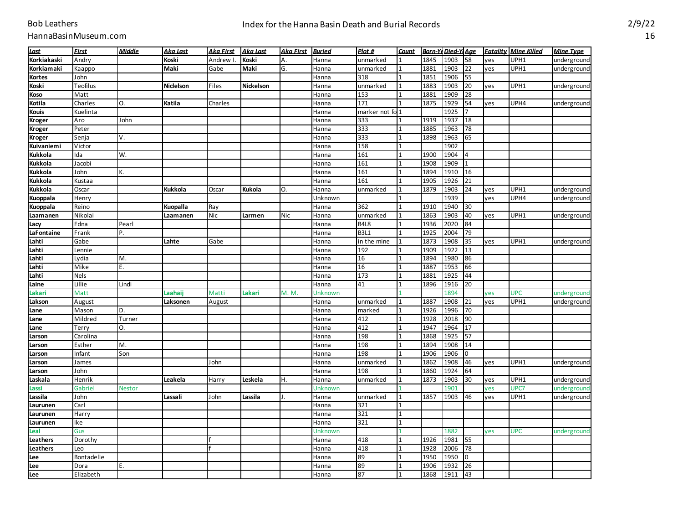| Last           | <b>First</b> | Middle        | <u>Aka Last</u> | Aka First | Aka Last         | Aka First | <b>Buried</b>  | Plot #        | Count        |      | <b>Born-Ye Died-Yi Aae</b> |    | <b>Fatality</b> | <b>Mine Killed</b> | <b>Mine Type</b> |
|----------------|--------------|---------------|-----------------|-----------|------------------|-----------|----------------|---------------|--------------|------|----------------------------|----|-----------------|--------------------|------------------|
| Korkiakaski    | Andry        |               | Koski           | Andrew I. | Koski            | Α.        | Hanna          | unmarked      |              | 1845 | 1903                       | 58 | yes             | UPH1               | underground      |
| Korkiamaki     | Kaappo       |               | Maki            | Gabe      | Maki             | G.        | Hanna          | unmarked      | 1            | 1881 | 1903                       | 22 | yes             | UPH1               | underground      |
| Kortes         | John         |               |                 |           |                  |           | Hanna          | 318           |              | 1851 | 1906                       | 55 |                 |                    |                  |
| Koski          | Teofilus     |               | Niclelson       | Files     | <b>Nickelson</b> |           | Hanna          | unmarked      |              | 1883 | 1903                       | 20 | yes             | UPH1               | underground      |
| Koso           | Matt         |               |                 |           |                  |           | Hanna          | 153           |              | 1881 | 1909                       | 28 |                 |                    |                  |
| Kotila         | Charles      | O.            | Katila          | Charles   |                  |           | Hanna          | 171           |              | 1875 | 1929                       | 54 | yes             | UPH4               | underground      |
| Kouis          | Kuelinta     |               |                 |           |                  |           | Hanna          | marker not fo |              |      | 1925                       |    |                 |                    |                  |
| Kroger         | Aro          | John          |                 |           |                  |           | Hanna          | 333           |              | 1919 | 1937                       | 18 |                 |                    |                  |
| <b>Kroger</b>  | Peter        |               |                 |           |                  |           | Hanna          | 333           |              | 1885 | 1963                       | 78 |                 |                    |                  |
| <b>Kroger</b>  | Senja        | V.            |                 |           |                  |           | Hanna          | 333           |              | 1898 | 1963                       | 65 |                 |                    |                  |
| Kuivaniemi     | Victor       |               |                 |           |                  |           | Hanna          | 158           |              |      | 1902                       |    |                 |                    |                  |
| Kukkola        | Ida          | W.            |                 |           |                  |           | Hanna          | 161           |              | 1900 | 1904                       | 4  |                 |                    |                  |
| <b>Kukkola</b> | Jacobi       |               |                 |           |                  |           | Hanna          | 161           |              | 1908 | 1909                       |    |                 |                    |                  |
| <b>Kukkola</b> | John         | K.            |                 |           |                  |           | Hanna          | 161           |              | 1894 | 1910                       | 16 |                 |                    |                  |
| Kukkola        | Kustaa       |               |                 |           |                  |           | Hanna          | 161           |              | 1905 | 1926                       | 21 |                 |                    |                  |
| Kukkola        | Oscar        |               | Kukkola         | Oscar     | Kukola           | O.        | Hanna          | unmarked      | $\mathbf{1}$ | 1879 | 1903                       | 24 | yes             | UPH1               | underground      |
| Kuoppala       | Henry        |               |                 |           |                  |           | Unknown        |               |              |      | 1939                       |    | yes             | UPH4               | underground      |
| Kuoppala       | Reino        |               | Kuopalla        | Ray       |                  |           | Hanna          | 362           |              | 1910 | 1940                       | 30 |                 |                    |                  |
| Laamanen       | Nikolai      |               | Laamanen        | Nic       | Larmen           | Nic       | Hanna          | unmarked      |              | 1863 | 1903                       | 40 | yes             | UPH1               | underground      |
| Lacy           | Edna         | Pearl         |                 |           |                  |           | Hanna          | <b>B4L8</b>   |              | 1936 | 2020                       | 84 |                 |                    |                  |
| LaFontaine     | Frank        | Ρ.            |                 |           |                  |           | Hanna          | <b>B3L1</b>   |              | 1925 | 2004                       | 79 |                 |                    |                  |
| Lahti          | Gabe         |               | Lahte           | Gabe      |                  |           | Hanna          | in the mine   |              | 1873 | 1908                       | 35 | ves             | UPH1               | underground      |
| Lahti          | Lennie       |               |                 |           |                  |           | Hanna          | 192           |              | 1909 | 1922                       | 13 |                 |                    |                  |
| Lahti          | Lydia        | M.            |                 |           |                  |           | Hanna          | 16            |              | 1894 | 1980                       | 86 |                 |                    |                  |
| Lahti          | Mike         | E.            |                 |           |                  |           | Hanna          | 16            |              | 1887 | 1953                       | 66 |                 |                    |                  |
| Lahti          | Nels         |               |                 |           |                  |           | Hanna          | 173           |              | 1881 | 1925                       | 44 |                 |                    |                  |
| Laine          | Lillie       | Lindi         |                 |           |                  |           | Hanna          | 41            |              | 1896 | 1916                       | 20 |                 |                    |                  |
| Lakari         | Matt         |               | Laahaij         | Matti     | Lakari           | M. M.     | Unknown        |               |              |      | 1894                       |    | res             | <b>UPC</b>         | underground      |
| Lakson         | August       |               | Laksonen        | August    |                  |           | Hanna          | unmarked      |              | 1887 | 1908                       | 21 | yes             | UPH1               | underground      |
| Lane           | Mason        | D.            |                 |           |                  |           | Hanna          | marked        |              | 1926 | 1996                       | 70 |                 |                    |                  |
| Lane           | Mildred      | Turner        |                 |           |                  |           | Hanna          | 412           |              | 1928 | 2018                       | 90 |                 |                    |                  |
| Lane           | Terry        | О.            |                 |           |                  |           | Hanna          | 412           |              | 1947 | 1964                       | 17 |                 |                    |                  |
| Larson         | Carolina     |               |                 |           |                  |           | Hanna          | 198           |              | 1868 | 1925                       | 57 |                 |                    |                  |
| Larson         | Esther       | M.            |                 |           |                  |           | Hanna          | 198           |              | 1894 | 1908                       | 14 |                 |                    |                  |
| Larson         | Infant       | Son           |                 |           |                  |           | Hanna          | 198           |              | 1906 | 1906                       | 0  |                 |                    |                  |
| Larson         | James        |               |                 | John      |                  |           | Hanna          | unmarked      |              | 1862 | 1908                       | 46 | yes             | UPH1               | underground      |
| Larson         | John         |               |                 |           |                  |           | Hanna          | 198           |              | 1860 | 1924                       | 64 |                 |                    |                  |
| Laskala        | Henrik       |               | Leakela         | Harry     | Leskela          | Η.        | Hanna          | unmarked      |              | 1873 | 1903                       | 30 | yes             | UPH1               | underground      |
| Lassi          | Gabriel      | <b>Nestor</b> |                 |           |                  |           | <b>Unknown</b> |               |              |      | 1901                       |    | res             | UPC7               | underground      |
| Lassila        | John         |               | Lassali         | John      | Lassila          |           | Hanna          | unmarked      |              | 1857 | 1903                       | 46 | ves             | UPH1               | underground      |
| Laurunen       | Carl         |               |                 |           |                  |           | Hanna          | 321           |              |      |                            |    |                 |                    |                  |
| Laurunen       | Harry        |               |                 |           |                  |           | Hanna          | 321           |              |      |                            |    |                 |                    |                  |
| Laurunen       | Ike          |               |                 |           |                  |           | Hanna          | 321           |              |      |                            |    |                 |                    |                  |
| Leal           | Gus          |               |                 |           |                  |           | Unknown        |               |              |      | 1882                       |    | /es             | <b>UPC</b>         | underground      |
| Leathers       | Dorothy      |               |                 |           |                  |           | Hanna          | 418           |              | 1926 | 1981                       | 55 |                 |                    |                  |
| Leathers       | Leo          |               |                 |           |                  |           | Hanna          | 418           |              | 1928 | 2006                       | 78 |                 |                    |                  |
| Lee            | Bontadelle   |               |                 |           |                  |           | Hanna          | 89            |              | 1950 | 1950                       | O  |                 |                    |                  |
| Lee            | Dora         | E.            |                 |           |                  |           | Hanna          | 89            |              | 1906 | 1932                       | 26 |                 |                    |                  |
| Lee            | Elizabeth    |               |                 |           |                  |           | Hanna          | 87            |              | 1868 | 1911                       | 43 |                 |                    |                  |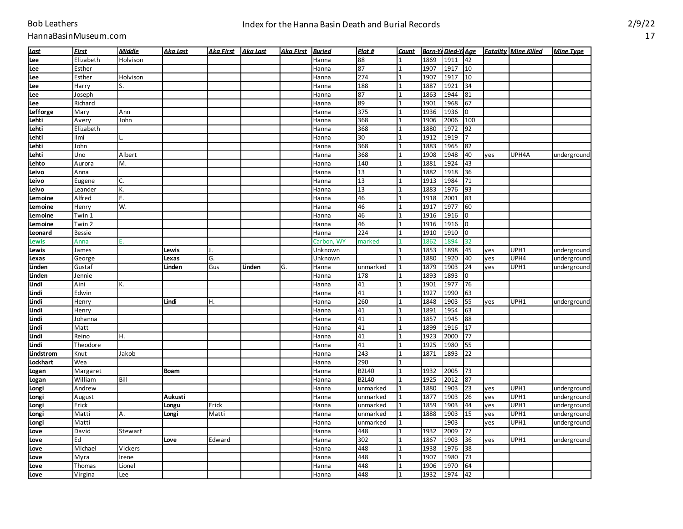| Last      | <b>First</b>  | Middle   | <u>Aka Last</u> | <u>Aka First</u> | Aka Last | Aka First | <b>Buried</b> | Plot #       | <b>Count</b> | <b>Born Ye Died Y Age</b> |      |                | <b>Fatality</b> | <b>Mine Killed</b> | <b>Mine Type</b> |
|-----------|---------------|----------|-----------------|------------------|----------|-----------|---------------|--------------|--------------|---------------------------|------|----------------|-----------------|--------------------|------------------|
| Lee       | Elizabeth     | Holvison |                 |                  |          |           | Hanna         | 88           |              | 1869                      | 1911 | 42             |                 |                    |                  |
| Lee       | Esther        |          |                 |                  |          |           | Hanna         | 87           |              | 1907                      | 1917 | 10             |                 |                    |                  |
| Lee       | Esther        | Holvison |                 |                  |          |           | Hanna         | 274          |              | 1907                      | 1917 | 10             |                 |                    |                  |
| Lee       | Harry         | S.       |                 |                  |          |           | Hanna         | 188          |              | 1887                      | 1921 | 34             |                 |                    |                  |
| Lee       | Joseph        |          |                 |                  |          |           | Hanna         | 87           |              | 1863                      | 1944 | 81             |                 |                    |                  |
| Lee       | Richard       |          |                 |                  |          |           | Hanna         | 89           |              | 1901                      | 1968 | 67             |                 |                    |                  |
| Lefforge  | Mary          | Ann      |                 |                  |          |           | Hanna         | 375          |              | 1936                      | 1936 | 0              |                 |                    |                  |
| Lehti     | Avery         | John     |                 |                  |          |           | Hanna         | 368          |              | 1906                      | 2006 | 100            |                 |                    |                  |
| Lehti     | Elizabeth     |          |                 |                  |          |           | Hanna         | 368          |              | 1880                      | 1972 | 92             |                 |                    |                  |
| Lehti     | Ilmi          |          |                 |                  |          |           | Hanna         | 30           |              | 1912                      | 1919 |                |                 |                    |                  |
| Lehti     | John          |          |                 |                  |          |           | Hanna         | 368          |              | 1883                      | 1965 | 82             |                 |                    |                  |
| Lehti     | Uno           | Albert   |                 |                  |          |           | Hanna         | 368          |              | 1908                      | 1948 | 40             | yes             | UPH4A              | underground      |
| Lehto     | Aurora        | М.       |                 |                  |          |           | Hanna         | 140          |              | 1881                      | 1924 | 43             |                 |                    |                  |
| Leivo     | Anna          |          |                 |                  |          |           | Hanna         | 13           |              | 1882                      | 1918 | 36             |                 |                    |                  |
| Leivo     | Eugene        | C.       |                 |                  |          |           | Hanna         | 13           |              | 1913                      | 1984 | 71             |                 |                    |                  |
| Leivo     | Leander       | K.       |                 |                  |          |           | Hanna         | 13           |              | 1883                      | 1976 | 93             |                 |                    |                  |
| Lemoine   | Alfred        | E.       |                 |                  |          |           | Hanna         | 46           |              | 1918                      | 2001 | 83             |                 |                    |                  |
| Lemoine   | Henry         | W.       |                 |                  |          |           | Hanna         | 46           |              | 1917                      | 1977 | 60             |                 |                    |                  |
| Lemoine   | Twin 1        |          |                 |                  |          |           | Hanna         | 46           |              | 1916                      | 1916 | 0              |                 |                    |                  |
| Lemoine   | Twin 2        |          |                 |                  |          |           | Hanna         | 46           |              | 1916                      | 1916 | 0              |                 |                    |                  |
| Leonard   | <b>Bessie</b> |          |                 |                  |          |           | Hanna         | 224          |              | 1910                      | 1910 | $\overline{0}$ |                 |                    |                  |
| Lewis     | Anna          | F        |                 |                  |          |           | Carbon, WY    | marked       |              | 1862                      | 1894 | 32             |                 |                    |                  |
| Lewis     | James         |          | Lewis           |                  |          |           | Unknown       |              |              | 1853                      | 1898 | 45             | ves             | UPH1               | underground      |
| Lexas     | George        |          | Lexas           | G.               |          |           | Unknown       |              |              | 1880                      | 1920 | 40             | yes             | UPH4               | underground      |
| Linden    | Gustaf        |          | Linden          | Gus              | Linden   | G.        | Hanna         | unmarked     |              | 1879                      | 1903 | 24             | ves             | UPH1               | underground      |
| Linden    | Jennie        |          |                 |                  |          |           | Hanna         | 178          |              | 1893                      | 1893 | $\overline{0}$ |                 |                    |                  |
| Lindi     | Aini          | К.       |                 |                  |          |           | Hanna         | 41           |              | 1901                      | 1977 | 76             |                 |                    |                  |
| Lindi     | Edwin         |          |                 |                  |          |           | Hanna         | 41           |              | 1927                      | 1990 | 63             |                 |                    |                  |
| Lindi     | Henry         |          | Lindi           | Η.               |          |           | Hanna         | 260          |              | 1848                      | 1903 | 55             | yes             | UPH1               | underground      |
| Lindi     | Henry         |          |                 |                  |          |           | Hanna         | 41           |              | 1891                      | 1954 | 63             |                 |                    |                  |
| Lindi     | Johanna       |          |                 |                  |          |           | Hanna         | 41           |              | 1857                      | 1945 | 88             |                 |                    |                  |
| Lindi     | Matt          |          |                 |                  |          |           | Hanna         | 41           |              | 1899                      | 1916 | 17             |                 |                    |                  |
| Lindi     | Reino         | Η.       |                 |                  |          |           | Hanna         | 41           |              | 1923                      | 2000 | 77             |                 |                    |                  |
| Lindi     | Theodore      |          |                 |                  |          |           | Hanna         | 41           |              | 1925                      | 1980 | 55             |                 |                    |                  |
| Lindstrom | Knut          | Jakob    |                 |                  |          |           | Hanna         | 243          |              | 1871                      | 1893 | 22             |                 |                    |                  |
| Lockhart  | Wea           |          |                 |                  |          |           | Hanna         | 290          |              |                           |      |                |                 |                    |                  |
| Logan     | Margaret      |          | <b>Boam</b>     |                  |          |           | Hanna         | <b>B2L40</b> |              | 1932                      | 2005 | 73             |                 |                    |                  |
| Logan     | William       | Bill     |                 |                  |          |           | Hanna         | <b>B2L40</b> |              | 1925                      | 2012 | 87             |                 |                    |                  |
| Longi     | Andrew        |          |                 |                  |          |           | Hanna         | unmarked     |              | 1880                      | 1903 | 23             | yes             | UPH1               | underground      |
| Longi     | August        |          | Aukusti         |                  |          |           | Hanna         | unmarked     |              | 1877                      | 1903 | 26             | yes             | UPH1               | underground      |
| Longi     | Erick         |          | Longu           | Erick            |          |           | Hanna         | unmarked     |              | 1859                      | 1903 | 44             | yes             | UPH1               | underground      |
| Longi     | Matti         | Α.       | Longi           | Matti            |          |           | Hanna         | unmarked     |              | 1888                      | 1903 | 15             | yes             | UPH1               | underground      |
| Longi     | Matti         |          |                 |                  |          |           | Hanna         | unmarked     |              |                           | 1903 |                | yes             | UPH1               | underground      |
| Love      | David         | Stewart  |                 |                  |          |           | Hanna         | 448          |              | 1932                      | 2009 | 77             |                 |                    |                  |
| Love      | Ed            |          | Love            | Edward           |          |           | Hanna         | 302          |              | 1867                      | 1903 | 36             | yes             | UPH1               | underground      |
| Love      | Michael       | Vickers  |                 |                  |          |           | Hanna         | 448          |              | 1938                      | 1976 | 38             |                 |                    |                  |
| Love      | Myra          | Irene    |                 |                  |          |           | Hanna         | 448          |              | 1907                      | 1980 | 73             |                 |                    |                  |
| Love      | Thomas        | Lionel   |                 |                  |          |           | Hanna         | 448          |              | 1906                      | 1970 | 64             |                 |                    |                  |
| Love      | Virgina       | Lee      |                 |                  |          |           | Hanna         | 448          |              | 1932                      | 1974 | 42             |                 |                    |                  |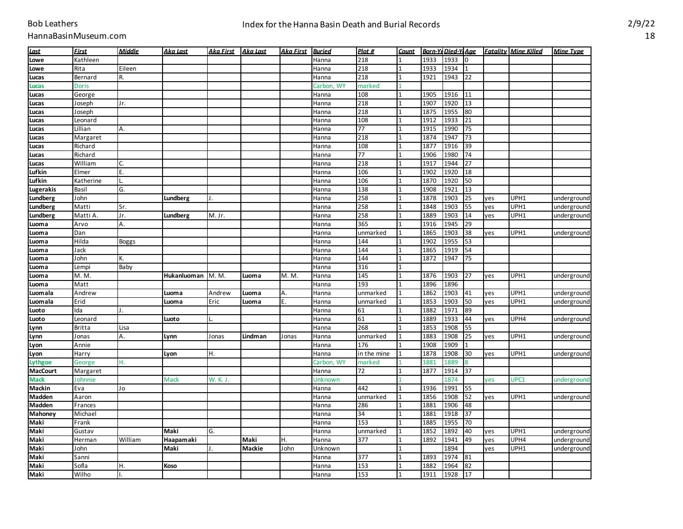| Last            | <b>First</b> | <b>Middle</b> | <u>Aka Last</u> | Aka First Aka Last |         | Aka First | <b>Buried</b> | Plot #          | Count | <b>Born-Ye Died-Yi Age</b> |      |                 |     | <b>Fatality Mine Killed</b> | <b>Mine Type</b> |
|-----------------|--------------|---------------|-----------------|--------------------|---------|-----------|---------------|-----------------|-------|----------------------------|------|-----------------|-----|-----------------------------|------------------|
| Lowe            | Kathleen     |               |                 |                    |         |           | Hanna         | 218             |       | 1933                       | 1933 | O               |     |                             |                  |
| Lowe            | Rita         | Eileen        |                 |                    |         |           | Hanna         | 218             |       | 1933                       | 1934 |                 |     |                             |                  |
| Lucas           | Bernard      | R.            |                 |                    |         |           | Hanna         | 218             |       | 1921                       | 1943 | $\overline{22}$ |     |                             |                  |
| Lucas           | <b>Doris</b> |               |                 |                    |         |           | Carbon, WY    | marked          |       |                            |      |                 |     |                             |                  |
| Lucas           | George       |               |                 |                    |         |           | Hanna         | 108             |       | 1905                       | 1916 | 11              |     |                             |                  |
| Lucas           | Joseph       | Jr.           |                 |                    |         |           | Hanna         | 218             |       | 1907                       | 1920 | 13              |     |                             |                  |
| Lucas           | Joseph       |               |                 |                    |         |           | Hanna         | 218             |       | 1875                       | 1955 | 80              |     |                             |                  |
| Lucas           | Leonard      |               |                 |                    |         |           | Hanna         | 108             |       | 1912                       | 1933 | 21              |     |                             |                  |
| Lucas           | Lillian      | Α.            |                 |                    |         |           | Hanna         | $\overline{77}$ |       | 1915                       | 1990 | $\overline{75}$ |     |                             |                  |
| Lucas           | Margaret     |               |                 |                    |         |           | Hanna         | 218             |       | 1874                       | 1947 | 73              |     |                             |                  |
| Lucas           | Richard      |               |                 |                    |         |           | Hanna         | 108             |       | 1877                       | 1916 | 39              |     |                             |                  |
| Lucas           | Richard      |               |                 |                    |         |           | Hanna         | $\overline{77}$ |       | 1906                       | 1980 | $\overline{74}$ |     |                             |                  |
| Lucas           | William      |               |                 |                    |         |           | Hanna         | 218             |       | 1917                       | 1944 | 27              |     |                             |                  |
| Lufkin          | Elmer        | E.            |                 |                    |         |           | Hanna         | 106             |       | 1902                       | 1920 | 18              |     |                             |                  |
| Lufkin          | Katherine    |               |                 |                    |         |           | Hanna         | 106             |       | 1870                       | 1920 | 50              |     |                             |                  |
| Lugerakis       | Basil        | G.            |                 |                    |         |           | Hanna         | 138             |       | 1908                       | 1921 | 13              |     |                             |                  |
| Lundberg        | John         |               | Lundberg        |                    |         |           | Hanna         | 258             |       | 1878                       | 1903 | 25              | yes | UPH1                        | underground      |
| Lundberg        | Matti        | Sr.           |                 |                    |         |           | Hanna         | 258             |       | 1848                       | 1903 | 55              | yes | UPH1                        | underground      |
| Lundberg        | Matti A.     | Jr.           | Lundberg        | M. Jr.             |         |           | Hanna         | 258             |       | 1889                       | 1903 | 14              | yes | UPH1                        | underground      |
| Luoma           | Arvo         | Α.            |                 |                    |         |           | Hanna         | 365             |       | 1916                       | 1945 | 29              |     |                             |                  |
| Luoma           | Dan          |               |                 |                    |         |           | Hanna         | unmarked        |       | 1865                       | 1903 | 38              | yes | UPH1                        | underground      |
| Luoma           | Hilda        | <b>Boggs</b>  |                 |                    |         |           | Hanna         | 144             |       | 1902                       | 1955 | 53              |     |                             |                  |
| Luoma           | Jack         |               |                 |                    |         |           | Hanna         | 144             |       | 1865                       | 1919 | 54              |     |                             |                  |
| Luoma           | John         |               |                 |                    |         |           | Hanna         | 144             |       | 1872                       | 1947 | $\overline{75}$ |     |                             |                  |
| Luoma           | Lempi        | Baby          |                 |                    |         |           | Hanna         | 316             |       |                            |      |                 |     |                             |                  |
| Luoma           | M. M.        |               | Hukanluoman     | M. M.              | Luoma   | M. M.     | Hanna         | 145             |       | 1876                       | 1903 | 27              | yes | UPH1                        | underground      |
| Luoma           | Matt         |               |                 |                    |         |           | Hanna         | 193             |       | 1896                       | 1896 |                 |     |                             |                  |
| Luomala         | Andrew       |               | Luoma           | Andrew             | Luoma   | Α.        | Hanna         | unmarked        |       | 1862                       | 1903 | 41              | yes | UPH1                        | underground      |
| Luomala         | Erid         |               | Luoma           | Eric               | Luoma   | E.        | Hanna         | unmarked        |       | 1853                       | 1903 | 50              | yes | UPH1                        | underground      |
| Luoto           | Ida          |               |                 |                    |         |           | Hanna         | 61              |       | 1882                       | 1971 | 89              |     |                             |                  |
| Luoto           | Leonard      |               | Luoto           |                    |         |           | Hanna         | 61              |       | 1889                       | 1933 | 44              | yes | UPH4                        | underground      |
| Lynn            | Britta       | Lisa          |                 |                    |         |           | Hanna         | 268             |       | 1853                       | 1908 | 55              |     |                             |                  |
| Lynn            | Jonas        | А.            | Lynn            | Jonas              | Lindman | Jonas     | Hanna         | unmarked        |       | 1883                       | 1908 | 25              | yes | UPH1                        | underground      |
| Lyon            | Annie        |               |                 |                    |         |           | Hanna         | 176             |       | 1908                       | 1909 |                 |     |                             |                  |
| Lyon            | Harry        |               | Lyon            | H.                 |         |           | Hanna         | in the mine     |       | 1878                       | 1908 | 30              | ves | UPH1                        | underground      |
| Lythgoe         | George       | H.            |                 |                    |         |           | Carbon, WY    | marked          |       | 1881                       | 1889 |                 |     |                             |                  |
| <b>MacCourt</b> | Margaret     |               |                 |                    |         |           | Hanna         | 72              |       | 1877                       | 1914 | 37              |     |                             |                  |
| Mack            | Johnnie      |               | Mack            | W. K. J            |         |           | Unknown       |                 |       |                            | 1874 |                 | ves | UPC1                        | underground      |
| Mackin          | Eva          | Jo            |                 |                    |         |           | Hanna         | 442             |       | 1936                       | 1991 | 55              |     |                             |                  |
| Madden          | Aaron        |               |                 |                    |         |           | Hanna         | unmarked        |       | 1856                       | 1908 | 52              | yes | UPH1                        | underground      |
| Madden          | Frances      |               |                 |                    |         |           | Hanna         | 286             |       | 1881                       | 1906 | 48              |     |                             |                  |
| Mahoney         | Michael      |               |                 |                    |         |           | Hanna         | $\overline{34}$ |       | 1881                       | 1918 | 37              |     |                             |                  |
| Maki            | Frank        |               |                 |                    |         |           | Hanna         | 153             |       | 1885                       | 1955 | 70              |     |                             |                  |
| Maki            | Gustav       |               | Maki            | G.                 |         |           | Hanna         | unmarked        |       | 1852                       | 1892 | 40              | yes | UPH1                        | underground      |
| Maki            | Herman       | William       | Haapamaki       |                    | Maki    | Η.        | Hanna         | 377             |       | 1892                       | 1941 | 49              | yes | UPH4                        | underground      |
| Maki            | John         |               | Maki            |                    | Mackie  | John      | Unknown       |                 |       |                            | 1894 |                 | yes | UPH1                        | underground      |
| Maki            | Sanni        |               |                 |                    |         |           | Hanna         | 377             |       | 1893                       | 1974 | 81              |     |                             |                  |
| Maki            | Sofla        | Η.            | Koso            |                    |         |           | Hanna         | 153             |       | 1882                       | 1964 | 82              |     |                             |                  |
| Maki            | Wilho        |               |                 |                    |         |           | Hanna         | 153             |       | 1911                       | 1928 | 17              |     |                             |                  |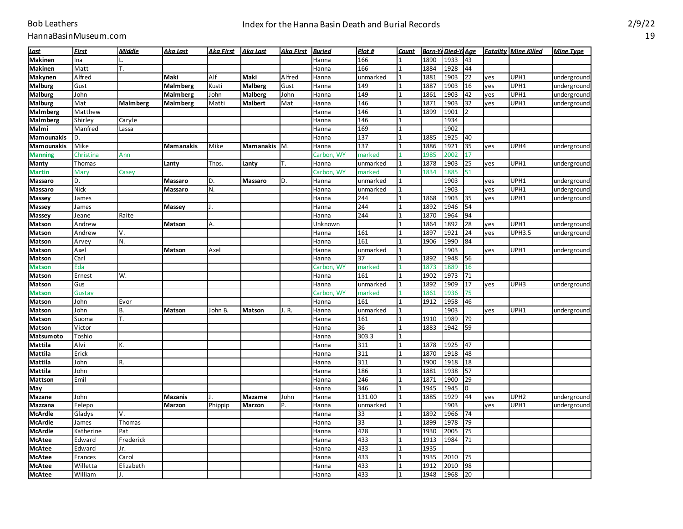| Last            | <b>First</b> | <b>Middle</b> | <u>Aka Last</u>  | Aka First | Aka Last       | Aka First | <b>Buried</b> | Plot #   | <b>Count</b> | <b>Born Ye Died Y Age</b> |      |                |     | <b>Fatality Mine Killed</b> | <b>Mine Type</b> |
|-----------------|--------------|---------------|------------------|-----------|----------------|-----------|---------------|----------|--------------|---------------------------|------|----------------|-----|-----------------------------|------------------|
| Makinen         | Ina          |               |                  |           |                |           | Hanna         | 166      |              | 1890                      | 1933 | 43             |     |                             |                  |
| Makinen         | Matt         |               |                  |           |                |           | Hanna         | 166      |              | 1884                      | 1928 | 44             |     |                             |                  |
| Makynen         | Alfred       |               | Maki             | Alf       | Maki           | Alfred    | Hanna         | unmarked |              | 1881                      | 1903 | 22             | ves | UPH1                        | underground      |
| <b>Malburg</b>  | Gust         |               | Malmberg         | Kusti     | <b>Malberg</b> | Gust      | Hanna         | 149      |              | 1887                      | 1903 | 16             | yes | UPH1                        | underground      |
| <b>Malburg</b>  | John         |               | Malmberg         | John      | <b>Malberg</b> | John      | Hanna         | 149      |              | 1861                      | 1903 | 42             | yes | UPH1                        | underground      |
| <b>Malburg</b>  | Mat          | Malmberg      | <b>Malmberg</b>  | Matti     | <b>Malbert</b> | Mat       | Hanna         | 146      |              | 1871                      | 1903 | 32             | yes | UPH1                        | underground      |
| <b>Malmberg</b> | Matthew      |               |                  |           |                |           | Hanna         | 146      |              | 1899                      | 1901 | $\mathfrak{p}$ |     |                             |                  |
| Malmberg        | Shirley      | Caryle        |                  |           |                |           | Hanna         | 146      |              |                           | 1934 |                |     |                             |                  |
| Malmi           | Manfred      | Lassa         |                  |           |                |           | Hanna         | 169      |              |                           | 1902 |                |     |                             |                  |
| Mamounakis      | D.           |               |                  |           |                |           | Hanna         | 137      |              | 1885                      | 1925 | 40             |     |                             |                  |
| Mamounakis      | Mike         |               | <b>Mamanakis</b> | Mike      | Mamanakis M.   |           | Hanna         | 137      |              | 1886                      | 1921 | 35             | yes | UPH4                        | underground      |
| <b>Manning</b>  | Christina    | Ann           |                  |           |                |           | Carbon, WY    | marked   |              | 1985                      | 2002 | 17             |     |                             |                  |
| Manty           | Thomas       |               | Lanty            | Thos.     | Lanty          | T.        | Hanna         | unmarked |              | 1878                      | 1903 | 25             | ves | UPH1                        | underground      |
| Martin          | Mary         | Casey         |                  |           |                |           | Carbon, WY    | marked   |              | 1834                      | 1885 | 51             |     |                             |                  |
| Massaro         | D.           |               | Massaro          | D.        | Massaro        | D.        | Hanna         | unmarked |              |                           | 1903 |                | yes | UPH1                        | underground      |
| Massaro         | <b>Nick</b>  |               | Massaro          | N.        |                |           | Hanna         | unmarked |              |                           | 1903 |                | yes | UPH1                        | underground      |
| Massey          | James        |               |                  |           |                |           | Hanna         | 244      |              | 1868                      | 1903 | 35             | yes | UPH1                        | underground      |
| Massey          | James        |               | Massey           |           |                |           | Hanna         | 244      |              | 1892                      | 1946 | 54             |     |                             |                  |
| Massey          | Jeane        | Raite         |                  |           |                |           | Hanna         | 244      |              | 1870                      | 1964 | 94             |     |                             |                  |
| Matson          | Andrew       |               | Matson           | А.        |                |           | Unknown       |          |              | 1864                      | 1892 | 28             | yes | UPH1                        | underground      |
| Matson          | Andrew       | ν.            |                  |           |                |           | Hanna         | 161      |              | 1897                      | 1921 | 24             | yes | UPH3.5                      | underground      |
| Matson          | Arvey        | N.            |                  |           |                |           | Hanna         | 161      |              | 1906                      | 1990 | 84             |     |                             |                  |
| Matson          | Axel         |               | Matson           | Axel      |                |           | Hanna         | unmarked |              |                           | 1903 |                | ves | UPH1                        | underground      |
| Matson          | Carl         |               |                  |           |                |           | Hanna         | 37       |              | 1892                      | 1948 | 56             |     |                             |                  |
| Matson          | Eda          |               |                  |           |                |           | Carbon, WY    | marked   |              | 1873                      | 1889 | 16             |     |                             |                  |
| Matson          | Ernest       | W.            |                  |           |                |           | Hanna         | 161      |              | 1902                      | 1973 | 71             |     |                             |                  |
| Matson          | Gus          |               |                  |           |                |           | Hanna         | unmarked |              | 1892                      | 1909 | 17             | yes | UPH3                        | underground      |
| <b>Matson</b>   | Gustav       |               |                  |           |                |           | Carbon, WY    | marked   |              | 1861                      | 1936 | 75             |     |                             |                  |
| Matson          | John         | Evor          |                  |           |                |           | Hanna         | 161      |              | 1912                      | 1958 | 46             |     |                             |                  |
| Matson          | John         | B.            | Matson           | John B    | Matson         | J.R.      | Hanna         | unmarked |              |                           | 1903 |                | yes | UPH1                        | underground      |
| Matson          | Suoma        | T.            |                  |           |                |           | Hanna         | 161      |              | 1910                      | 1989 | 79             |     |                             |                  |
| Matson          | Victor       |               |                  |           |                |           | Hanna         | 36       |              | 1883                      | 1942 | 59             |     |                             |                  |
| Matsumoto       | Toshio       |               |                  |           |                |           | Hanna         | 303.3    |              |                           |      |                |     |                             |                  |
| Mattila         | Alvi         | K.            |                  |           |                |           | Hanna         | 311      |              | 1878                      | 1925 | 47             |     |                             |                  |
| Mattila         | Erick        |               |                  |           |                |           | Hanna         | 311      |              | 1870                      | 1918 | 48             |     |                             |                  |
| Mattila         | John         | R.            |                  |           |                |           | Hanna         | 311      |              | 1900                      | 1918 | 18             |     |                             |                  |
| Mattila         | John         |               |                  |           |                |           | Hanna         | 186      |              | 1881                      | 1938 | 57             |     |                             |                  |
| Mattson         | Emil         |               |                  |           |                |           | Hanna         | 246      |              | 1871                      | 1900 | 29             |     |                             |                  |
| May             |              |               |                  |           |                |           | Hanna         | 346      |              | 1945                      | 1945 | 0              |     |                             |                  |
| Mazane          | John         |               | <b>Mazanis</b>   |           | <b>Mazame</b>  | John      | Hanna         | 131.00   |              | 1885                      | 1929 | 44             | ves | UPH <sub>2</sub>            | underground      |
| Mazzana         | Felepo       |               | Marzon           | Phippip   | Marzon         | P.        | Hanna         | unmarked |              |                           | 1903 |                | yes | UPH1                        | underground      |
| <b>McArdle</b>  | Gladys       | ٧.            |                  |           |                |           | Hanna         | 33       |              | 1892                      | 1966 | 74             |     |                             |                  |
| <b>McArdle</b>  | James        | Thomas        |                  |           |                |           | Hanna         | 33       |              | 1899                      | 1978 | 79             |     |                             |                  |
| <b>McArdle</b>  | Katherine    | Pat           |                  |           |                |           | Hanna         | 428      |              | 1930                      | 2005 | 75             |     |                             |                  |
| <b>McAtee</b>   | Edward       | Frederick     |                  |           |                |           | Hanna         | 433      |              | 1913                      | 1984 | 71             |     |                             |                  |
| <b>McAtee</b>   | Edward       | Jr.           |                  |           |                |           | Hanna         | 433      |              | 1935                      |      |                |     |                             |                  |
| McAtee          | Frances      | Carol         |                  |           |                |           | Hanna         | 433      |              | 1935                      | 2010 | 75             |     |                             |                  |
| <b>McAtee</b>   | Willetta     | Elizabeth     |                  |           |                |           | Hanna         | 433      |              | 1912                      | 2010 | 98             |     |                             |                  |
| McAtee          | William      |               |                  |           |                |           | Hanna         | 433      |              | 1948                      | 1968 | 20             |     |                             |                  |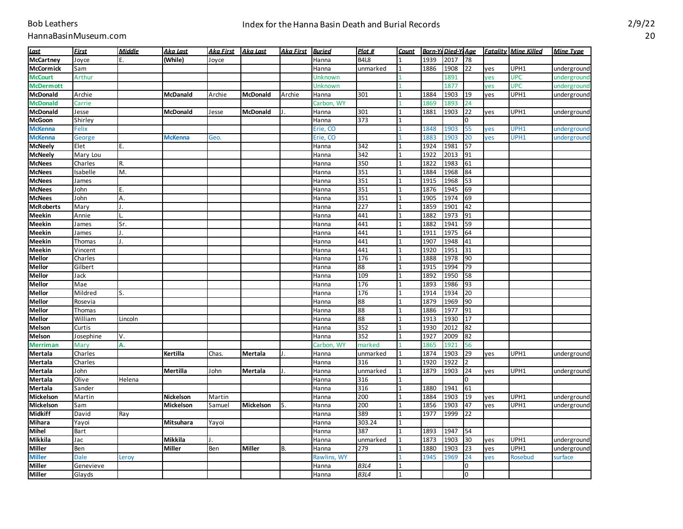| Last             | <b>First</b> | <b>Middle</b> | <u>Aka Last</u> | Aka First | Aka Last  | Aka First | <b>Buried</b>      | Plot #      | <b>Count</b> | <b>Born-Ye Died-Y Age</b> |      |                | <b>Fatality</b> | <b>Mine Killed</b> | <b>Mine Type</b> |
|------------------|--------------|---------------|-----------------|-----------|-----------|-----------|--------------------|-------------|--------------|---------------------------|------|----------------|-----------------|--------------------|------------------|
| <b>McCartney</b> | Joyce        | Ε.            | (While)         | Joyce     |           |           | Hanna              | <b>B4L8</b> |              | 1939                      | 2017 | 78             |                 |                    |                  |
| McCormick        | Sam          |               |                 |           |           |           | Hanna              | unmarked    |              | 1886                      | 1908 | 22             | yes             | UPH1               | underground      |
| <b>McCourt</b>   | Arthur       |               |                 |           |           |           | Unknown            |             |              |                           | 1891 |                | yes             | <b>UPC</b>         | underground      |
| <b>McDermott</b> |              |               |                 |           |           |           | Unknown            |             |              |                           | 1877 |                | yes             | <b>UPC</b>         | underground      |
| <b>McDonald</b>  | Archie       |               | McDanald        | Archie    | McDonald  | Archie    | Hanna              | 301         |              | 1884                      | 1903 | 19             | yes             | UPH1               | underground      |
| <b>McDonald</b>  | Carrie       |               |                 |           |           |           | Carbon, WY         |             |              | 1869                      | 1893 | 24             |                 |                    |                  |
| <b>McDonald</b>  | Jesse        |               | <b>McDonald</b> | Jesse     | McDonald  |           | Hanna              | 301         |              | 1881                      | 1903 | 22             | yes             | UPH1               | underground      |
| McGoon           | Shirley      |               |                 |           |           |           | Hanna              | 373         |              |                           |      | 0              |                 |                    |                  |
| <b>McKenna</b>   | <b>Felix</b> |               |                 |           |           |           | Erie, CO           |             |              | 1848                      | 1903 | 55             | yes             | UPH1               | underground      |
| <b>McKenna</b>   | George       |               | <b>McKenna</b>  | Geo.      |           |           | Erie, CO           |             |              | 1883                      | 1903 | 20             | yes             | UPH1               | underground      |
| <b>McNeely</b>   | Elet         | E.            |                 |           |           |           | Hanna              | 342         |              | 1924                      | 1981 | 57             |                 |                    |                  |
| <b>McNeely</b>   | Mary Lou     |               |                 |           |           |           | Hanna              | 342         |              | 1922                      | 2013 | 91             |                 |                    |                  |
| <b>McNees</b>    | Charles      | R.            |                 |           |           |           | Hanna              | 350         |              | 1822                      | 1983 | 61             |                 |                    |                  |
| <b>McNees</b>    | Isabelle     | M.            |                 |           |           |           | Hanna              | 351         |              | 1884                      | 1968 | 84             |                 |                    |                  |
| <b>McNees</b>    | James        |               |                 |           |           |           | Hanna              | 351         |              | 1915                      | 1968 | 53             |                 |                    |                  |
| <b>McNees</b>    | John         | E.            |                 |           |           |           | Hanna              | 351         |              | 1876                      | 1945 | 69             |                 |                    |                  |
| <b>McNees</b>    | John         | A.            |                 |           |           |           | Hanna              | 351         |              | 1905                      | 1974 | 69             |                 |                    |                  |
| <b>McRoberts</b> | Mary         |               |                 |           |           |           | Hanna              | 227         |              | 1859                      | 1901 | 42             |                 |                    |                  |
| Meekin           | Annie        |               |                 |           |           |           | Hanna              | 441         |              | 1882                      | 1973 | 91             |                 |                    |                  |
| Meekin           | James        | Sr.           |                 |           |           |           | Hanna              | 441         |              | 1882                      | 1941 | 59             |                 |                    |                  |
| Meekin           | James        |               |                 |           |           |           | Hanna              | 441         |              | 1911                      | 1975 | 64             |                 |                    |                  |
| <b>Meekin</b>    | Thomas       |               |                 |           |           |           | Hanna              | 441         |              | 1907                      | 1948 | 41             |                 |                    |                  |
| Meekin           | Vincent      |               |                 |           |           |           | Hanna              | 441         |              | 1920                      | 1951 | 31             |                 |                    |                  |
| Mellor           | Charles      |               |                 |           |           |           | Hanna              | 176         |              | 1888                      | 1978 | 90             |                 |                    |                  |
| Mellor           | Gilbert      |               |                 |           |           |           | Hanna              | 88          |              | 1915                      | 1994 | 79             |                 |                    |                  |
| Mellor           | Jack         |               |                 |           |           |           | Hanna              | 109         |              | 1892                      | 1950 | 58             |                 |                    |                  |
| Mellor           | Mae          |               |                 |           |           |           | Hanna              | 176         |              | 1893                      | 1986 | 93             |                 |                    |                  |
| Mellor           | Mildred      | S.            |                 |           |           |           | Hanna              | 176         |              | 1914                      | 1934 | 20             |                 |                    |                  |
| Mellor           | Rosevia      |               |                 |           |           |           | Hanna              | 88          |              | 1879                      | 1969 | 90             |                 |                    |                  |
| Mellor           | Thomas       |               |                 |           |           |           | Hanna              | 88          |              | 1886                      | 1977 | 91             |                 |                    |                  |
| Mellor           | William      | Lincoln       |                 |           |           |           | Hanna              | 88          |              | 1913                      | 1930 | 17             |                 |                    |                  |
| Melson           | Curtis       |               |                 |           |           |           | Hanna              | 352         |              | 1930                      | 2012 | 82             |                 |                    |                  |
| Melson           | Josephine    | ν.            |                 |           |           |           | Hanna              | 352         |              | 1927                      | 2009 | 82             |                 |                    |                  |
| <b>Merriman</b>  | Mary         | А.            |                 |           |           |           | Carbon, WY         | marked      |              | 1865                      | 1921 | 56             |                 |                    |                  |
| Mertala          | Charles      |               | Kertilla        | Chas.     | Mertala   |           | Hanna              | unmarked    |              | 1874                      | 1903 | 29             | ves             | UPH1               | underground      |
| Mertala          | Charles      |               |                 |           |           |           | Hanna              | 316         |              | 1920                      | 1922 | $\mathfrak{p}$ |                 |                    |                  |
| Mertala          | John         |               | Mertilla        | John      | Mertala   |           | Hanna              | unmarked    |              | 1879                      | 1903 | 24             | ves             | UPH1               | underground      |
| Mertala          | Olive        | Helena        |                 |           |           |           | Hanna              | 316         |              |                           |      | 0              |                 |                    |                  |
| Mertala          | Sander       |               |                 |           |           |           | Hanna              | 316         |              | 1880                      | 1941 | 61             |                 |                    |                  |
| Mickelson        | Martin       |               | Nickelson       | Martin    |           |           | Hanna              | 200         |              | 1884                      | 1903 | 19             | yes             | UPH1               | underground      |
| Mickelson        | Sam          |               | Mickelson       | Samuel    | Mickelson | S.        | Hanna              | 200         |              | 1856                      | 1903 | 47             | yes             | UPH1               | underground      |
| Midkiff          | David        | Ray           |                 |           |           |           | Hanna              | 389         |              | 1977                      | 1999 | 22             |                 |                    |                  |
| Mihara           | Yayoi        |               | Mitsuhara       | Yayoi     |           |           | Hanna              | 303.24      |              |                           |      |                |                 |                    |                  |
| Mihel            | Bart         |               |                 |           |           |           | Hanna              | 387         |              | 1893                      | 1947 | 54             |                 |                    |                  |
| Mikkila          | Jac          |               | Mikkila         | J.        |           |           | Hanna              | unmarked    |              | 1873                      | 1903 | 30             | yes             | UPH1               | underground      |
| Miller           | Ben          |               | Miller          | Ben       | Miller    | <b>B.</b> | Hanna              | 279         |              | 1880                      | 1903 | 23             | yes             | UPH1               | underground      |
| Miller           | <b>Dale</b>  | Leroy         |                 |           |           |           | <b>Rawlins, WY</b> |             |              | 1945                      | 1969 | 24             | yes             | <b>Rosebud</b>     | surface          |
| Miller           | Genevieve    |               |                 |           |           |           | Hanna              | <b>B3L4</b> |              |                           |      | 0              |                 |                    |                  |
| Miller           | Glayds       |               |                 |           |           |           | Hanna              | <b>B3L4</b> |              |                           |      | 0              |                 |                    |                  |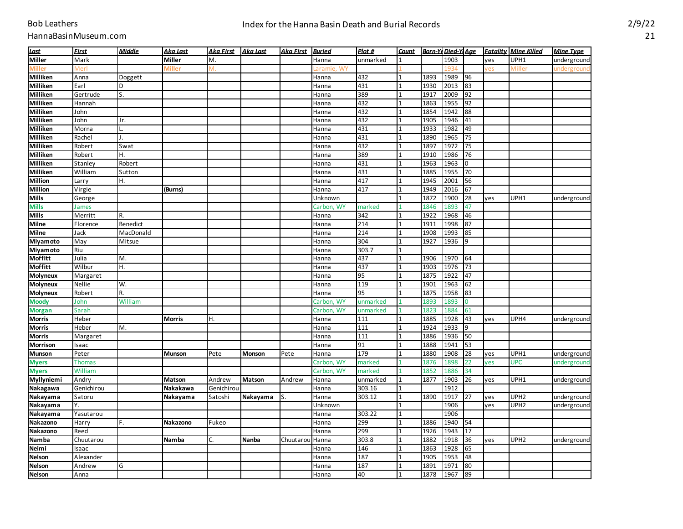#### Bob Leathers

| <u>Last</u>     | <b>First</b>  | <b>Middle</b> | Aka Last      | Aka First  | <u>Aka Last</u> | Aka First | <b>Buried</b>        | Plot #   | Count | <b>Born Ye Died Y Age</b> |      |    |     | <b>Fatality Mine Killed</b> | <b>Mine Type</b> |
|-----------------|---------------|---------------|---------------|------------|-----------------|-----------|----------------------|----------|-------|---------------------------|------|----|-----|-----------------------------|------------------|
| Miller          | Mark          |               | Miller        | M.         |                 |           | Hanna                | unmarked |       |                           | 1903 |    | yes | UPH1                        | underground      |
|                 | Mer           |               | <b>Miller</b> |            |                 |           | aramie, WY           |          |       |                           |      |    | ρç  | 1iller                      | ındergrour       |
| Milliken        | Anna          | Doggett       |               |            |                 |           | Hanna                | 432      |       | 1893                      | 1989 | 96 |     |                             |                  |
| Milliken        | Earl          |               |               |            |                 |           | Hanna                | 431      |       | 1930                      | 2013 | 83 |     |                             |                  |
| Milliken        | Gertrude      | S             |               |            |                 |           | Hanna                | 389      |       | 1917                      | 2009 | 92 |     |                             |                  |
| Milliken        | Hannah        |               |               |            |                 |           | Hanna                | 432      |       | 1863                      | 1955 | 92 |     |                             |                  |
| Milliken        | John          |               |               |            |                 |           | Hanna                | 432      |       | 1854                      | 1942 | 88 |     |                             |                  |
| Milliken        | John          | Jr.           |               |            |                 |           | Hanna                | 432      |       | 1905                      | 1946 | 41 |     |                             |                  |
| Milliken        | Morna         |               |               |            |                 |           | Hanna                | 431      |       | 1933                      | 1982 | 49 |     |                             |                  |
| Milliken        | Rachel        |               |               |            |                 |           | Hanna                | 431      |       | 1890                      | 1965 | 75 |     |                             |                  |
| Milliken        | Robert        | Swat          |               |            |                 |           | Hanna                | 432      |       | 1897                      | 1972 | 75 |     |                             |                  |
| Milliken        | Robert        | H.            |               |            |                 |           | Hanna                | 389      |       | 1910                      | 1986 | 76 |     |                             |                  |
| Milliken        | Stanley       | Robert        |               |            |                 |           | Hanna                | 431      |       | 1963                      | 1963 | 0  |     |                             |                  |
| Milliken        | William       | Sutton        |               |            |                 |           | Hanna                | 431      |       | 1885                      | 1955 | 70 |     |                             |                  |
| <b>Million</b>  | Larry         | Н.            |               |            |                 |           | Hanna                | 417      |       | 1945                      | 2001 | 56 |     |                             |                  |
| Million         | Virgie        |               | (Burns)       |            |                 |           | Hanna                | 417      |       | 1949                      | 2016 | 67 |     |                             |                  |
| Mills           | George        |               |               |            |                 |           | Unknown              |          |       | 1872                      | 1900 | 28 | yes | UPH1                        | underground      |
| <b>Mills</b>    | <b>James</b>  |               |               |            |                 |           | Carbon, WY           | marked   |       | 1846                      | 1893 | 47 |     |                             |                  |
| <b>Mills</b>    | Merritt       | R.            |               |            |                 |           | Hanna                | 342      |       | 1922                      | 1968 | 46 |     |                             |                  |
| Milne           | Florence      | Benedict      |               |            |                 |           | Hanna                | 214      |       | 1911                      | 1998 | 87 |     |                             |                  |
| Milne           | Jack          | MacDonald     |               |            |                 |           | Hanna                | 214      |       | 1908                      | 1993 | 85 |     |                             |                  |
| Miyamoto        | May           | Mitsue        |               |            |                 |           | Hanna                | 304      |       | 1927                      | 1936 | q  |     |                             |                  |
| Miyamoto        | Riu           |               |               |            |                 |           | Hanna                | 303.7    |       |                           |      |    |     |                             |                  |
| Moffitt         | Julia         | M.            |               |            |                 |           | Hanna                | 437      |       | 1906                      | 1970 | 64 |     |                             |                  |
| Moffitt         | Wilbur        | н.            |               |            |                 |           | Hanna                | 437      |       | 1903                      | 1976 | 73 |     |                             |                  |
| Molyneux        | Margaret      |               |               |            |                 |           | Hanna                | 95       |       | 1875                      | 1922 | 47 |     |                             |                  |
| <b>Molyneux</b> | Nellie        | W.            |               |            |                 |           | Hanna                | 119      |       | 1901                      | 1963 | 62 |     |                             |                  |
| Molyneux        | Robert        | R.            |               |            |                 |           | Hanna                | 95       |       | 1875                      | 1958 | 83 |     |                             |                  |
| Moody           | John          | William       |               |            |                 |           | Carbon, WY           | unmarked |       | 1893                      | 1893 |    |     |                             |                  |
| <b>Morgan</b>   | Sarah         |               |               |            |                 |           | Carbon, WY           | unmarked |       | 1823                      | 1884 | 61 |     |                             |                  |
| <b>Morris</b>   | Heber         |               | <b>Morris</b> | Η.         |                 |           | Hanna                | 111      |       | 1885                      | 1928 | 43 | yes | UPH4                        | underground      |
| <b>Morris</b>   | Heber         | M.            |               |            |                 |           | Hanna                | 111      |       | 1924                      | 1933 | 9  |     |                             |                  |
| <b>Morris</b>   | Margaret      |               |               |            |                 |           | Hanna                | 111      |       | 1886                      | 1936 | 50 |     |                             |                  |
| Morrison        | Isaac         |               |               |            |                 |           | Hanna                | 91       |       | 1888                      | 1941 | 53 |     |                             |                  |
| Munson          | Peter         |               | Munson        | Pete       | Monson          | Pete      | Hanna                | 179      |       | 1880                      | 1908 | 28 | yes | UPH1                        | underground      |
| <b>Myers</b>    | <b>Thomas</b> |               |               |            |                 |           | Carbon, WY           | marked   |       | 1876                      | 1898 | 22 | ves | UPC                         | underground      |
| <b>Myers</b>    | William       |               |               |            |                 |           | <b>WY</b><br>Carbon, | marked   |       | 1852                      | 1886 | 34 |     |                             |                  |
| Myllyniemi      | Andry         |               | Matson        | Andrew     | Matson          | Andrew    | Hanna                | unmarked |       | 1877                      | 1903 | 26 | yes | UPH1                        | underground      |
| Nakagawa        | Genichirou    |               | Nakakawa      | Genichirou |                 |           | Hanna                | 303.16   |       |                           | 1912 |    |     |                             |                  |
| Nakayama        | Satoru        |               | Nakayama      | Satoshi    | Nakayama        |           | Hanna                | 303.12   |       | 1890                      | 1917 | 27 | yes | UPH <sub>2</sub>            | underground      |
| Nakayama        | Υ.            |               |               |            |                 |           | Unknown              |          |       |                           | 1906 |    | yes | UPH <sub>2</sub>            | underground      |
| Nakayama        | Yasutarou     |               |               |            |                 |           | Hanna                | 303.22   |       |                           | 1906 |    |     |                             |                  |
| Nakazono        | Harry         | F.            | Nakazono      | Fukeo      |                 |           | Hanna                | 299      |       | 1886                      | 1940 | 54 |     |                             |                  |
| Nakazono        | Reed          |               |               |            |                 |           | Hanna                | 299      |       | 1926                      | 1943 | 17 |     |                             |                  |
| Nam ba          | Chuutarou     |               | Namba         | C.         | Nanba           | Chuutarou | Hanna                | 303.8    |       | 1882                      | 1918 | 36 | yes | UPH <sub>2</sub>            | underground      |
| Neimi           | Isaac         |               |               |            |                 |           | Hanna                | 146      |       | 1863                      | 1928 | 65 |     |                             |                  |
| Nelson          | Alexander     |               |               |            |                 |           | Hanna                | 187      |       | 1905                      | 1953 | 48 |     |                             |                  |
| Nelson          | Andrew        | G             |               |            |                 |           | Hanna                | 187      |       | 1891                      | 1971 | 80 |     |                             |                  |
| Nelson          | Anna          |               |               |            |                 |           | Hanna                | 40       |       | 1878                      | 1967 | 89 |     |                             |                  |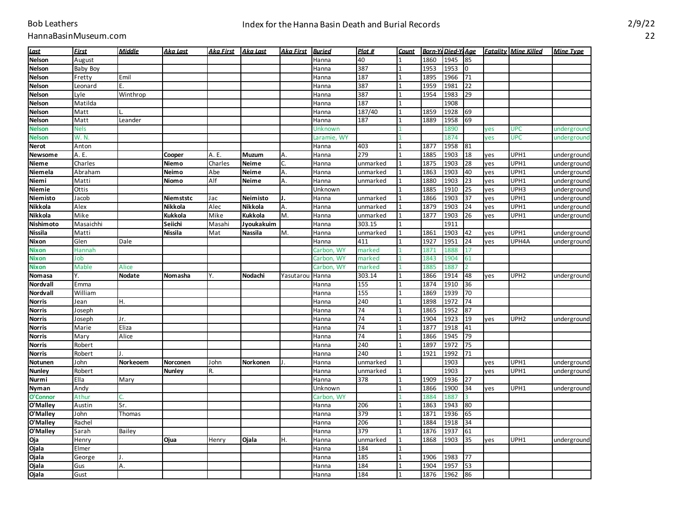| Last          | <b>First</b> | Middle   | <u>Aka Last</u> | <u>Aka First -   Aka Last</u> |                | Aka First | <b>Buried</b> | Plot #   | Count | <u>Born-Ye Died-YeAge</u> |      |    |     | <b>Fatality Mine Killed</b> | <b>Mine Type</b> |
|---------------|--------------|----------|-----------------|-------------------------------|----------------|-----------|---------------|----------|-------|---------------------------|------|----|-----|-----------------------------|------------------|
| Nelson        | August       |          |                 |                               |                |           | Hanna         | 40       |       | 1860                      | 1945 | 85 |     |                             |                  |
| Nelson        | Baby Boy     |          |                 |                               |                |           | Hanna         | 387      |       | 1953                      | 1953 | 0  |     |                             |                  |
| Nelson        | Fretty       | Emil     |                 |                               |                |           | Hanna         | 187      |       | 1895                      | 1966 | 71 |     |                             |                  |
| Nelson        | Leonard      | E.       |                 |                               |                |           | Hanna         | 387      |       | 1959                      | 1981 | 22 |     |                             |                  |
| Nelson        | Lyle         | Winthrop |                 |                               |                |           | Hanna         | 387      |       | 1954                      | 1983 | 29 |     |                             |                  |
| Nelson        | Matilda      |          |                 |                               |                |           | Hanna         | 187      |       |                           | 1908 |    |     |                             |                  |
| Nelson        | Matt         |          |                 |                               |                |           | Hanna         | 187/40   |       | 1859                      | 1928 | 69 |     |                             |                  |
| Nelson        | Matt         | Leander  |                 |                               |                |           | Hanna         | 187      |       | 1889                      | 1958 | 69 |     |                             |                  |
| Nelson        | <b>Nels</b>  |          |                 |                               |                |           | Unknown       |          |       |                           | 1890 |    | /es | <b>UPC</b>                  | underground      |
| Nelson        | W. N.        |          |                 |                               |                |           | Laramie, WY   |          |       |                           | 1874 |    | res | <b>UPC</b>                  | underground      |
| Nerot         | Anton        |          |                 |                               |                |           | Hanna         | 403      |       | 1877                      | 1958 | 81 |     |                             |                  |
| Newsome       | A. E.        |          | Cooper          | A. E.                         | <b>Muzum</b>   | Α.        | Hanna         | 279      |       | 1885                      | 1903 | 18 | yes | UPH1                        | underground      |
| Nieme         | Charles      |          | Niemo           | Charles                       | Neime          |           | Hanna         | unmarked |       | 1875                      | 1903 | 28 | yes | UPH1                        | underground      |
| Niemela       | Abraham      |          | Neimo           | Abe                           | Neime          | Α.        | Hanna         | unmarked |       | 1863                      | 1903 | 40 | yes | UPH1                        | underground      |
| Niemi         | Matti        |          | Niomo           | Alf                           | <b>Neime</b>   | А.        | Hanna         | unmarked |       | 1880                      | 1903 | 23 | yes | UPH1                        | underground      |
| Niemie        | Ottis        |          |                 |                               |                |           | Unknown       |          |       | 1885                      | 1910 | 25 | yes | UPH3                        | underground      |
| Niemisto      | Jacob        |          | Niemststc       | Jac                           | Neimisto       |           | Hanna         | unmarked |       | 1866                      | 1903 | 37 | yes | UPH1                        | underground      |
| Nikkola       | Alex         |          | Nikkola         | Alec                          | <b>Nikkola</b> | Α.        | Hanna         | unmarked |       | 1879                      | 1903 | 24 | yes | UPH1                        | underground      |
| Nikkola       | Mike         |          | Kukkola         | Mike                          | Kukkola        | M.        | Hanna         | unmarked |       | 1877                      | 1903 | 26 | yes | UPH1                        | underground      |
| Nishimoto     | Masaichhi    |          | Seiichi         | Masahi                        | Jyoukakuim     |           | Hanna         | 303.15   |       |                           | 1911 |    |     |                             |                  |
| Nissila       | Matti        |          | Nissila         | Mat                           | Nassila        | M.        | Hanna         | unmarked |       | 1861                      | 1903 | 42 | yes | UPH1                        | underground      |
| Nixon         | Glen         | Dale     |                 |                               |                |           | Hanna         | 411      |       | 1927                      | 1951 | 24 | yes | UPH4A                       | underground      |
| Nixon         | Hannah       |          |                 |                               |                |           | Carbon, WY    | marked   |       | 1871                      | 1888 | 17 |     |                             |                  |
| <b>Nixon</b>  | Job          |          |                 |                               |                |           | Carbon, WY    | marked   |       | 1843                      | 1904 | 61 |     |                             |                  |
| Nixon         | Mable        | Alice    |                 |                               |                |           | Carbon, WY    | marked   |       | 1885                      | 1887 |    |     |                             |                  |
| Nomasa        | Ý.           | Nodate   | Nomasha         | Υ.                            | Nodachi        | Yasutarou | Hanna         | 303.14   |       | 1866                      | 1914 | 48 | yes | UPH <sub>2</sub>            | underground      |
| Nordvall      | Emma         |          |                 |                               |                |           | Hanna         | 155      |       | 1874                      | 1910 | 36 |     |                             |                  |
| Nordvall      | William      |          |                 |                               |                |           | Hanna         | 155      |       | 1869                      | 1939 | 70 |     |                             |                  |
| Norris        | lean         | Η.       |                 |                               |                |           | Hanna         | 240      |       | 1898                      | 1972 | 74 |     |                             |                  |
| Norris        | Joseph       |          |                 |                               |                |           | Hanna         | 74       |       | 1865                      | 1952 | 87 |     |                             |                  |
| Norris        | Joseph       | Jr.      |                 |                               |                |           | Hanna         | 74       |       | 1904                      | 1923 | 19 | ves | UPH <sub>2</sub>            | underground      |
| <b>Norris</b> | Marie        | Eliza    |                 |                               |                |           | Hanna         | 74       |       | 1877                      | 1918 | 41 |     |                             |                  |
| Norris        | Mary         | Alice    |                 |                               |                |           | Hanna         | 74       |       | 1866                      | 1945 | 79 |     |                             |                  |
| Norris        | Robert       |          |                 |                               |                |           | Hanna         | 240      |       | 1897                      | 1972 | 75 |     |                             |                  |
| Norris        | Robert       |          |                 |                               |                |           | Hanna         | 240      |       | 1921                      | 1992 | 71 |     |                             |                  |
| Notunen       | John         | Norkeoem | Norconen        | John                          | Norkonen       |           | Hanna         | unmarked |       |                           | 1903 |    | yes | UPH1                        | underground      |
| <b>Nunley</b> | Robert       |          | <b>Nunley</b>   | R.                            |                |           | Hanna         | unmarked |       |                           | 1903 |    | ves | UPH1                        | underground      |
| Nurmi         | Ella         | Mary     |                 |                               |                |           | Hanna         | 378      |       | 1909                      | 1936 | 27 |     |                             |                  |
| Nyman         | Andy         |          |                 |                               |                |           | Unknown       |          |       | 1866                      | 1900 | 34 | yes | UPH1                        | underground      |
| O'Connor      | Athur        |          |                 |                               |                |           | Carbon, WY    |          |       | 1884                      | 1887 | 3  |     |                             |                  |
| O'Malley      | Austin       | Sr.      |                 |                               |                |           | Hanna         | 206      |       | 1863                      | 1943 | 80 |     |                             |                  |
| O'Malley      | John         | Thomas   |                 |                               |                |           | Hanna         | 379      |       | 1871                      | 1936 | 65 |     |                             |                  |
| O'Malley      | Rachel       |          |                 |                               |                |           | Hanna         | 206      |       | 1884                      | 1918 | 34 |     |                             |                  |
| O'Malley      | Sarah        | Bailey   |                 |                               |                |           | Hanna         | 379      |       | 1876                      | 1937 | 61 |     |                             |                  |
| Oja           | Henry        |          | Ojua            | Henry                         | Ojala          | Η.        | Hanna         | unmarked |       | 1868                      | 1903 | 35 | yes | UPH1                        | underground      |
| Ojala         | Elmer        |          |                 |                               |                |           | Hanna         | 184      |       |                           |      |    |     |                             |                  |
| Ojala         | George       |          |                 |                               |                |           | Hanna         | 185      |       | 1906                      | 1983 | 77 |     |                             |                  |
| Ojala         | Gus          | Α.       |                 |                               |                |           | Hanna         | 184      |       | 1904                      | 1957 | 53 |     |                             |                  |
|               |              |          |                 |                               |                |           |               |          |       |                           | 1962 | 86 |     |                             |                  |
| Ojala         | Gust         |          |                 |                               |                |           | Hanna         | 184      |       | 1876                      |      |    |     |                             |                  |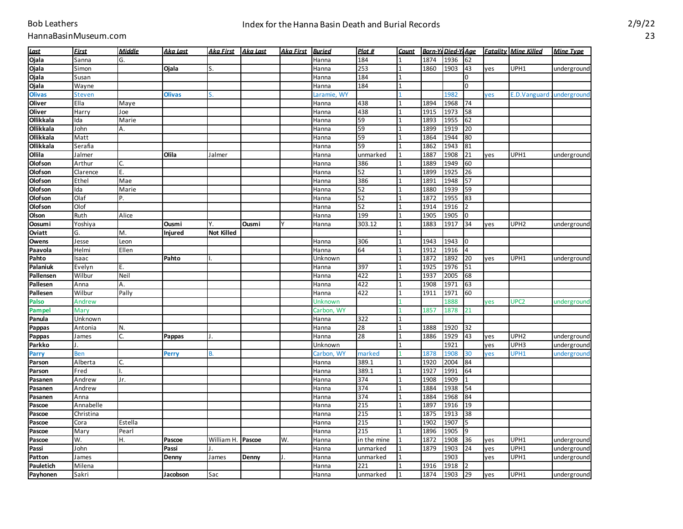| Last          | <b>First</b>  | <u>Middle</u> | Aka Last      | <u>Aka First Aka Last</u> |        | Aka First | <b>Buried</b> | Plot #      | Count | <b>Born Ye Died Y Age</b> |      |    |     | <b>Fatality Mine Killed</b>      | <b>Mine Type</b> |
|---------------|---------------|---------------|---------------|---------------------------|--------|-----------|---------------|-------------|-------|---------------------------|------|----|-----|----------------------------------|------------------|
| Ojala         | Sanna         | G.            |               |                           |        |           | Hanna         | 184         |       | 1874                      | 1936 | 62 |     |                                  |                  |
| Ojala         | Simon         |               | Ojala         | S.                        |        |           | Hanna         | 253         |       | 1860                      | 1903 | 43 | yes | UPH1                             | underground      |
| Ojala         | Susan         |               |               |                           |        |           | Hanna         | 184         |       |                           |      | 0  |     |                                  |                  |
| Ojala         | Wayne         |               |               |                           |        |           | Hanna         | 184         |       |                           |      |    |     |                                  |                  |
| <b>Olivas</b> | <b>Steven</b> |               | <b>Olivas</b> |                           |        |           | Laramie, WY   |             |       |                           | 1982 |    | yes | <b>E.D.Vanguard Iunderground</b> |                  |
| Oliver        | Ella          | Maye          |               |                           |        |           | Hanna         | 438         |       | 1894                      | 1968 | 74 |     |                                  |                  |
| Oliver        | Harry         | Joe           |               |                           |        |           | Hanna         | 438         |       | 1915                      | 1973 | 58 |     |                                  |                  |
| Ollikkala     | Ida           | Marie         |               |                           |        |           | Hanna         | 59          |       | 1893                      | 1955 | 62 |     |                                  |                  |
| Ollikkala     | John          | Α.            |               |                           |        |           | Hanna         | 59          |       | 1899                      | 1919 | 20 |     |                                  |                  |
| Ollikkala     | Matt          |               |               |                           |        |           | Hanna         | 59          |       | 1864                      | 1944 | 80 |     |                                  |                  |
| Ollikkala     | Serafia       |               |               |                           |        |           | Hanna         | 59          |       | 1862                      | 1943 | 81 |     |                                  |                  |
| Ollila        | Jalmer        |               | Olila         | Jalmer                    |        |           | Hanna         | unmarked    |       | 1887                      | 1908 | 21 | yes | UPH1                             | underground      |
| Olofson       | Arthur        | C.            |               |                           |        |           | Hanna         | 386         |       | 1889                      | 1949 | 60 |     |                                  |                  |
| Olofson       | Clarence      | E.            |               |                           |        |           | Hanna         | 52          |       | 1899                      | 1925 | 26 |     |                                  |                  |
| Olofson       | Ethel         | Mae           |               |                           |        |           | Hanna         | 386         |       | 1891                      | 1948 | 57 |     |                                  |                  |
| Olofson       | Ida           | Marie         |               |                           |        |           | Hanna         | 52          |       | 1880                      | 1939 | 59 |     |                                  |                  |
| Olofson       | Olaf          | P.            |               |                           |        |           | Hanna         | 52          |       | 1872                      | 1955 | 83 |     |                                  |                  |
| Olofson       | Olof          |               |               |                           |        |           | Hanna         | 52          |       | 1914                      | 1916 |    |     |                                  |                  |
| Olson         | Ruth          | Alice         |               |                           |        |           | Hanna         | 199         |       | 1905                      | 1905 | 0  |     |                                  |                  |
| Oosumi        | Yoshiya       |               | Ousmi         | Υ.                        | Ousmi  |           | Hanna         | 303.12      |       | 1883                      | 1917 | 34 | yes | UPH <sub>2</sub>                 | underground      |
| Oviatt        | G.            | M.            | Injured       | <b>Not Killed</b>         |        |           |               |             |       |                           |      |    |     |                                  |                  |
| Owens         | Jesse         | Leon          |               |                           |        |           | Hanna         | 306         |       | 1943                      | 1943 | 0  |     |                                  |                  |
| Paavola       | Helmi         | Ellen         |               |                           |        |           | Hanna         | 64          |       | 1912                      | 1916 |    |     |                                  |                  |
| Pahto         | Isaac         |               | Pahto         |                           |        |           | Unknown       |             |       | 1872                      | 1892 | 20 | yes | UPH1                             | underground      |
| Palaniuk      | Evelyn        | Ε.            |               |                           |        |           | Hanna         | 397         |       | 1925                      | 1976 | 51 |     |                                  |                  |
| Pallensen     | Wilbur        | Neil          |               |                           |        |           | Hanna         | 422         |       | 1937                      | 2005 | 68 |     |                                  |                  |
| Pallesen      | Anna          | Α.            |               |                           |        |           | Hanna         | 422         |       | 1908                      | 1971 | 63 |     |                                  |                  |
| Pallesen      | Wilbur        | Pally         |               |                           |        |           | Hanna         | 422         |       | 1911                      | 1971 | 60 |     |                                  |                  |
| Palso         | Andrew        |               |               |                           |        |           | Unknown       |             |       |                           | 1888 |    | yes | UPC <sub>2</sub>                 | underground      |
| Pampel        | Mary          |               |               |                           |        |           | Carbon, WY    |             |       | 1857                      | 1878 | 21 |     |                                  |                  |
| Panula        | Unknown       |               |               |                           |        |           | Hanna         | 322         |       |                           |      |    |     |                                  |                  |
| <b>Pappas</b> | Antonia       | N.            |               |                           |        |           | Hanna         | 28          |       | 1888                      | 1920 | 32 |     |                                  |                  |
| Pappas        | James         | C.            | Pappas        |                           |        |           | Hanna         | 28          |       | 1886                      | 1929 | 43 | yes | UPH <sub>2</sub>                 | underground      |
| Parkko        |               |               |               |                           |        |           | Unknown       |             |       |                           | 1921 |    | yes | UPH3                             | underground      |
| Parry         | Ben           |               | <b>Perry</b>  | R                         |        |           | Carbon, WY    | marked      |       | 1878                      | 1908 | 30 | yes | UPH1                             | underground      |
| Parson        | Alberta       |               |               |                           |        |           | Hanna         | 389.1       |       | 1920                      | 2004 | 84 |     |                                  |                  |
| Parson        | Fred          |               |               |                           |        |           | Hanna         | 389.1       |       | 1927                      | 1991 | 64 |     |                                  |                  |
| Pasanen       | Andrew        | Jr.           |               |                           |        |           | Hanna         | 374         |       | 1908                      | 1909 |    |     |                                  |                  |
| Pasanen       | Andrew        |               |               |                           |        |           | Hanna         | 374         |       | 1884                      | 1938 | 54 |     |                                  |                  |
| Pasanen       | Anna          |               |               |                           |        |           | Hanna         | 374         |       | 1884                      | 1968 | 84 |     |                                  |                  |
| Pascoe        | Annabelle     |               |               |                           |        |           | Hanna         | 215         |       | 1897                      | 1916 | 19 |     |                                  |                  |
| Pascoe        | Christina     |               |               |                           |        |           | Hanna         | 215         |       | 1875                      | 1913 | 38 |     |                                  |                  |
| Pascoe        | Cora          | Estella       |               |                           |        |           | Hanna         | 215         |       | 1902                      | 1907 |    |     |                                  |                  |
| Pascoe        | Mary          | Pearl         |               |                           |        |           | Hanna         | 215         |       | 1896                      | 1905 |    |     |                                  |                  |
| Pascoe        | W.            | Н.            | Pascoe        | William H.                | Pascoe | W.        | Hanna         | in the mine |       | 1872                      | 1908 | 36 | yes | UPH1                             | underground      |
| Passi         | John          |               | Passi         |                           |        |           | Hanna         | unmarked    |       | 1879                      | 1903 | 24 | yes | UPH1                             | underground      |
| Patton        | James         |               | Denny         | James                     | Denny  |           | Hanna         | unmarked    |       |                           | 1903 |    | yes | UPH1                             | underground      |
| Pauletich     | Milena        |               |               |                           |        |           | Hanna         | 221         |       | 1916                      | 1918 |    |     |                                  |                  |
| Payhonen      | Sakri         |               | Jacobson      | Sac                       |        |           | Hanna         | unmarked    |       | 1874                      | 1903 | 29 | yes | UPH1                             | underground      |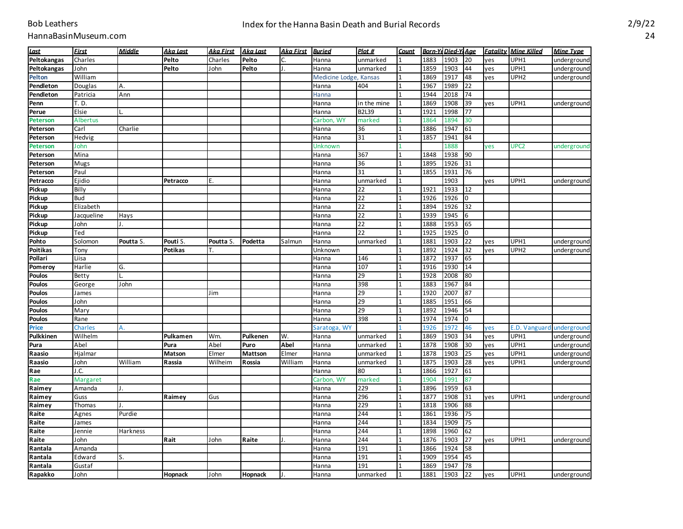| <u>Last</u>   | <u>First</u>    | <b>Middle</b> | Aka Last       | Aka First | Aka Last       | Aka First | <b>Buried</b>          | Plot #          | Count | <b>Born-Ye Died-Y-Age</b> |      |                |     | <b>Fatality Mine Killed</b> | <b>Mine Type</b> |
|---------------|-----------------|---------------|----------------|-----------|----------------|-----------|------------------------|-----------------|-------|---------------------------|------|----------------|-----|-----------------------------|------------------|
| Peltokangas   | Charles         |               | Pelto          | Charles   | Pelto          |           | Hanna                  | unmarked        |       | 1883                      | 1903 | 20             | yes | UPH1                        | underground      |
| Peltokangas   | John            |               | Pelto          | John      | Pelto          |           | Hanna                  | unmarked        |       | 1859                      | 1903 | 44             | yes | UPH1                        | underground      |
| Pelton        | William         |               |                |           |                |           | Medicine Lodge, Kansas |                 |       | 1869                      | 1917 | 48             | yes | UPH <sub>2</sub>            | underground      |
| Pendleton     | Douglas         | А.            |                |           |                |           | Hanna                  | 404             |       | 1967                      | 1989 | 22             |     |                             |                  |
| Pendleton     | Patricia        | Ann           |                |           |                |           | Hanna                  |                 |       | 1944                      | 2018 | 74             |     |                             |                  |
| Penn          | T. D.           |               |                |           |                |           | Hanna                  | in the mine     |       | 1869                      | 1908 | 39             | yes | UPH1                        | underground      |
| Perue         | Elsie           |               |                |           |                |           | Hanna                  | <b>B2L39</b>    |       | 1921                      | 1998 | 77             |     |                             |                  |
| Peterson      | Albertus        |               |                |           |                |           | Carbon, WY             | marked          |       | 1864                      | 1894 | 30             |     |                             |                  |
| Peterson      | Carl            | Charlie       |                |           |                |           | Hanna                  | 36              |       | 1886                      | 1947 | 61             |     |                             |                  |
| Peterson      | Hedvig          |               |                |           |                |           | Hanna                  | 31              |       | 1857                      | 1941 | 84             |     |                             |                  |
| Peterson      | Iohn            |               |                |           |                |           | Unknown                |                 |       |                           | 1888 |                | res | UPC <sub>2</sub>            | underground      |
| Peterson      | Mina            |               |                |           |                |           | Hanna                  | 367             |       | 1848                      | 1938 | 90             |     |                             |                  |
| Peterson      | Mugs            |               |                |           |                |           | Hanna                  | 36              |       | 1895                      | 1926 | 31             |     |                             |                  |
| Peterson      | Paul            |               |                |           |                |           | Hanna                  | 31              |       | 1855                      | 1931 | 76             |     |                             |                  |
| Petracco      | Ejidio          |               | Petracco       | Ε.        |                |           | Hanna                  | unmarked        |       |                           | 1903 |                | yes | UPH1                        | underground      |
| Pickup        | Billy           |               |                |           |                |           | Hanna                  | 22              |       | 1921                      | 1933 | 12             |     |                             |                  |
| Pickup        | <b>Bud</b>      |               |                |           |                |           | Hanna                  | 22              |       | 1926                      | 1926 | O              |     |                             |                  |
| Pickup        | Elizabeth       |               |                |           |                |           | Hanna                  | 22              |       | 1894                      | 1926 | 32             |     |                             |                  |
| Pickup        | Jacqueline      | Hays          |                |           |                |           | Hanna                  | 22              |       | 1939                      | 1945 | 6              |     |                             |                  |
| <b>Pickup</b> | John            |               |                |           |                |           | Hanna                  | 22              |       | 1888                      | 1953 | 65             |     |                             |                  |
| Pickup        | Ted             |               |                |           |                |           | Hanna                  | $\overline{22}$ |       | 1925                      | 1925 | 0              |     |                             |                  |
| Pohto         | Solomon         | Poutta S.     | Pouti S.       | Poutta S  | Podetta        | Salmun    | Hanna                  | unmarked        |       | 1881                      | 1903 | 22             | yes | UPH1                        | underground      |
| Poitikas      | Tony            |               | <b>Potikas</b> | т.        |                |           | Unknown                |                 |       | 1892                      | 1924 | 32             | yes | UPH <sub>2</sub>            | underground      |
| Pollari       | Liisa           |               |                |           |                |           | Hanna                  | 146             |       | 1872                      | 1937 | 65             |     |                             |                  |
| Pomeroy       | Harlie          | G.            |                |           |                |           | Hanna                  | 107             |       | 1916                      | 1930 | 14             |     |                             |                  |
| Poulos        | Betty           |               |                |           |                |           | Hanna                  | 29              |       | 1928                      | 2008 | 80             |     |                             |                  |
| Poulos        | George          | John          |                |           |                |           | Hanna                  | 398             |       | 1883                      | 1967 | 84             |     |                             |                  |
| Poulos        | James           |               |                | Jim       |                |           | Hanna                  | 29              |       | 1920                      | 2007 | 87             |     |                             |                  |
| Poulos        | John            |               |                |           |                |           | Hanna                  | 29              |       | 1885                      | 1951 | 66             |     |                             |                  |
| <b>Poulos</b> | Mary            |               |                |           |                |           | Hanna                  | 29              |       | 1892                      | 1946 | 54             |     |                             |                  |
| Poulos        | Rane            |               |                |           |                |           | Hanna                  | 398             |       | 1974                      | 1974 | $\overline{0}$ |     |                             |                  |
| <b>Price</b>  | <b>Charles</b>  | A.            |                |           |                |           | Saratoga, WY           |                 |       | 1926                      | 1972 | 46             | res | <b>E.D. Vanguard</b>        | underground      |
| Pulkkinen     | Wilhelm         |               | Pulkamen       | Wm.       | Pulkenen       | W.        | Hanna                  | unmarked        |       | 1869                      | 1903 | 34             | yes | UPH1                        | underground      |
| Pura          | Abel            |               | Pura           | Abel      | Puro           | Abel      | Hanna                  | unmarked        |       | 1878                      | 1908 | 30             | yes | UPH1                        | underground      |
| Raasio        | Hjalmar         |               | Matson         | Elmer     | <b>Mattson</b> | Elmer     | Hanna                  | unmarked        |       | 1878                      | 1903 | 25             | es  | UPH1                        | underground      |
| Raasio        | John            | William       | Rassia         | Wilheim   | Rossia         | William   | Hanna                  | unmarked        |       | 1875                      | 1903 | 28             | yes | UPH1                        | underground      |
| Rae           | J.C.            |               |                |           |                |           | Hanna                  | 80              |       | 1866                      | 1927 | 61             |     |                             |                  |
| Rae           | <b>Margaret</b> |               |                |           |                |           | Carbon, WY             | marked          |       | 1904                      | 1991 | 87             |     |                             |                  |
| Raimey        | Amanda          |               |                |           |                |           | Hanna                  | 229             |       | 1896                      | 1959 | 63             |     |                             |                  |
| Raimey        | Guss            |               | Raimey         | Gus       |                |           | Hanna                  | 296             |       | 1877                      | 1908 | 31             | yes | UPH1                        | underground      |
| Raimey        | Thomas          |               |                |           |                |           | Hanna                  | 229             |       | 1818                      | 1906 | 88             |     |                             |                  |
| Raite         | Agnes           | Purdie        |                |           |                |           | Hanna                  | 244             |       | 1861                      | 1936 | 75             |     |                             |                  |
| Raite         | James           |               |                |           |                |           | Hanna                  | 244             |       | 1834                      | 1909 | 75             |     |                             |                  |
| Raite         | Jennie          | Harkness      |                |           |                |           | Hanna                  | 244             |       | 1898                      | 1960 | 62             |     |                             |                  |
| Raite         | John            |               | Rait           | John      | Raite          |           | Hanna                  | 244             |       | 1876                      | 1903 | 27             | yes | UPH1                        | underground      |
| Rantala       | Amanda          |               |                |           |                |           | Hanna                  | 191             |       | 1866                      | 1924 | 58             |     |                             |                  |
| Rantala       | Edward          | S.            |                |           |                |           | Hanna                  | 191             |       | 1909                      | 1954 | 45             |     |                             |                  |
| Rantala       | Gustaf          |               |                |           |                |           | Hanna                  | 191             |       | 1869                      | 1947 | 78             |     |                             |                  |
| Rapakko       | John            |               | <b>Hopnack</b> | John      | <b>Hopnack</b> |           | Hanna                  | unmarked        |       | 1881                      | 1903 | 22             | yes | UPH1                        | underground      |
|               |                 |               |                |           |                |           |                        |                 |       |                           |      |                |     |                             |                  |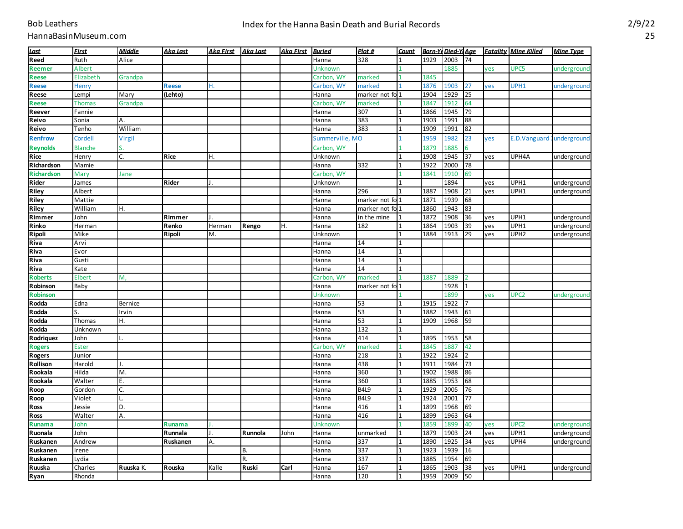| Last              | <b>First</b>   | Middle    | <u>Aka Last</u> | <u>Aka First</u> | <u>Aka Last</u> | Aka First | <b>Buried</b>   | Plot #          | Count | <b>Born-Ye Died-Yi Age</b> |      |                 |     | <b>Fatality Mine Killed</b> | <b>Mine Type</b> |
|-------------------|----------------|-----------|-----------------|------------------|-----------------|-----------|-----------------|-----------------|-------|----------------------------|------|-----------------|-----|-----------------------------|------------------|
| Reed              | Ruth           | Alice     |                 |                  |                 |           | Hanna           | 328             |       | 1929                       | 2003 | 74              |     |                             |                  |
| Reemer            | Albert         |           |                 |                  |                 |           | Unknown         |                 |       |                            | 1885 |                 | yes | UPC5                        | underground      |
| Reese             | Elizabeth      | Grandpa   |                 |                  |                 |           | Carbon, WY      | marked          |       | 1845                       |      |                 |     |                             |                  |
| <b>Reese</b>      | Henry          |           | Reese           | Η.               |                 |           | Carbon, WY      | marked          |       | 1876                       | 1903 | 27              | ves | UPH1                        | underground      |
| Reese             | Lempi          | Mary      | (Lehto)         |                  |                 |           | Hanna           | marker not fo 1 |       | 1904                       | 1929 | 25              |     |                             |                  |
| Reese             | <b>Thomas</b>  | Grandpa   |                 |                  |                 |           | Carbon, WY      | marked          |       | 1847                       | 1912 | 64              |     |                             |                  |
| Reever            | Fannie         |           |                 |                  |                 |           | Hanna           | 307             |       | 1866                       | 1945 | 79              |     |                             |                  |
| Reivo             | Sonia          | A.        |                 |                  |                 |           | Hanna           | 383             |       | 1903                       | 1991 | 88              |     |                             |                  |
| Reivo             | Tenho          | William   |                 |                  |                 |           | Hanna           | 383             |       | 1909                       | 1991 | 82              |     |                             |                  |
| <b>Renfrow</b>    | Cordell        | Virgil    |                 |                  |                 |           | Summerville, MO |                 |       | 1959                       | 1982 | 23              | yes | E.D.Vanguard 1underground   |                  |
| <b>Reynolds</b>   | <b>Blanche</b> | ۲.        |                 |                  |                 |           | Carbon, WY      |                 |       | 1879                       | 1885 | 6               |     |                             |                  |
| Rice              | Henry          | Ċ.        | Rice            | H.               |                 |           | Unknown         |                 |       | 1908                       | 1945 | 37              | yes | UPH4A                       | underground      |
| Richardson        | Mamie          |           |                 |                  |                 |           | Hanna           | 332             |       | 1922                       | 2000 | 78              |     |                             |                  |
| <b>Richardson</b> | Mary           | Jane      |                 |                  |                 |           | Carbon, WY      |                 |       | 1841                       | 1910 | 69              |     |                             |                  |
| Rider             | James          |           | Rider           |                  |                 |           | Unknown         |                 |       |                            | 1894 |                 | yes | UPH1                        | underground      |
| Riley             | Albert         |           |                 |                  |                 |           | Hanna           | 296             |       | 1887                       | 1908 | 21              | yes | UPH1                        | underground      |
| Riley             | Mattie         |           |                 |                  |                 |           | Hanna           | marker not fo 1 |       | 1871                       | 1939 | 68              |     |                             |                  |
| Riley             | William        | Η.        |                 |                  |                 |           | Hanna           | marker not fo 1 |       | 1860                       | 1943 | 83              |     |                             |                  |
| Rimmer            | John           |           | Rimmer          |                  |                 |           | Hanna           | in the mine     |       | 1872                       | 1908 | 36              | yes | UPH1                        | underground      |
| Rinko             | Herman         |           | Renko           | Herman           | Rengo           | H.        | Hanna           | 182             |       | 1864                       | 1903 | 39              | ves | UPH1                        | underground      |
| Ripoli            | Mike           |           | Ripoli          | M.               |                 |           | Unknown         |                 |       | 1884                       | 1913 | 29              | yes | UPH <sub>2</sub>            | underground      |
| Riva              | Arvi           |           |                 |                  |                 |           | Hanna           | 14              |       |                            |      |                 |     |                             |                  |
| Riva              | Evor           |           |                 |                  |                 |           | Hanna           | 14              |       |                            |      |                 |     |                             |                  |
| Riva              | Gusti          |           |                 |                  |                 |           | Hanna           | 14              |       |                            |      |                 |     |                             |                  |
| Riva              | Kate           |           |                 |                  |                 |           | Hanna           | 14              |       |                            |      |                 |     |                             |                  |
| <b>Roberts</b>    | <b>Elbert</b>  | M,        |                 |                  |                 |           | Carbon, WY      | marked          |       | 1887                       | 1889 |                 |     |                             |                  |
| Robinson          | Baby           |           |                 |                  |                 |           | Hanna           | marker not fo 1 |       |                            | 1928 |                 |     |                             |                  |
| <b>Robinson</b>   |                |           |                 |                  |                 |           | Unknown         |                 |       |                            | 1899 |                 | ves | UPC <sub>2</sub>            | underground      |
| Rodda             | Edna           | Bernice   |                 |                  |                 |           | Hanna           | 53              |       | 1915                       | 1922 | 7               |     |                             |                  |
| Rodda             |                | Irvin     |                 |                  |                 |           | Hanna           | 53              |       | 1882                       | 1943 | 61              |     |                             |                  |
| Rodda             | Thomas         | Η.        |                 |                  |                 |           | Hanna           | 53              |       | 1909                       | 1968 | 59              |     |                             |                  |
| Rodda             | Unknown        |           |                 |                  |                 |           | Hanna           | 132             |       |                            |      |                 |     |                             |                  |
| Rodriquez         | John           |           |                 |                  |                 |           | Hanna           | 414             |       | 1895                       | 1953 | 58              |     |                             |                  |
| <b>Rogers</b>     | <b>Ester</b>   |           |                 |                  |                 |           | Carbon, WY      | marked          |       | 1845                       | 1887 | 42              |     |                             |                  |
| Rogers            | Junior         |           |                 |                  |                 |           | Hanna           | 218             |       | 1922                       | 1924 | $\overline{2}$  |     |                             |                  |
| Rollison          | Harold         |           |                 |                  |                 |           | Hanna           | 438             |       | 1911                       | 1984 | 73              |     |                             |                  |
| Rookala           | Hilda          | M.        |                 |                  |                 |           | Hanna           | 360             |       | 1902                       | 1988 | 86              |     |                             |                  |
| Rookala           | Walter         | E         |                 |                  |                 |           | Hanna           | 360             |       | 1885                       | 1953 | 68              |     |                             |                  |
| Roop              | Gordon         | C.        |                 |                  |                 |           | Hanna           | B4L9            |       | 1929                       | 2005 | 76              |     |                             |                  |
| Roop              | Violet         |           |                 |                  |                 |           | Hanna           | B4L9            |       | 1924                       | 2001 | $\overline{77}$ |     |                             |                  |
| Ross              | Jessie         | D.        |                 |                  |                 |           | Hanna           | 416             |       | 1899                       | 1968 | 69              |     |                             |                  |
| Ross              | Walter         | A.        |                 |                  |                 |           | Hanna           | 416             |       | 1899                       | 1963 | 64              |     |                             |                  |
| Runama            | <b>John</b>    |           | Runama          |                  |                 |           | Unknown         |                 |       | 1859                       | 1899 | 40              | yes | UPC <sub>2</sub>            | underground      |
| Ruonala           | John           |           | Runnala         |                  | Runnola         | Iohn      | Hanna           | unmarked        |       | 1879                       | 1903 | 24              | yes | UPH1                        | underground      |
| Ruskanen          | Andrew         |           | Ruskanen        | А.               |                 |           | Hanna           | 337             |       | 1890                       | 1925 | 34              | yes | UPH4                        | underground      |
| Ruskanen          | Irene          |           |                 |                  | В.              |           | Hanna           | 337             |       | 1923                       | 1939 | 16              |     |                             |                  |
| Ruskanen          | Lydia          |           |                 |                  | R.              |           | Hanna           | 337             |       | 1885                       | 1954 | 69              |     |                             |                  |
| Ruuska            | Charles        | Ruuska K. | Rouska          | Kalle            | Ruski           | Carl      | Hanna           | 167             |       | 1865                       | 1903 | 38              | yes | UPH1                        | underground      |
| Ryan              | Rhonda         |           |                 |                  |                 |           | Hanna           | 120             |       | 1959                       | 2009 | 50              |     |                             |                  |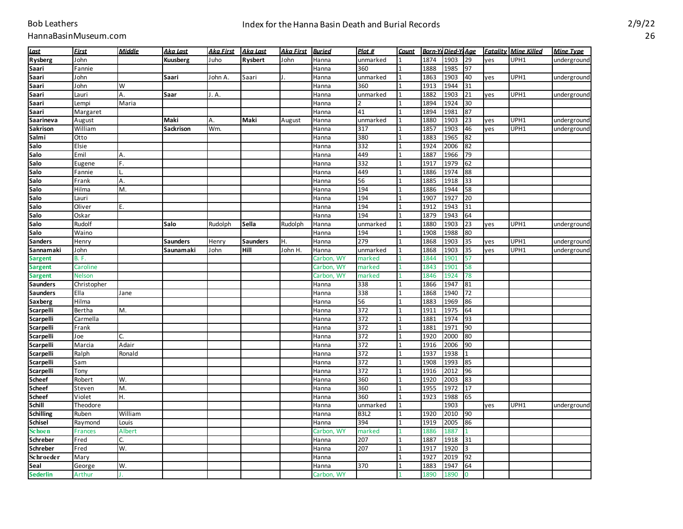| Last             | <b>First</b>   | <b>Middle</b> | Aka Last        | Aka First | Aka Last        | Aka First | <b>Buried</b> | Plot #      | <b>Count</b>   | <b>Born Ye Died Y Age</b> |      |                 |     | <b>Fatality Mine Killed</b> | <b>Mine Type</b> |
|------------------|----------------|---------------|-----------------|-----------|-----------------|-----------|---------------|-------------|----------------|---------------------------|------|-----------------|-----|-----------------------------|------------------|
| <b>Rysberg</b>   | John           |               | Kuusberg        | Juho      | <b>Rysbert</b>  | John      | Hanna         | unmarked    | $\overline{1}$ | 1874                      | 1903 | 29              | yes | UPH1                        | underground      |
| Saari            | Fannie         |               |                 |           |                 |           | Hanna         | 360         |                | 1888                      | 1985 | 97              |     |                             |                  |
| Saari            | John           |               | Saari           | John A.   | Saari           |           | Hanna         | unmarked    | $\mathbf{1}$   | 1863                      | 1903 | 40              | yes | UPH1                        | underground      |
| Saari            | John           | W             |                 |           |                 |           | Hanna         | 360         |                | 1913                      | 1944 | 31              |     |                             |                  |
| Saari            | Lauri          | A.            | Saar            | J.A.      |                 |           | Hanna         | unmarked    | $\overline{1}$ | 1882                      | 1903 | 21              | yes | UPH1                        | underground      |
| Saari            | Lempi          | Maria         |                 |           |                 |           | Hanna         |             | $\mathbf{1}$   | 1894                      | 1924 | 30              |     |                             |                  |
| Saari            | Margaret       |               |                 |           |                 |           | Hanna         | 41          |                | 1894                      | 1981 | 87              |     |                             |                  |
| Saarineva        | August         |               | Maki            | Α.        | Maki            | August    | Hanna         | unmarked    |                | 1880                      | 1903 | 23              | yes | UPH1                        | underground      |
| Sakrison         | William        |               | Sackrison       | Wm.       |                 |           | Hanna         | 317         |                | 1857                      | 1903 | 46              | yes | UPH1                        | underground      |
| Salmi            | Otto           |               |                 |           |                 |           | Hanna         | 380         | $\mathbf{1}$   | 1883                      | 1965 | 82              |     |                             |                  |
| Salo             | Elsie          |               |                 |           |                 |           | Hanna         | 332         | 1              | 1924                      | 2006 | 82              |     |                             |                  |
| Salo             | Emil           | Α.            |                 |           |                 |           | Hanna         | 449         | $\mathbf{1}$   | 1887                      | 1966 | $\overline{79}$ |     |                             |                  |
| Salo             | Eugene         | F.            |                 |           |                 |           | Hanna         | 332         |                | 1917                      | 1979 | 62              |     |                             |                  |
| Salo             | Fannie         |               |                 |           |                 |           | Hanna         | 449         |                | 1886                      | 1974 | 88              |     |                             |                  |
| Salo             | Frank          | Α.            |                 |           |                 |           | Hanna         | 56          |                | 1885                      | 1918 | 33              |     |                             |                  |
| Salo             | Hilma          | M.            |                 |           |                 |           | Hanna         | 194         |                | 1886                      | 1944 | 58              |     |                             |                  |
| Salo             | Lauri          |               |                 |           |                 |           | Hanna         | 194         |                | 1907                      | 1927 | 20              |     |                             |                  |
| Salo             | Oliver         | E.            |                 |           |                 |           | Hanna         | 194         |                | 1912                      | 1943 | $\overline{31}$ |     |                             |                  |
| Salo             | Oskar          |               |                 |           |                 |           | Hanna         | 194         |                | 1879                      | 1943 | 64              |     |                             |                  |
| Salo             | Rudolf         |               | Salo            | Rudolph   | Sella           | Rudolph   | Hanna         | unmarked    | $\overline{1}$ | 1880                      | 1903 | 23              | yes | UPH1                        | underground      |
| Salo             | Waino          |               |                 |           |                 |           | Hanna         | 194         |                | 1908                      | 1988 | 80              |     |                             |                  |
| <b>Sanders</b>   | Henry          |               | <b>Saunders</b> | Henry     | <b>Saunders</b> | н.        | Hanna         | 279         |                | 1868                      | 1903 | 35              | yes | UPH1                        | underground      |
| Sannamaki        | John           |               | Saunamaki       | John      | Hill            | John H.   | Hanna         | unmarked    | 1              | 1868                      | 1903 | 35              | yes | UPH1                        | underground      |
| <b>Sargent</b>   | <b>B.F.</b>    |               |                 |           |                 |           | Carbon, WY    | marked      |                | 1844                      | 1901 | 57              |     |                             |                  |
| <b>Sargent</b>   | Caroline       |               |                 |           |                 |           | Carbon, WY    | marked      |                | 1843                      | 1901 | 58              |     |                             |                  |
| <b>Sargent</b>   | <b>Nelson</b>  |               |                 |           |                 |           | Carbon, WY    | marked      |                | 1846                      | 1924 | 78              |     |                             |                  |
| <b>Saunders</b>  | Christopher    |               |                 |           |                 |           | Hanna         | 338         |                | 1866                      | 1947 | 81              |     |                             |                  |
| <b>Saunders</b>  | Ella           | Jane          |                 |           |                 |           | Hanna         | 338         |                | 1868                      | 1940 | 72              |     |                             |                  |
| Saxberg          | Hilma          |               |                 |           |                 |           | Hanna         | 56          |                | 1883                      | 1969 | 86              |     |                             |                  |
| Scarpelli        | Bertha         | M.            |                 |           |                 |           | Hanna         | 372         |                | 1911                      | 1975 | 64              |     |                             |                  |
| Scarpelli        | Carmella       |               |                 |           |                 |           | Hanna         | 372         |                | 1881                      | 1974 | 93              |     |                             |                  |
| Scarpelli        | Frank          |               |                 |           |                 |           | Hanna         | 372         | $\mathbf{1}$   | 1881                      | 1971 | 90              |     |                             |                  |
| Scarpelli        | Joe            | Ċ.            |                 |           |                 |           | Hanna         | 372         | $\mathbf{1}$   | 1920                      | 2000 | 80              |     |                             |                  |
| <b>Scarpelli</b> | Marcia         | Adair         |                 |           |                 |           | Hanna         | 372         |                | 1916                      | 2006 | 90              |     |                             |                  |
| Scarpelli        | Ralph          | Ronald        |                 |           |                 |           | Hanna         | 372         |                | 1937                      | 1938 |                 |     |                             |                  |
| <b>Scarpelli</b> | Sam            |               |                 |           |                 |           | Hanna         | 372         |                | 1908                      | 1993 | 85              |     |                             |                  |
| <b>Scarpelli</b> | <b>Tony</b>    |               |                 |           |                 |           | Hanna         | 372         |                | 1916                      | 2012 | 96              |     |                             |                  |
| <b>Scheef</b>    | Robert         | W.            |                 |           |                 |           | Hanna         | 360         | 1              | 1920                      | 2003 | 83              |     |                             |                  |
| <b>Scheef</b>    | Steven         | M.            |                 |           |                 |           | Hanna         | 360         | $\mathbf{1}$   | 1955                      | 1972 | 17              |     |                             |                  |
| Scheef           | Violet         | Н.            |                 |           |                 |           | Hanna         | 360         |                | 1923                      | 1988 | 65              |     |                             |                  |
| Schill           | Theodore       |               |                 |           |                 |           | Hanna         | unmarked    | 1              |                           | 1903 |                 | ves | UPH1                        | underground      |
| Schilling        | Ruben          | William       |                 |           |                 |           | Hanna         | <b>B3L2</b> |                | 1920                      | 2010 | 90              |     |                             |                  |
| Schisel          | Raymond        | Louis         |                 |           |                 |           | Hanna         | 394         |                | 1919                      | 2005 | 86              |     |                             |                  |
| Schoen           | <b>Frances</b> | Albert        |                 |           |                 |           | Carbon, WY    | marked      |                | 1886                      | 1887 |                 |     |                             |                  |
| Schreber         | Fred           | C.            |                 |           |                 |           | Hanna         | 207         | $\mathbf{1}$   | 1887                      | 1918 | 31              |     |                             |                  |
| <b>Schreber</b>  | Fred           | W.            |                 |           |                 |           | Hanna         | 207         |                | 1917                      | 1920 | R               |     |                             |                  |
| Schroeder        | Mary           |               |                 |           |                 |           | Hanna         |             |                | 1927                      | 2019 | 92              |     |                             |                  |
| Seal             | George         | W.            |                 |           |                 |           | Hanna         | 370         | $\overline{1}$ | 1883                      | 1947 | 64              |     |                             |                  |
| <b>Sederlin</b>  | Arthur         |               |                 |           |                 |           | Carbon, WY    |             |                | 1890                      | 1890 | 0               |     |                             |                  |
|                  |                |               |                 |           |                 |           |               |             |                |                           |      |                 |     |                             |                  |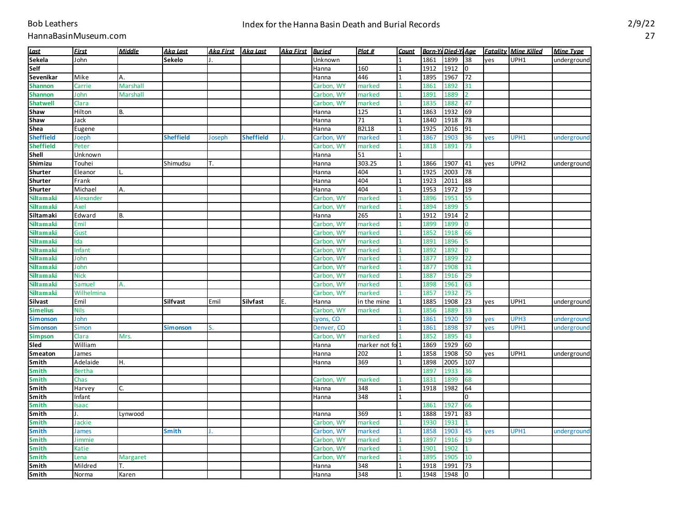| Last             | <b>First</b>  | <b>Middle</b> | <u>Aka Last</u>  | Aka First | Aka Last         | Aka First | <b>Buried</b> | Plot #          | <b>Count</b>   | <b>Born-Ye Died-Yi Age</b> |      |                |     | <b>Fatality Mine Killed</b> | <b>Mine Type</b> |
|------------------|---------------|---------------|------------------|-----------|------------------|-----------|---------------|-----------------|----------------|----------------------------|------|----------------|-----|-----------------------------|------------------|
| Sekela           | John          |               | Sekelo           |           |                  |           | Unknown       |                 | $\mathbf{1}$   | 1861                       | 1899 | 38             | yes | UPH1                        | underground      |
| Self             |               |               |                  |           |                  |           | Hanna         | 160             | $\mathbf{1}$   | 1912                       | 1912 | 0              |     |                             |                  |
| Sevenikar        | Mike          | Α.            |                  |           |                  |           | Hanna         | 446             | $\mathbf{1}$   | 1895                       | 1967 | 72             |     |                             |                  |
| Shannon          | Carrie        | Marshall      |                  |           |                  |           | Carbon, WY    | marked          |                | 1861                       | 1892 | 31             |     |                             |                  |
| <b>Shannon</b>   | John          | Marshall      |                  |           |                  |           | Carbon, WY    | marked          |                | 1891                       | 1889 | $\overline{2}$ |     |                             |                  |
| <b>Shatwell</b>  | Clara         |               |                  |           |                  |           | Carbon, WY    | marked          |                | 1835                       | 1882 | 47             |     |                             |                  |
| Shaw             | Hilton        | B.            |                  |           |                  |           | Hanna         | 125             | $\overline{1}$ | 1863                       | 1932 | 69             |     |                             |                  |
| Shaw             | Jack          |               |                  |           |                  |           | Hanna         | 71              | $\mathbf{1}$   | 1840                       | 1918 | 78             |     |                             |                  |
| Shea             | Eugene        |               |                  |           |                  |           | Hanna         | <b>B2L18</b>    | $\mathbf{1}$   | 1925                       | 2016 | 91             |     |                             |                  |
| <b>Sheffield</b> | loeph         |               | <b>Sheffield</b> | Joseph    | <b>Sheffield</b> |           | Carbon, WY    | marked          |                | 1867                       | 1903 | 36             | yes | UPH1                        | underground      |
| <b>Sheffield</b> | Peter         |               |                  |           |                  |           | Carbon, WY    | marked          |                | 1818                       | 1891 | 73             |     |                             |                  |
| Shell            | Unknown       |               |                  |           |                  |           | Hanna         | 51              | $\mathbf{1}$   |                            |      |                |     |                             |                  |
| <b>Shimizu</b>   | Touhei        |               | Shimudsu         | T.        |                  |           | Hanna         | 303.25          | $\mathbf{1}$   | 1866                       | 1907 | 41             | yes | UPH <sub>2</sub>            | underground      |
| Shurter          | Eleanor       |               |                  |           |                  |           | Hanna         | 404             | $\mathbf{1}$   | 1925                       | 2003 | 78             |     |                             |                  |
| Shurter          | Frank         |               |                  |           |                  |           | Hanna         | 404             | $\mathbf{1}$   | 1923                       | 2011 | 88             |     |                             |                  |
| Shurter          | Michael       | Α.            |                  |           |                  |           | Hanna         | 404             | $\mathbf{1}$   | 1953                       | 1972 | 19             |     |                             |                  |
| Siltamaki        | Alexander     |               |                  |           |                  |           | Carbon, WY    | marked          |                | 1896                       | 1951 | 55             |     |                             |                  |
| Siltamaki        | Axel          |               |                  |           |                  |           | Carbon, WY    | marked          |                | 1894                       | 1899 |                |     |                             |                  |
| Siltamaki        | Edward        | B.            |                  |           |                  |           | Hanna         | 265             | $\mathbf{1}$   | 1912                       | 1914 |                |     |                             |                  |
| Siltamaki        | Emil          |               |                  |           |                  |           | Carbon, WY    | marked          |                | 1899                       | 1899 | 0              |     |                             |                  |
| Siltamaki        | Gust          |               |                  |           |                  |           | Carbon, WY    | marked          |                | 1852                       | 1918 | 66             |     |                             |                  |
| Siltamaki        | Ida           |               |                  |           |                  |           | Carbon, WY    | marked          |                | 1891                       | 1896 | 5              |     |                             |                  |
| Siltamaki        | Infant        |               |                  |           |                  |           | Carbon, WY    | marked          |                | 1892                       | 1892 | 0              |     |                             |                  |
| Siltamaki        | John          |               |                  |           |                  |           | Carbon, WY    | marked          |                | 1877                       | 1899 | 22             |     |                             |                  |
| Siltamaki        | John          |               |                  |           |                  |           | Carbon, WY    | marked          |                | 1877                       | 1908 | 31             |     |                             |                  |
| Siltamaki        | <b>Nick</b>   |               |                  |           |                  |           | Carbon, WY    | marked          |                | 1887                       | 1916 | 29             |     |                             |                  |
| Siltamaki        | Samuel        | А.            |                  |           |                  |           | Carbon, WY    | marked          |                | 1898                       | 1961 | 63             |     |                             |                  |
| Siltamaki        | Wilhelmina    |               |                  |           |                  |           | Carbon, WY    | marked          |                | 1857                       | 1932 | 75             |     |                             |                  |
| Silvast          | Emil          |               | Silfvast         | Emil      | <b>Silvfast</b>  | Ε.        | Hanna         | in the mine     | $\overline{1}$ | 1885                       | 1908 | 23             | yes | UPH1                        | underground      |
| <b>Simelius</b>  | <b>Nils</b>   |               |                  |           |                  |           | Carbon, WY    | marked          |                | 1856                       | 1889 | 33             |     |                             |                  |
| <b>Simonson</b>  | John          |               |                  |           |                  |           | Lyons, CO     |                 |                | 1861                       | 1920 | 59             | yes | UPH3                        | undergrounc      |
| <b>Simonson</b>  | <b>Simon</b>  |               | <b>Simonson</b>  | S.        |                  |           | Denver, CO    |                 |                | 1861                       | 1898 | 37             | yes | UPH1                        | underground      |
| <b>Simpson</b>   | Clara         | Mrs.          |                  |           |                  |           | Carbon, WY    | marked          |                | 1852                       | 1895 | 43             |     |                             |                  |
| Sled             | William       |               |                  |           |                  |           | Hanna         | marker not fo 1 |                | 1869                       | 1929 | 60             |     |                             |                  |
| Smeaton          | James         |               |                  |           |                  |           | Hanna         | 202             | $\mathbf{1}$   | 1858                       | 1908 | 50             | yes | UPH1                        | underground      |
| Smith            | Adelaide      | Η.            |                  |           |                  |           | Hanna         | 369             | $\mathbf{1}$   | 1898                       | 2005 | 107            |     |                             |                  |
| Smith            | <b>Bertha</b> |               |                  |           |                  |           |               |                 |                | 1897                       | 1933 | 36             |     |                             |                  |
| Smith            | Chas          |               |                  |           |                  |           | Carbon, WY    | marked          |                | 1831                       | 1899 | 68             |     |                             |                  |
| Smith            | Harvey        | C.            |                  |           |                  |           | Hanna         | 348             | $\mathbf{1}$   | 1918                       | 1982 | 64             |     |                             |                  |
| Smith            | Infant        |               |                  |           |                  |           | Hanna         | 348             | $\mathbf{1}$   |                            |      | 0              |     |                             |                  |
| Smith            | Isaac         |               |                  |           |                  |           |               |                 |                | 1861                       | 1927 | 66             |     |                             |                  |
| Smith            |               | Lynwood       |                  |           |                  |           | Hanna         | 369             | $\mathbf{1}$   | 1888                       | 1971 | 83             |     |                             |                  |
| Smith            | Jackie        |               |                  |           |                  |           | Carbon, WY    | marked          |                | 1930                       | 1931 | 1              |     |                             |                  |
| Smith            | <b>James</b>  |               | <b>Smith</b>     |           |                  |           | Carbon, WY    | marked          |                | 1858                       | 1903 | 45             | ves | UPH1                        | underground      |
| Smith            | Jimmie        |               |                  |           |                  |           | Carbon, WY    | marked          |                | 1897                       | 1916 | 19             |     |                             |                  |
| <b>Smith</b>     | Katie         |               |                  |           |                  |           | Carbon, WY    | marked          |                | 1901                       | 1902 |                |     |                             |                  |
| Smith            | Lena          | Margaret      |                  |           |                  |           | Carbon, WY    | marked          |                | 1895                       | 1905 | 10             |     |                             |                  |
| Smith            | Mildred       |               |                  |           |                  |           | Hanna         | 348             | $\mathbf{1}$   | 1918                       | 1991 | 73             |     |                             |                  |
| Smith            | Norma         | Karen         |                  |           |                  |           | Hanna         | 348             | 1              | 1948                       | 1948 | O              |     |                             |                  |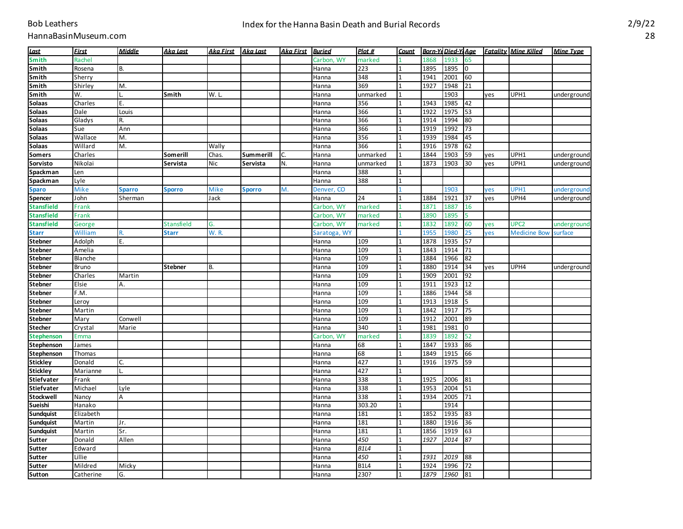| <b>Bob Leathers</b> |
|---------------------|
|---------------------|

| Last              | <b>First</b> | <u>Middle</u> | <u>Aka Last</u>   | <u>Aka First</u> | <u>Aka Last</u>  | Aka First | <b>Buried</b> | Plot #      | Count | <b>Born-Ye Died-Yi Age</b> |      |                 |     | <b>Fatality Mine Killed</b> | <b>Mine Type</b> |
|-------------------|--------------|---------------|-------------------|------------------|------------------|-----------|---------------|-------------|-------|----------------------------|------|-----------------|-----|-----------------------------|------------------|
| <b>Smith</b>      | Rachel       |               |                   |                  |                  |           | Carbon, WY    | marked      |       | 1868                       | 1933 | 65              |     |                             |                  |
| Smith             | Rosena       | В.            |                   |                  |                  |           | Hanna         | 223         |       | 1895                       | 1895 | 0               |     |                             |                  |
| Smith             | Sherry       |               |                   |                  |                  |           | Hanna         | 348         |       | 1941                       | 2001 | 60              |     |                             |                  |
| Smith             | Shirley      | M.            |                   |                  |                  |           | Hanna         | 369         |       | 1927                       | 1948 | 21              |     |                             |                  |
| Smith             | W.           |               | Smith             | W. L.            |                  |           | Hanna         | unmarked    |       |                            | 1903 |                 | yes | UPH1                        | underground      |
| <b>Solaas</b>     | Charles      | E             |                   |                  |                  |           | Hanna         | 356         |       | 1943                       | 1985 | 42              |     |                             |                  |
| Solaas            | Dale         | Louis         |                   |                  |                  |           | Hanna         | 366         |       | 1922                       | 1975 | 53              |     |                             |                  |
| Solaas            | Gladys       | R.            |                   |                  |                  |           | Hanna         | 366         |       | 1914                       | 1994 | 80              |     |                             |                  |
| <b>Solaas</b>     | Sue          | Ann           |                   |                  |                  |           | Hanna         | 366         |       | 1919                       | 1992 | $\overline{73}$ |     |                             |                  |
| <b>Solaas</b>     | Wallace      | $M$ .         |                   |                  |                  |           | Hanna         | 356         |       | 1939                       | 1984 | 45              |     |                             |                  |
| Solaas            | Willard      | M.            |                   | Wally            |                  |           | Hanna         | 366         |       | 1916                       | 1978 | 62              |     |                             |                  |
| <b>Somers</b>     | Charles      |               | Somerill          | Chas.            | <b>Summerill</b> |           | Hanna         | unmarked    |       | 1844                       | 1903 | 59              | yes | UPH1                        | underground      |
| Sorvisto          | Nikolai      |               | Servista          | Nic              | Servista         | N.        | Hanna         | unmarked    |       | 1873                       | 1903 | 30              | yes | UPH1                        | underground      |
| Spackman          | Len          |               |                   |                  |                  |           | Hanna         | 388         |       |                            |      |                 |     |                             |                  |
| Spackman          | Lyle         |               |                   |                  |                  |           | Hanna         | 388         |       |                            |      |                 |     |                             |                  |
| Sparo             | <b>Mike</b>  | <b>Sparro</b> | <b>Sporro</b>     | Mike             | <b>Sporro</b>    | M.        | Denver, CO    |             |       |                            | 1903 |                 | yes | UPH1                        | underground      |
| Spencer           | John         | Sherman       |                   | Jack             |                  |           | Hanna         | 24          |       | 1884                       | 1921 | 37              | ves | UPH4                        | underground      |
| <b>Stansfield</b> | Frank        |               |                   |                  |                  |           | Carbon, WY    | marked      |       | 1871                       | 1887 | 16              |     |                             |                  |
| <b>Stansfield</b> | Frank        |               |                   |                  |                  |           | Carbon, WY    | marked      |       | 1890                       | 1895 | 5               |     |                             |                  |
| <b>Stansfield</b> | George       |               | <b>Stansfield</b> | G.               |                  |           | Carbon, WY    | marked      |       | 1832                       | 1892 | 60              | yes | UPC <sub>2</sub>            | underground      |
| <b>Starr</b>      | William      |               | <b>Starr</b>      | W. R.            |                  |           | Saratoga, WY  |             |       | 1955                       | 1980 | 25              | yes | <b>Medicine Bow</b>         | surface          |
| Stebner           | Adolph       | Ē.            |                   |                  |                  |           | Hanna         | 109         |       | 1878                       | 1935 | 57              |     |                             |                  |
| <b>Stebner</b>    | Amelia       |               |                   |                  |                  |           | Hanna         | 109         |       | 1843                       | 1914 | 71              |     |                             |                  |
| <b>Stebner</b>    | Blanche      |               |                   |                  |                  |           | Hanna         | 109         |       | 1884                       | 1966 | 82              |     |                             |                  |
| <b>Stebner</b>    | Bruno        |               | <b>Stebner</b>    | B.               |                  |           | Hanna         | 109         |       | 1880                       | 1914 | 34              | ves | UPH4                        | underground      |
| Stebner           | Charles      | Martin        |                   |                  |                  |           | Hanna         | 109         |       | 1909                       | 2001 | 92              |     |                             |                  |
| <b>Stebner</b>    | Elsie        | Α.            |                   |                  |                  |           | Hanna         | 109         |       | 1911                       | 1923 | 12              |     |                             |                  |
| <b>Stebner</b>    | F.M.         |               |                   |                  |                  |           | Hanna         | 109         |       | 1886                       | 1944 | 58              |     |                             |                  |
| <b>Stebner</b>    | Leroy        |               |                   |                  |                  |           | Hanna         | 109         |       | 1913                       | 1918 | 5               |     |                             |                  |
| <b>Stebner</b>    | Martin       |               |                   |                  |                  |           | Hanna         | 109         |       | 1842                       | 1917 | 75              |     |                             |                  |
| <b>Stebner</b>    | Mary         | Conwell       |                   |                  |                  |           | Hanna         | 109         |       | 1912                       | 2001 | 89              |     |                             |                  |
| Stecher           | Crystal      | Marie         |                   |                  |                  |           | Hanna         | 340         |       | 1981                       | 1981 | 0               |     |                             |                  |
| <b>Stephenson</b> | Emma         |               |                   |                  |                  |           | Carbon, WY    | marked      |       | 1839                       | 1892 | 52              |     |                             |                  |
| Stephenson        | James        |               |                   |                  |                  |           | Hanna         | 68          |       | 1847                       | 1933 | 86              |     |                             |                  |
| Stephenson        | Thomas       |               |                   |                  |                  |           | Hanna         | 68          |       | 1849                       | 1915 | 66              |     |                             |                  |
| <b>Stickley</b>   | Donald       | C.            |                   |                  |                  |           | Hanna         | 427         |       | 1916                       | 1975 | 59              |     |                             |                  |
| <b>Stickley</b>   | Marianne     |               |                   |                  |                  |           | Hanna         | 427         |       |                            |      |                 |     |                             |                  |
| <b>Stiefvater</b> | Frank        |               |                   |                  |                  |           | Hanna         | 338         |       | 1925                       | 2006 | 81              |     |                             |                  |
| <b>Stiefvater</b> | Michael      | Lyle          |                   |                  |                  |           | Hanna         | 338         |       | 1953                       | 2004 | 51              |     |                             |                  |
| Stockwell         | Nancy        | A             |                   |                  |                  |           | Hanna         | 338         |       | 1934                       | 2005 | 71              |     |                             |                  |
| Sueishi           | Hanako       |               |                   |                  |                  |           | Hanna         | 303.20      |       |                            | 1914 |                 |     |                             |                  |
| Sundquist         | Elizabeth    |               |                   |                  |                  |           | Hanna         | 181         |       | 1852                       | 1935 | 83              |     |                             |                  |
| <b>Sundquist</b>  | Martin       | Jr.           |                   |                  |                  |           | Hanna         | 181         |       | 1880                       | 1916 | 36              |     |                             |                  |
| <b>Sundquist</b>  | Martin       | Sr.           |                   |                  |                  |           | Hanna         | 181         |       | 1856                       | 1919 | 63              |     |                             |                  |
| Sutter            | Donald       | Allen         |                   |                  |                  |           | Hanna         | 450         |       | 1927                       | 2014 | 87              |     |                             |                  |
| Sutter            | Edward       |               |                   |                  |                  |           | Hanna         | <b>B1L4</b> |       |                            |      |                 |     |                             |                  |
| Sutter            | Lillie       |               |                   |                  |                  |           | Hanna         | 450         |       | 1931                       | 2019 | 88              |     |                             |                  |
| <b>Sutter</b>     | Mildred      | Micky         |                   |                  |                  |           | Hanna         | <b>B1L4</b> |       | 1924                       | 1996 | $\overline{72}$ |     |                             |                  |
| Sutton            | Catherine    | G.            |                   |                  |                  |           | Hanna         | 230?        |       | 1879                       | 1960 | 81              |     |                             |                  |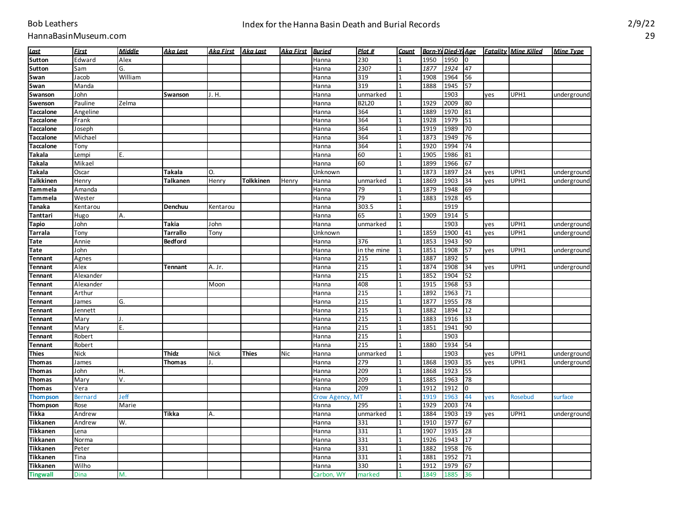| Last             | <b>First</b>   | <b>Middle</b> | Aka Last        | Aka First | Aka Last     | Aka First | <b>Buried</b>   | Plot #       | <b>Count</b>   |      | <b>Born-Ye Died-Yi Age</b> |    |     | <b>Fatality Mine Killed</b> | <b>Mine Type</b> |
|------------------|----------------|---------------|-----------------|-----------|--------------|-----------|-----------------|--------------|----------------|------|----------------------------|----|-----|-----------------------------|------------------|
| Sutton           | Edward         | Alex          |                 |           |              |           | Hanna           | 230          | 11             | 1950 | 1950                       | l0 |     |                             |                  |
| Sutton           | Sam            | G.            |                 |           |              |           | Hanna           | 230?         | 1              | 1877 | 1924                       | 47 |     |                             |                  |
| Swan             | Jacob          | William       |                 |           |              |           | Hanna           | 319          | 1              | 1908 | 1964                       | 56 |     |                             |                  |
| Swan             | Manda          |               |                 |           |              |           | Hanna           | 319          | 11             | 1888 | 1945                       | 57 |     |                             |                  |
| Swanson          | John           |               | Swanson         | J. H.     |              |           | Hanna           | unmarked     | I1             |      | 1903                       |    | yes | UPH1                        | underground      |
| Swenson          | Pauline        | Zelma         |                 |           |              |           | Hanna           | <b>B2L20</b> | $\overline{1}$ | 1929 | 2009                       | 80 |     |                             |                  |
| Taccalone        | Angeline       |               |                 |           |              |           | Hanna           | 364          | $\overline{1}$ | 1889 | 1970                       | 81 |     |                             |                  |
| Taccalone        | Frank          |               |                 |           |              |           | Hanna           | 364          | $\mathbf{1}$   | 1928 | 1979                       | 51 |     |                             |                  |
| <b>Taccalone</b> | Joseph         |               |                 |           |              |           | Hanna           | 364          | $\overline{1}$ | 1919 | 1989                       | 70 |     |                             |                  |
| Taccalone        | Michael        |               |                 |           |              |           | Hanna           | 364          | 1              | 1873 | 1949                       | 76 |     |                             |                  |
| <b>Taccalone</b> | Tony           |               |                 |           |              |           | Hanna           | 364          | $\overline{1}$ | 1920 | 1994                       | 74 |     |                             |                  |
| Takala           | Lempi          | E.            |                 |           |              |           | Hanna           | 60           | 1              | 1905 | 1986                       | 81 |     |                             |                  |
| <b>Takala</b>    | Mikael         |               |                 |           |              |           | Hanna           | 60           | 1              | 1899 | 1966                       | 67 |     |                             |                  |
| Takala           | Oscar          |               | Takala          | О.        |              |           | Unknown         |              | $\overline{1}$ | 1873 | 1897                       | 24 | yes | UPH1                        | underground      |
| <b>Talkkinen</b> | Henry          |               | Talkanen        | Henry     | Tolkkinen    | Henry     | Hanna           | unmarked     | $\overline{1}$ | 1869 | 1903                       | 34 | yes | UPH1                        | underground      |
| Tammela          | Amanda         |               |                 |           |              |           | Hanna           | 79           |                | 1879 | 1948                       | 69 |     |                             |                  |
| Tammela          | Wester         |               |                 |           |              |           | Hanna           | 79           | $\overline{1}$ | 1883 | 1928                       | 45 |     |                             |                  |
| Tanaka           | Kentarou       |               | Denchuu         | Kentarou  |              |           | Hanna           | 303.5        | 1              |      | 1919                       |    |     |                             |                  |
| Tanttari         | Hugo           | Α.            |                 |           |              |           | Hanna           | 65           | $\overline{1}$ | 1909 | 1914                       |    |     |                             |                  |
| Tapio            | John           |               | Takia           | John      |              |           | Hanna           | unmarked     | $\overline{1}$ |      | 1903                       |    | yes | UPH1                        | underground      |
| Tarrala          | Tony           |               | <b>Tarrallo</b> | Tony      |              |           | Unknown         |              | $\overline{1}$ | 1859 | 1900                       | 41 | yes | UPH1                        | underground      |
| <b>Tate</b>      | Annie          |               | <b>Bedford</b>  |           |              |           | Hanna           | 376          | $\overline{1}$ | 1853 | 1943                       | 90 |     |                             |                  |
| <b>Tate</b>      | John           |               |                 |           |              |           | Hanna           | in the mine  | $\overline{1}$ | 1851 | 1908                       | 57 | yes | UPH1                        | underground      |
| Tennant          | Agnes          |               |                 |           |              |           | Hanna           | 215          |                | 1887 | 1892                       | 5  |     |                             |                  |
| <b>Tennant</b>   | Alex           |               | <b>Tennant</b>  | A. Jr.    |              |           | Hanna           | 215          | $\overline{1}$ | 1874 | 1908                       | 34 | yes | UPH1                        | underground      |
| <b>Tennant</b>   | Alexander      |               |                 |           |              |           | Hanna           | 215          | 1              | 1852 | 1904                       | 52 |     |                             |                  |
| <b>Tennant</b>   | Alexander      |               |                 | Moon      |              |           | Hanna           | 408          | $\overline{1}$ | 1915 | 1968                       | 53 |     |                             |                  |
| <b>Tennant</b>   | Arthur         |               |                 |           |              |           | Hanna           | 215          | 11             | 1892 | 1963                       | 71 |     |                             |                  |
| <b>Tennant</b>   | James          | G.            |                 |           |              |           | Hanna           | 215          | 1              | 1877 | 1955                       | 78 |     |                             |                  |
| <b>Tennant</b>   | Jennett        |               |                 |           |              |           | Hanna           | 215          | $\overline{1}$ | 1882 | 1894                       | 12 |     |                             |                  |
| <b>Tennant</b>   | Mary           |               |                 |           |              |           | Hanna           | 215          | 1              | 1883 | 1916                       | 33 |     |                             |                  |
| <b>Tennant</b>   | Mary           | E.            |                 |           |              |           | Hanna           | 215          | 11             | 1851 | 1941                       | 90 |     |                             |                  |
| <b>Tennant</b>   | Robert         |               |                 |           |              |           | Hanna           | 215          | 11             |      | 1903                       |    |     |                             |                  |
| <b>Tennant</b>   | Robert         |               |                 |           |              |           | Hanna           | 215          | $\mathbf{1}$   | 1880 | 1934                       | 54 |     |                             |                  |
| <b>Thies</b>     | Nick           |               | <b>Thidz</b>    | Nick      | <b>Thies</b> | Nic       | Hanna           | unmarked     | 11             |      | 1903                       |    | yes | UPH1                        | underground      |
| <b>Thomas</b>    | James          |               | Thomas          |           |              |           | Hanna           | 279          | $\overline{1}$ | 1868 | 1903                       | 35 | ves | UPH1                        | underground      |
| <b>Thomas</b>    | John           | H.            |                 |           |              |           | Hanna           | 209          | 1              | 1868 | 1923                       | 55 |     |                             |                  |
| <b>Thomas</b>    | Mary           | V.            |                 |           |              |           | Hanna           | 209          | $\mathbf{1}$   | 1885 | 1963                       | 78 |     |                             |                  |
| <b>Thomas</b>    | Vera           |               |                 |           |              |           | Hanna           | 209          | 1              | 1912 | 1912                       | 0  |     |                             |                  |
| <b>Thompson</b>  | <b>Bernard</b> | Jeff          |                 |           |              |           | Crow Agency, MT |              |                | 1919 | 1963                       | 44 | yes | <b>Rosebud</b>              | surface          |
| <b>Thompson</b>  | Rose           | Marie         |                 |           |              |           | Hanna           | 295          | $\overline{1}$ | 1929 | 2003                       | 74 |     |                             |                  |
| Tikka            | Andrew         |               | Tikka           | Α.        |              |           | Hanna           | unmarked     | 11             | 1884 | 1903                       | 19 | yes | UPH1                        | underground      |
| Tikkanen         | Andrew         | W.            |                 |           |              |           | Hanna           | 331          | 1              | 1910 | 1977                       | 67 |     |                             |                  |
| <b>Tikkanen</b>  | Lena           |               |                 |           |              |           | Hanna           | 331          | 1              | 1907 | 1935                       | 28 |     |                             |                  |
| <b>Tikkanen</b>  | Norma          |               |                 |           |              |           | Hanna           | 331          | $\mathbf{1}$   | 1926 | 1943                       | 17 |     |                             |                  |
| <b>Tikkanen</b>  | Peter          |               |                 |           |              |           | Hanna           | 331          | $\overline{1}$ | 1882 | 1958                       | 76 |     |                             |                  |
| <b>Tikkanen</b>  | Tina           |               |                 |           |              |           | Hanna           | 331          | 1              | 1881 | 1952                       | 71 |     |                             |                  |
| <b>Tikkanen</b>  | Wilho          |               |                 |           |              |           | Hanna           | 330          | 11             | 1912 | 1979                       | 67 |     |                             |                  |
| <b>Tingwall</b>  | Dina           | M.            |                 |           |              |           | Carbon, WY      | marked       | $\mathbf{1}$   | 1849 | 1885                       | 36 |     |                             |                  |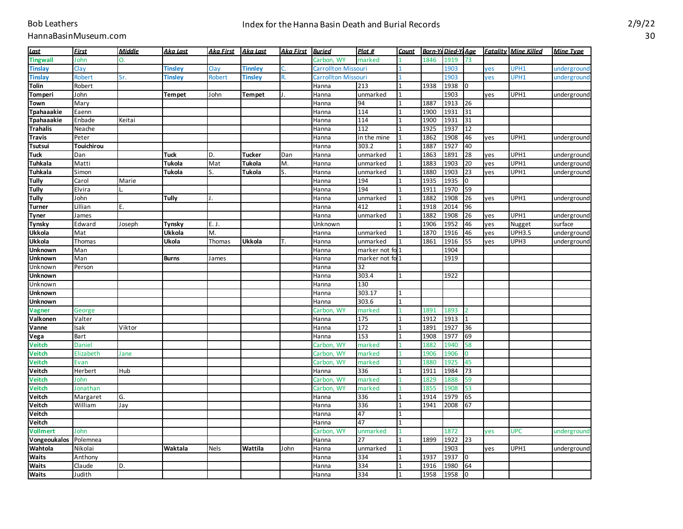#### Bob Leathers

| Last            | <b>First</b>    | <b>Middle</b> | Aka Last       | Aka First     | Aka Last       | Aka First | <b>Buried</b>              | Plot #          | <b>Count</b>   | <b>Born-Ye Died-Y Age</b> |      |              |     | <b>Fatality Mine Killed</b> | <b>Mine Type</b> |
|-----------------|-----------------|---------------|----------------|---------------|----------------|-----------|----------------------------|-----------------|----------------|---------------------------|------|--------------|-----|-----------------------------|------------------|
| <b>Tingwall</b> | John            | Ο.            |                |               |                |           | Carbon, WY                 | marked          |                | 1846                      | 1919 | 73           |     |                             |                  |
| <b>Tinslay</b>  | Clay            |               | <b>Tinsley</b> | Clay          | <b>Tinnley</b> | C.        | <b>Carrollton Missouri</b> |                 |                |                           | 1903 |              | ves | UPH1                        | underground      |
| <b>Tinslay</b>  | Robert          | Sr.           | <b>Tinsley</b> | <b>Robert</b> | <b>Tinsley</b> | R.        | <b>Carrollton Missouri</b> |                 |                |                           | 1903 |              | yes | UPH1                        | underground      |
| Tolin           | Robert          |               |                |               |                |           | Hanna                      | 213             |                | 1938                      | 1938 | 0            |     |                             |                  |
| Tomperi         | John            |               | Tempet         | John          | <b>Tempet</b>  |           | Hanna                      | unmarked        | $\mathbf{1}$   |                           | 1903 |              | ves | UPH1                        | underground      |
| Town            | Mary            |               |                |               |                |           | Hanna                      | 94              |                | 1887                      | 1913 | 26           |     |                             |                  |
| Tpahaaakie      | Eaenn           |               |                |               |                |           | Hanna                      | 114             | 1              | 1900                      | 1931 | 31           |     |                             |                  |
| Tpahaaakie      | Enbade          | Keitai        |                |               |                |           | Hanna                      | 114             |                | 1900                      | 1931 | 31           |     |                             |                  |
| <b>Trahalis</b> | Neache          |               |                |               |                |           | Hanna                      | 112             | $\overline{1}$ | 1925                      | 1937 | 12           |     |                             |                  |
| Travis          | Peter           |               |                |               |                |           | Hanna                      | in the mine     | $\overline{1}$ | 1862                      | 1908 | 46           | ves | UPH1                        | underground      |
| Tsutsui         | Touichirou      |               |                |               |                |           | Hanna                      | 303.2           |                | 1887                      | 1927 | 40           |     |                             |                  |
| <b>Tuck</b>     | Dan             |               | <b>Tuck</b>    | D.            | <b>Tucker</b>  | Dan       | Hanna                      | unmarked        | $\overline{1}$ | 1863                      | 1891 | 28           | yes | UPH1                        | underground      |
| Tuhkala         | Matti           |               | <b>Tukola</b>  | Mat           | <b>Tukola</b>  | M.        | Hanna                      | unmarked        | $\mathbf{1}$   | 1883                      | 1903 | 20           | ves | UPH1                        | underground      |
| Tuhkala         | Simon           |               | <b>Tukola</b>  | S.            | <b>Tukola</b>  | S.        | Hanna                      | unmarked        |                | 1880                      | 1903 | 23           | ves | UPH1                        | underground      |
| Tully           | Carol           | Marie         |                |               |                |           | Hanna                      | 194             | 1              | 1935                      | 1935 | 0            |     |                             |                  |
| <b>Tully</b>    | Elvira          |               |                |               |                |           | Hanna                      | 194             |                | 1911                      | 1970 | 59           |     |                             |                  |
| Tully           | Iohn            |               | Tully          |               |                |           | Hanna                      | unmarked        | $\overline{1}$ | 1882                      | 1908 | 26           | ves | UPH1                        | underground      |
| <b>Turner</b>   | Lillian         | E.            |                |               |                |           | Hanna                      | 412             |                | 1918                      | 2014 | 96           |     |                             |                  |
| Tyner           | James           |               |                |               |                |           | Hanna                      | unmarked        | $\overline{1}$ | 1882                      | 1908 | 26           | ves | UPH1                        | underground      |
| Tynsky          | Edward          | Joseph        | <b>Tynsky</b>  | E.J.          |                |           | Unknown                    |                 |                | 1906                      | 1952 | 46           | ves | Nugget                      | surface          |
| Ukkola          | Mat             |               | Ukkola         | M.            |                |           | Hanna                      | unmarked        | $\overline{1}$ | 1870                      | 1916 | 46           | yes | <b>UPH3.5</b>               | underground      |
| Ukkola          | Thomas          |               | Ukola          | Thomas        | Ukkola         | Т.        | Hanna                      | unmarked        |                | 1861                      | 1916 | 55           | ves | UPH3                        | underground      |
| Unknown         | Man             |               |                |               |                |           | Hanna                      | marker not fo 1 |                |                           | 1904 |              |     |                             |                  |
| Unknown         | Man             |               | <b>Burns</b>   | James         |                |           | Hanna                      | marker not fo 1 |                |                           | 1919 |              |     |                             |                  |
| Unknown         | Person          |               |                |               |                |           | Hanna                      | 32              |                |                           |      |              |     |                             |                  |
| Unknown         |                 |               |                |               |                |           | Hanna                      | 303.4           |                |                           | 1922 |              |     |                             |                  |
| Unknown         |                 |               |                |               |                |           | Hanna                      | 130             |                |                           |      |              |     |                             |                  |
| Unknown         |                 |               |                |               |                |           | Hanna                      | 303.17          | $\overline{1}$ |                           |      |              |     |                             |                  |
| Unknown         |                 |               |                |               |                |           | Hanna                      | 303.6           | 1              |                           |      |              |     |                             |                  |
| <b>Vagner</b>   | George          |               |                |               |                |           | Carbon, WY                 | marked          | 1              | 1891                      | 1893 |              |     |                             |                  |
| Valkonen        | Valter          |               |                |               |                |           | Hanna                      | 175             | 1              | 1912                      | 1913 | $\mathbf{1}$ |     |                             |                  |
| Vanne           | Isak            | Viktor        |                |               |                |           | Hanna                      | 172             |                | 1891                      | 1927 | 36           |     |                             |                  |
| Vega            | Bart            |               |                |               |                |           | Hanna                      | 153             |                | 1908                      | 1977 | 69           |     |                             |                  |
| Veitch          | <b>Daniel</b>   |               |                |               |                |           | Carbon, WY                 | marked          |                | 1882                      | 1940 | 58           |     |                             |                  |
| Veitch          | Elizabeth       | lane          |                |               |                |           | Carbon, WY                 | marked          |                | 1906                      | 1906 | 0            |     |                             |                  |
| Veitch          | Evan            |               |                |               |                |           | Carbon, WY                 | marked          |                | 1880                      | 1925 | 45           |     |                             |                  |
| Veitch          | Herbert         | Hub           |                |               |                |           | Hanna                      | 336             |                | 1911                      | 1984 | 73           |     |                             |                  |
| Veitch          | John            |               |                |               |                |           | Carbon, WY                 | marked          |                | 1829                      | 1888 | 59           |     |                             |                  |
| Veitch          | <b>Jonathan</b> |               |                |               |                |           | Carbon, WY                 | marked          |                | 1855                      | 1908 | 53           |     |                             |                  |
| Veitch          | Margaret        | G.            |                |               |                |           | Hanna                      | 336             |                | 1914                      | 1979 | 65           |     |                             |                  |
| Veitch          | William         | Jay           |                |               |                |           | Hanna                      | 336             |                | 1941                      | 2008 | 67           |     |                             |                  |
| Veitch          |                 |               |                |               |                |           | Hanna                      | 47              |                |                           |      |              |     |                             |                  |
| Veitch          |                 |               |                |               |                |           | Hanna                      | 47              | 1              |                           |      |              |     |                             |                  |
| <b>Vollmert</b> | John            |               |                |               |                |           | Carbon, WY                 | unmarked        |                |                           | 1872 |              | ves | <b>UPC</b>                  | undergrounc      |
| Vongeoukalos    | Polemnea        |               |                |               |                |           | Hanna                      | 27              |                | 1899                      | 1922 | 23           |     |                             |                  |
| Wahtola         | Nikolai         |               | Waktala        | <b>Nels</b>   | Wattila        | John      | Hanna                      | unmarked        |                |                           | 1903 |              | yes | UPH1                        | undergrounc      |
| Waits           | Anthony         |               |                |               |                |           | Hanna                      | 334             |                | 1937                      | 1937 | l0           |     |                             |                  |
| Waits           | Claude          | D.            |                |               |                |           | Hanna                      | 334             |                | 1916                      | 1980 | 64           |     |                             |                  |
| <b>Waits</b>    | Judith          |               |                |               |                |           | Hanna                      | 334             | $\overline{1}$ | 1958                      | 1958 | 0            |     |                             |                  |
|                 |                 |               |                |               |                |           |                            |                 |                |                           |      |              |     |                             |                  |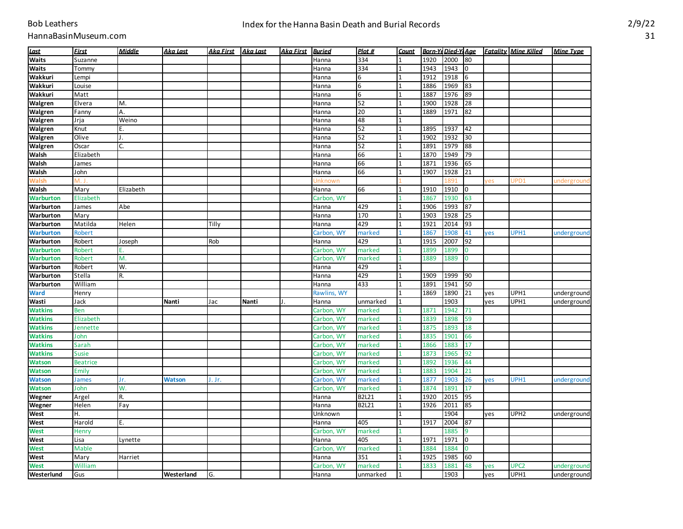| <b>Bob Leathers</b> |
|---------------------|
|---------------------|

| Last             | <u>First</u>    | <b>Middle</b> | <u>Aka Last</u> | Aka First Aka Last |       | Aka First | <b>Buried</b>      | Plot #       | Count        | <b>Born Ye Died Y Age</b> |      |          |     | <b>Fatality Mine Killed</b> | <b>Mine Type</b> |
|------------------|-----------------|---------------|-----------------|--------------------|-------|-----------|--------------------|--------------|--------------|---------------------------|------|----------|-----|-----------------------------|------------------|
| <b>Waits</b>     | Suzanne         |               |                 |                    |       |           | Hanna              | 334          |              | 1920                      | 2000 | 80       |     |                             |                  |
| <b>Waits</b>     | Tommy           |               |                 |                    |       |           | Hanna              | 334          |              | 1943                      | 1943 | O        |     |                             |                  |
| Wakkuri          | Lempi           |               |                 |                    |       |           | Hanna              | 6            |              | 1912                      | 1918 | 6        |     |                             |                  |
| Wakkuri          | Louise          |               |                 |                    |       |           | Hanna              | 6            |              | 1886                      | 1969 | 83       |     |                             |                  |
| Wakkuri          | Matt            |               |                 |                    |       |           | Hanna              | 6            |              | 1887                      | 1976 | 89       |     |                             |                  |
| Walgren          | Elvera          | M.            |                 |                    |       |           | Hanna              | 52           |              | 1900                      | 1928 | 28       |     |                             |                  |
| Walgren          | Fanny           | A.            |                 |                    |       |           | Hanna              | 20           |              | 1889                      | 1971 | 82       |     |                             |                  |
| Walgren          | Jrja            | Weino         |                 |                    |       |           | Hanna              | 48           |              |                           |      |          |     |                             |                  |
| Walgren          | Knut            | Ε.            |                 |                    |       |           | Hanna              | 52           |              | 1895                      | 1937 | 42       |     |                             |                  |
| Walgren          | Olive           |               |                 |                    |       |           | Hanna              | 52           |              | 1902                      | 1932 | 30       |     |                             |                  |
| Walgren          | Oscar           |               |                 |                    |       |           | Hanna              | 52           |              | 1891                      | 1979 | 88       |     |                             |                  |
| <b>Walsh</b>     | Elizabeth       |               |                 |                    |       |           | Hanna              | 66           |              | 1870                      | 1949 | 79       |     |                             |                  |
| Walsh            | James           |               |                 |                    |       |           | Hanna              | 66           |              | 1871                      | 1936 | 65       |     |                             |                  |
| Walsh            | John            |               |                 |                    |       |           | Hanna              | 66           |              | 1907                      | 1928 | 21       |     |                             |                  |
| Walsh            | $\Lambda$ . J   |               |                 |                    |       |           | Unknown            |              |              |                           |      |          | es  | JPD1                        | undergroun       |
| Walsh            | Mary            | Elizabeth     |                 |                    |       |           | Hanna              | 66           |              | 1910                      | 1910 | 0        |     |                             |                  |
| <b>Warburton</b> | Elizabeth       |               |                 |                    |       |           | Carbon, WY         |              |              | 1867                      | 1930 | 63       |     |                             |                  |
| Warburton        | James           | Abe           |                 |                    |       |           | Hanna              | 429          |              | 1906                      | 1993 | 87       |     |                             |                  |
| Warburton        | Mary            |               |                 |                    |       |           | Hanna              | 170          |              | 1903                      | 1928 | 25       |     |                             |                  |
| Warburton        | Matilda         | Helen         |                 | Tilly              |       |           | Hanna              | 429          |              | 1921                      | 2014 | 93       |     |                             |                  |
| <b>Warburton</b> | Robert          |               |                 |                    |       |           | Carbon, WY         | marked       |              | 1867                      | 1908 | 41       | yes | UPH1                        | underground      |
| Warburton        | Robert          | Ioseph        |                 | Rob                |       |           | Hanna              | 429          |              | 1915                      | 2007 | 92       |     |                             |                  |
| Warburton        | <b>Robert</b>   |               |                 |                    |       |           | Carbon, WY         | marked       |              | 1899                      | 1899 | Ő        |     |                             |                  |
| Warburton        | <b>Robert</b>   | M.            |                 |                    |       |           | Carbon, WY         | marked       |              | 1889                      | 1889 |          |     |                             |                  |
| Warburton        | Robert          | W.            |                 |                    |       |           | Hanna              | 429          |              |                           |      |          |     |                             |                  |
| Warburton        | Stella          | R.            |                 |                    |       |           | Hanna              | 429          |              | 1909                      | 1999 | 90       |     |                             |                  |
| Warburton        | William         |               |                 |                    |       |           | Hanna              | 433          |              | 1891                      | 1941 | 50       |     |                             |                  |
| <b>Ward</b>      | Henry           |               |                 |                    |       |           | <b>Rawlins, WY</b> |              |              | 1869                      | 1890 | 21       | yes | UPH1                        | underground      |
| Wasti            | Jack            |               | Nanti           | Jac                | Nanti |           | Hanna              | unmarked     |              |                           | 1903 |          | yes | UPH1                        | underground      |
| <b>Watkins</b>   | Ben             |               |                 |                    |       |           | Carbon, WY         | marked       |              | 1871                      | 1942 | 71       |     |                             |                  |
| <b>Watkins</b>   | Elizabeth       |               |                 |                    |       |           | Carbon, WY         | marked       |              | 1839                      | 1898 | 59       |     |                             |                  |
| <b>Watkins</b>   | Jennette        |               |                 |                    |       |           | Carbon, WY         | marked       |              | 1875                      | 1893 | 18       |     |                             |                  |
| <b>Watkins</b>   | John            |               |                 |                    |       |           | Carbon, WY         | marked       |              | 1835                      | 1901 | 66       |     |                             |                  |
| <b>Watkins</b>   | Sarah           |               |                 |                    |       |           | Carbon, WY         | marked       |              | 1866                      | 1883 | 17       |     |                             |                  |
| <b>Watkins</b>   | <b>Susie</b>    |               |                 |                    |       |           | Carbon, WY         | marked       |              | 1873                      | 1965 | 92       |     |                             |                  |
| <b>Watson</b>    | <b>Beatrice</b> |               |                 |                    |       |           | Carbon, WY         | marked       |              | 1892                      | 1936 | 44       |     |                             |                  |
| <b>Watson</b>    | Emily           |               |                 |                    |       |           | Carbon, WY         | marked       |              | 1883                      | 1904 | 21       |     |                             |                  |
| <b>Watson</b>    | James           | Jr.           | <b>Watson</b>   | J. Jr.             |       |           | Carbon, WY         | marked       |              | 1877                      | 1903 | 26       | yes | UPH1                        | underground      |
| <b>Watson</b>    | John            | W.            |                 |                    |       |           | Carbon, WY         | marked       |              | 1874                      | 1891 | 17       |     |                             |                  |
| Wegner           | Argel           | R.            |                 |                    |       |           | Hanna              | <b>B2L21</b> |              | 1920                      | 2015 | 95       |     |                             |                  |
| <b>Wegner</b>    | Helen           | Fay           |                 |                    |       |           | Hanna              | <b>B2L21</b> |              | 1926                      | 2011 | 85       |     |                             |                  |
| West             | Η.              |               |                 |                    |       |           | Unknown            |              |              |                           | 1904 |          | ves | UPH <sub>2</sub>            | underground      |
| West             | Harold          | E.            |                 |                    |       |           | Hanna              | 405          |              | 1917                      | 2004 | 87       |     |                             |                  |
| <b>West</b>      | Henry           |               |                 |                    |       |           | Carbon, WY         | marked       |              |                           | 1885 |          |     |                             |                  |
| West             | Lisa            | Lynette       |                 |                    |       |           | Hanna              | 405          |              | 1971                      | 1971 | 0        |     |                             |                  |
| <b>West</b>      | <b>Mable</b>    |               |                 |                    |       |           | Carbon, WY         | marked       |              | 1884                      | 1884 | $\Omega$ |     |                             |                  |
| West             | Mary            | Harriet       |                 |                    |       |           | Hanna              | 351          |              | 1925                      | 1985 | 60       |     |                             |                  |
| <b>West</b>      | William         |               |                 |                    |       |           | Carbon, WY         | marked       |              | 1833                      | 1881 | 48       | yes | UPC <sub>2</sub>            | underground      |
| Westerlund       | Gus             |               | Westerland      | G.                 |       |           | Hanna              | unmarked     | $\mathbf{1}$ |                           | 1903 |          | yes | UPH1                        | underground      |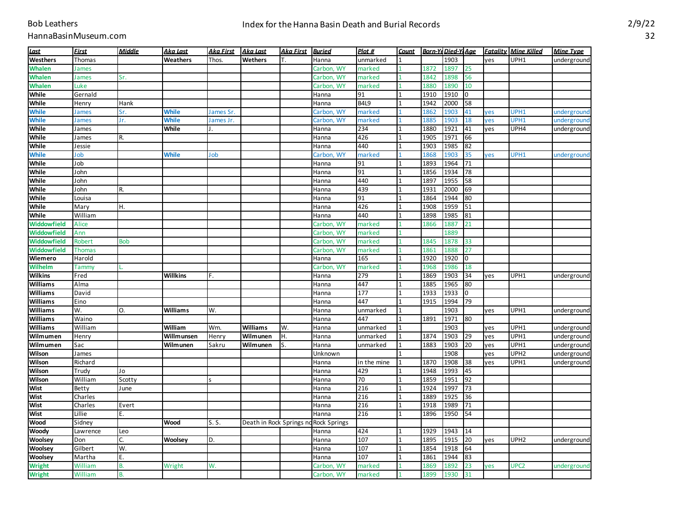| Last            | <b>First</b>  | <b>Middle</b> | <u>Aka Last</u> | <u>Aka First</u> | Aka Last        | Aka First | <b>Buried</b>                         | Plot #      | Count          | <b>Born Ye Died Y Age</b> |      |    |     | <b>Fatality Mine Killed</b> | <b>Mine Type</b> |
|-----------------|---------------|---------------|-----------------|------------------|-----------------|-----------|---------------------------------------|-------------|----------------|---------------------------|------|----|-----|-----------------------------|------------------|
| Westhers        | Thomas        |               | Weathers        | Thos.            | Wethers         | Τ.        | Hanna                                 | unmarked    | 1              |                           | 1903 |    | yes | UPH1                        | underground      |
| <b>Whalen</b>   | lames         |               |                 |                  |                 |           | Carbon, WY                            | marked      |                | 1872                      | 1897 | 25 |     |                             |                  |
| <b>Whalen</b>   | lames         | Sr.           |                 |                  |                 |           | Carbon, WY                            | marked      |                | 1842                      | 1898 | 56 |     |                             |                  |
| <b>Whalen</b>   | Luke          |               |                 |                  |                 |           | Carbon, WY                            | marked      |                | 1880                      | 1890 | 10 |     |                             |                  |
| While           | Gernald       |               |                 |                  |                 |           | Hanna                                 | 91          |                | 1910                      | 1910 | 0  |     |                             |                  |
| While           | Henry         | Hank          |                 |                  |                 |           | Hanna                                 | <b>B4L9</b> | 1              | 1942                      | 2000 | 58 |     |                             |                  |
| While           | lames         | Sr.           | While           | lames Sr.        |                 |           | Carbon, WY                            | marked      |                | 1862                      | 1903 | 41 | /es | UPH <sub>1</sub>            | underground      |
| While           | lames         | Jr.           | While           | lames Jr.        |                 |           | Carbon, WY                            | marked      |                | 1885                      | 1903 | 18 | /es | UPH1                        | underground      |
| While           | James         |               | While           |                  |                 |           | Hanna                                 | 234         |                | 1880                      | 1921 | 41 | yes | UPH4                        | underground      |
| While           | James         | R.            |                 |                  |                 |           | Hanna                                 | 426         |                | 1905                      | 1971 | 66 |     |                             |                  |
| While           | Jessie        |               |                 |                  |                 |           | Hanna                                 | 440         |                | 1903                      | 1985 | 82 |     |                             |                  |
| While           | lob           |               | While           | Job              |                 |           | Carbon, WY                            | marked      |                | 1868                      | 1903 | 35 | res | UPH1                        | underground      |
| While           | dol           |               |                 |                  |                 |           | Hanna                                 | 91          |                | 1893                      | 1964 | 71 |     |                             |                  |
| While           | John          |               |                 |                  |                 |           | Hanna                                 | 91          | 1              | 1856                      | 1934 | 78 |     |                             |                  |
| While           | John          |               |                 |                  |                 |           | Hanna                                 | 440         | 1              | 1897                      | 1955 | 58 |     |                             |                  |
| While           | John          | R.            |                 |                  |                 |           | Hanna                                 | 439         | 1              | 1931                      | 2000 | 69 |     |                             |                  |
| While           | Louisa        |               |                 |                  |                 |           | Hanna                                 | 91          |                | 1864                      | 1944 | 80 |     |                             |                  |
| While           | Mary          | Н.            |                 |                  |                 |           | Hanna                                 | 426         |                | 1908                      | 1959 | 51 |     |                             |                  |
| While           | William       |               |                 |                  |                 |           | Hanna                                 | 440         |                | 1898                      | 1985 | 81 |     |                             |                  |
| Widdowfield     | Alice         |               |                 |                  |                 |           | Carbon, WY                            | marked      |                | 1866                      | 1887 | 21 |     |                             |                  |
| Widdowfield     | Ann           |               |                 |                  |                 |           | Carbon, WY                            | marked      |                |                           | 1889 |    |     |                             |                  |
| Widdowfield     | Robert        | <b>Bob</b>    |                 |                  |                 |           | Carbon, WY                            | marked      |                | 1845                      | 1878 | 33 |     |                             |                  |
| Widdowfield     | <b>Thomas</b> |               |                 |                  |                 |           | Carbon, WY                            | marked      |                | 1861                      | 1888 | 27 |     |                             |                  |
| Wiemero         | Harold        |               |                 |                  |                 |           | Hanna                                 | 165         |                | 1920                      | 1920 |    |     |                             |                  |
| <b>Wilhelm</b>  | <b>Tammy</b>  |               |                 |                  |                 |           | Carbon, WY                            | marked      |                | 1968                      | 1986 | 18 |     |                             |                  |
| <b>Wilkins</b>  | Fred          |               | Willkins        | F.               |                 |           | Hanna                                 | 279         |                | 1869                      | 1903 | 34 | yes | UPH1                        | underground      |
| <b>Williams</b> | Alma          |               |                 |                  |                 |           | Hanna                                 | 447         | $\overline{1}$ | 1885                      | 1965 | 80 |     |                             |                  |
| <b>Williams</b> | David         |               |                 |                  |                 |           | Hanna                                 | 177         | $\mathbf{1}$   | 1933                      | 1933 | 0  |     |                             |                  |
| <b>Williams</b> | Eino          |               |                 |                  |                 |           | Hanna                                 | 447         |                | 1915                      | 1994 | 79 |     |                             |                  |
| Williams        | W.            | O.            | <b>Williams</b> | W.               |                 |           | Hanna                                 | unmarked    | $\mathbf{1}$   |                           | 1903 |    | yes | UPH1                        | underground      |
| <b>Williams</b> | Waino         |               |                 |                  |                 |           | Hanna                                 | 447         | $\mathbf{1}$   | 1891                      | 1971 | 80 |     |                             |                  |
| <b>Williams</b> | William       |               | William         | Wm.              | <b>Williams</b> | W.        | Hanna                                 | unmarked    | $\mathbf{1}$   |                           | 1903 |    | yes | UPH1                        | underground      |
| Wilmumen        | Henry         |               | Willmunsen      | Henry            | Wilmunen        | Η.        | Hanna                                 | unmarked    | $\mathbf{1}$   | 1874                      | 1903 | 29 | yes | UPH1                        | underground      |
| Wilmumen        | Sac           |               | Wilmunen        | Sakru            | Wilmunen        |           | Hanna                                 | unmarked    | $\mathbf{1}$   | 1883                      | 1903 | 20 | yes | UPH1                        | underground      |
| Wilson          | James         |               |                 |                  |                 |           | Unknown                               |             |                |                           | 1908 |    | yes | UPH <sub>2</sub>            | underground      |
| Wilson          | Richard       |               |                 |                  |                 |           | Hanna                                 | in the mine | $\mathbf{1}$   | 1870                      | 1908 | 38 | ves | UPH1                        | underground      |
| Wilson          | Trudy         | Jo            |                 |                  |                 |           | Hanna                                 | 429         | $\mathbf{1}$   | 1948                      | 1993 | 45 |     |                             |                  |
| Wilson          | William       | Scotty        |                 |                  |                 |           | Hanna                                 | 70          | $\mathbf{1}$   | 1859                      | 1951 | 92 |     |                             |                  |
| Wist            | Betty         | June          |                 |                  |                 |           | Hanna                                 | 216         |                | 1924                      | 1997 | 73 |     |                             |                  |
| Wist            | Charles       |               |                 |                  |                 |           | Hanna                                 | 216         | $\mathbf{1}$   | 1889                      | 1925 | 36 |     |                             |                  |
| Wist            | Charles       | Evert         |                 |                  |                 |           | Hanna                                 | 216         | $\mathbf{1}$   | 1918                      | 1989 | 71 |     |                             |                  |
| Wist            | Lillie        | Ē.            |                 |                  |                 |           | Hanna                                 | 216         |                | 1896                      | 1950 | 54 |     |                             |                  |
| Wood            | Sidney        |               | Wood            | S.S.             |                 |           | Death in Rock Springs no Rock Springs |             |                |                           |      |    |     |                             |                  |
| Woody           | Lawrence      | Leo           |                 |                  |                 |           | Hanna                                 | 424         | $\mathbf{1}$   | 1929                      | 1943 | 14 |     |                             |                  |
| Woolsey         | Don           | Ċ.            | Woolsey         | D.               |                 |           | Hanna                                 | 107         |                | 1895                      | 1915 | 20 | yes | UPH <sub>2</sub>            | underground      |
| Woolsey         | Gilbert       | W.            |                 |                  |                 |           | Hanna                                 | 107         |                | 1854                      | 1918 | 64 |     |                             |                  |
| Woolsey         | Martha        | Ē.            |                 |                  |                 |           | Hanna                                 | 107         |                | 1861                      | 1944 | 83 |     |                             |                  |
| <b>Wright</b>   | William       | B.            | Wright          | W.               |                 |           | Carbon, WY                            | marked      |                | 1869                      | 1892 | 23 | yes | UPC <sub>2</sub>            | underground      |
| <b>Wright</b>   | William       | B.            |                 |                  |                 |           | Carbon, WY                            | marked      |                | 1899                      | 1930 | 31 |     |                             |                  |